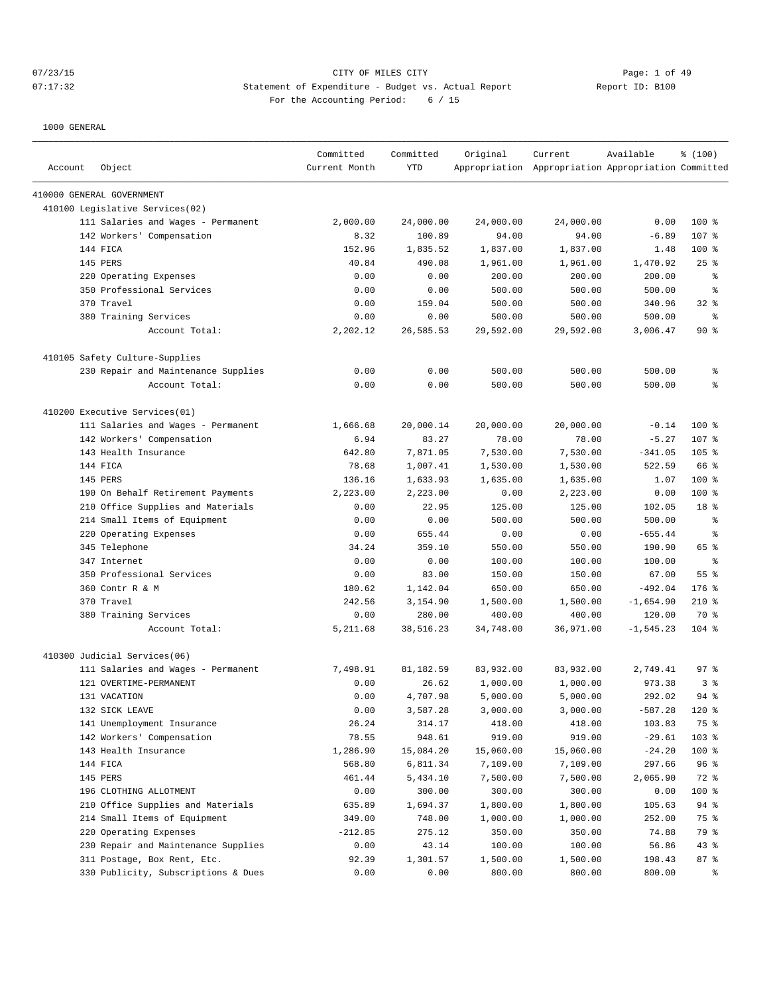# 07/23/15 CITY OF MILES CITY CHANNEL CITY CHANNEL CONTROLLER Page: 1 of 49 07:17:32 Statement of Expenditure - Budget vs. Actual Report Report ID: B100 For the Accounting Period: 6 / 15

| Account | Object                              | Committed<br>Current Month | Committed<br>YTD | Original  | Current<br>Appropriation Appropriation Appropriation Committed | Available    | % (100)            |
|---------|-------------------------------------|----------------------------|------------------|-----------|----------------------------------------------------------------|--------------|--------------------|
|         | 410000 GENERAL GOVERNMENT           |                            |                  |           |                                                                |              |                    |
|         | 410100 Legislative Services(02)     |                            |                  |           |                                                                |              |                    |
|         | 111 Salaries and Wages - Permanent  | 2,000.00                   | 24,000.00        | 24,000.00 | 24,000.00                                                      | 0.00         | 100%               |
|         | 142 Workers' Compensation           | 8.32                       | 100.89           | 94.00     | 94.00                                                          | $-6.89$      | 107 %              |
|         | 144 FICA                            | 152.96                     | 1,835.52         | 1,837.00  | 1,837.00                                                       | 1.48         | 100 %              |
|         | 145 PERS                            | 40.84                      | 490.08           | 1,961.00  | 1,961.00                                                       | 1,470.92     | $25$ $\frac{6}{5}$ |
|         | 220 Operating Expenses              | 0.00                       | 0.00             | 200.00    | 200.00                                                         | 200.00       | န္                 |
|         | 350 Professional Services           | 0.00                       | 0.00             | 500.00    | 500.00                                                         | 500.00       | g                  |
|         | 370 Travel                          | 0.00                       | 159.04           | 500.00    | 500.00                                                         | 340.96       | 32%                |
|         | 380 Training Services               | 0.00                       | 0.00             | 500.00    | 500.00                                                         | 500.00       | န္                 |
|         | Account Total:                      | 2,202.12                   | 26,585.53        | 29,592.00 | 29,592.00                                                      | 3,006.47     | 90%                |
|         | 410105 Safety Culture-Supplies      |                            |                  |           |                                                                |              |                    |
|         | 230 Repair and Maintenance Supplies | 0.00                       | 0.00             | 500.00    | 500.00                                                         | 500.00       | န့                 |
|         | Account Total:                      | 0.00                       | 0.00             | 500.00    | 500.00                                                         | 500.00       | ి                  |
|         | 410200 Executive Services(01)       |                            |                  |           |                                                                |              |                    |
|         | 111 Salaries and Wages - Permanent  | 1,666.68                   | 20,000.14        | 20,000.00 | 20,000.00                                                      | $-0.14$      | $100$ %            |
|         | 142 Workers' Compensation           | 6.94                       | 83.27            | 78.00     | 78.00                                                          | $-5.27$      | 107 %              |
|         | 143 Health Insurance                | 642.80                     | 7,871.05         | 7,530.00  | 7,530.00                                                       | $-341.05$    | 105 %              |
|         | 144 FICA                            | 78.68                      | 1,007.41         | 1,530.00  | 1,530.00                                                       | 522.59       | 66 %               |
|         | 145 PERS                            | 136.16                     | 1,633.93         | 1,635.00  | 1,635.00                                                       | 1.07         | $100$ %            |
|         | 190 On Behalf Retirement Payments   | 2,223.00                   | 2,223.00         | 0.00      | 2,223.00                                                       | 0.00         | $100$ %            |
|         | 210 Office Supplies and Materials   | 0.00                       | 22.95            | 125.00    | 125.00                                                         | 102.05       | 18 %               |
|         | 214 Small Items of Equipment        | 0.00                       | 0.00             | 500.00    | 500.00                                                         | 500.00       | န္                 |
|         | 220 Operating Expenses              | 0.00                       | 655.44           | 0.00      | 0.00                                                           | $-655.44$    | ႜ                  |
|         | 345 Telephone                       | 34.24                      | 359.10           | 550.00    | 550.00                                                         | 190.90       | 65 %               |
|         | 347 Internet                        | 0.00                       | 0.00             | 100.00    | 100.00                                                         | 100.00       | ႜ                  |
|         | 350 Professional Services           | 0.00                       | 83.00            | 150.00    | 150.00                                                         | 67.00        | 55%                |
|         | 360 Contr R & M                     | 180.62                     | 1,142.04         | 650.00    | 650.00                                                         | $-492.04$    | $176$ %            |
|         | 370 Travel                          | 242.56                     | 3,154.90         | 1,500.00  | 1,500.00                                                       | $-1,654.90$  | $210*$             |
|         | 380 Training Services               | 0.00                       | 280.00           | 400.00    | 400.00                                                         | 120.00       | 70 %               |
|         | Account Total:                      | 5,211.68                   | 38,516.23        | 34,748.00 | 36,971.00                                                      | $-1, 545.23$ | $104$ %            |
|         | 410300 Judicial Services(06)        |                            |                  |           |                                                                |              |                    |
|         | 111 Salaries and Wages - Permanent  | 7,498.91                   | 81,182.59        | 83,932.00 | 83,932.00                                                      | 2,749.41     | 97%                |
|         | 121 OVERTIME-PERMANENT              | 0.00                       | 26.62            | 1,000.00  | 1,000.00                                                       | 973.38       | 3%                 |
|         | 131 VACATION                        | 0.00                       | 4,707.98         | 5,000.00  | 5,000.00                                                       | 292.02       | $94$ $%$           |
|         | 132 SICK LEAVE                      | 0.00                       | 3,587.28         | 3,000.00  | 3,000.00                                                       | $-587.28$    | 120 %              |
|         | 141 Unemployment Insurance          | 26.24                      | 314.17           | 418.00    | 418.00                                                         | 103.83       | 75 %               |
|         | 142 Workers' Compensation           | 78.55                      | 948.61           | 919.00    | 919.00                                                         | $-29.61$     | 103 %              |
|         | 143 Health Insurance                | 1,286.90                   | 15,084.20        | 15,060.00 | 15,060.00                                                      | $-24.20$     | 100 %              |
|         | 144 FICA                            | 568.80                     | 6,811.34         | 7,109.00  | 7,109.00                                                       | 297.66       | 96%                |
|         | 145 PERS                            | 461.44                     | 5,434.10         | 7,500.00  | 7,500.00                                                       | 2,065.90     | 72 %               |
|         | 196 CLOTHING ALLOTMENT              | 0.00                       | 300.00           | 300.00    | 300.00                                                         | 0.00         | 100 %              |
|         | 210 Office Supplies and Materials   | 635.89                     | 1,694.37         | 1,800.00  | 1,800.00                                                       | 105.63       | 94 %               |
|         | 214 Small Items of Equipment        | 349.00                     | 748.00           | 1,000.00  | 1,000.00                                                       | 252.00       | 75 %               |
|         | 220 Operating Expenses              | -212.85                    | 275.12           | 350.00    | 350.00                                                         | 74.88        | 79 %               |
|         | 230 Repair and Maintenance Supplies | 0.00                       | 43.14            | 100.00    | 100.00                                                         | 56.86        | 43%                |
|         | 311 Postage, Box Rent, Etc.         | 92.39                      | 1,301.57         | 1,500.00  | 1,500.00                                                       | 198.43       | 87 %               |
|         | 330 Publicity, Subscriptions & Dues | 0.00                       | 0.00             | 800.00    | 800.00                                                         | 800.00       | နွ                 |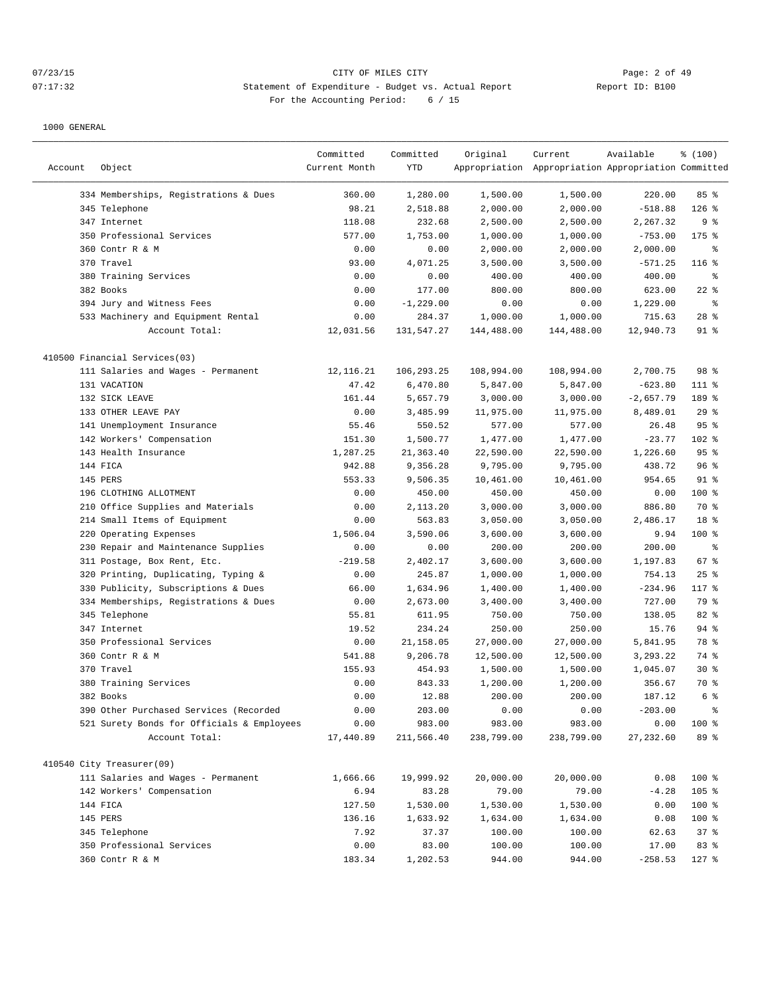# 07/23/15 Page: 2 of 49 07:17:32 Statement of Expenditure - Budget vs. Actual Report Report ID: B100 For the Accounting Period: 6 / 15

|         |                                            | Committed     | Committed    | Original   | Current                                             | Available   | % (100)        |
|---------|--------------------------------------------|---------------|--------------|------------|-----------------------------------------------------|-------------|----------------|
| Account | Object                                     | Current Month | YTD          |            | Appropriation Appropriation Appropriation Committed |             |                |
|         | 334 Memberships, Registrations & Dues      | 360.00        | 1,280.00     | 1,500.00   | 1,500.00                                            | 220.00      | 85%            |
|         | 345 Telephone                              | 98.21         | 2,518.88     | 2,000.00   | 2,000.00                                            | $-518.88$   | $126$ %        |
|         | 347 Internet                               | 118.08        | 232.68       | 2,500.00   | 2,500.00                                            | 2,267.32    | 9 <sub>8</sub> |
|         | 350 Professional Services                  | 577.00        | 1,753.00     | 1,000.00   | 1,000.00                                            | $-753.00$   | 175 %          |
|         | 360 Contr R & M                            | 0.00          | 0.00         | 2,000.00   | 2,000.00                                            | 2,000.00    | န့             |
|         | 370 Travel                                 | 93.00         | 4,071.25     | 3,500.00   | 3,500.00                                            | $-571.25$   | $116$ %        |
|         | 380 Training Services                      | 0.00          | 0.00         | 400.00     | 400.00                                              | 400.00      | နွ             |
|         | 382 Books                                  | 0.00          | 177.00       | 800.00     | 800.00                                              | 623.00      | $22$ %         |
|         | 394 Jury and Witness Fees                  | 0.00          | $-1, 229.00$ | 0.00       | 0.00                                                | 1,229.00    | $\epsilon$     |
|         | 533 Machinery and Equipment Rental         | 0.00          | 284.37       | 1,000.00   | 1,000.00                                            | 715.63      | $28$ %         |
|         | Account Total:                             | 12,031.56     | 131,547.27   | 144,488.00 | 144,488.00                                          | 12,940.73   | $91$ %         |
|         | 410500 Financial Services(03)              |               |              |            |                                                     |             |                |
|         | 111 Salaries and Wages - Permanent         | 12,116.21     | 106,293.25   | 108,994.00 | 108,994.00                                          | 2,700.75    | 98 %           |
|         | 131 VACATION                               | 47.42         | 6,470.80     | 5,847.00   | 5,847.00                                            | $-623.80$   | $111$ %        |
|         | 132 SICK LEAVE                             | 161.44        | 5,657.79     | 3,000.00   | 3,000.00                                            | $-2,657.79$ | 189 %          |
|         | 133 OTHER LEAVE PAY                        | 0.00          | 3,485.99     | 11,975.00  | 11,975.00                                           | 8,489.01    | 29%            |
|         | 141 Unemployment Insurance                 | 55.46         | 550.52       | 577.00     | 577.00                                              | 26.48       | 95%            |
|         | 142 Workers' Compensation                  | 151.30        | 1,500.77     | 1,477.00   | 1,477.00                                            | $-23.77$    | 102 %          |
|         | 143 Health Insurance                       | 1,287.25      | 21,363.40    | 22,590.00  | 22,590.00                                           | 1,226.60    | 95%            |
|         | 144 FICA                                   | 942.88        | 9,356.28     | 9,795.00   | 9,795.00                                            | 438.72      | 96%            |
|         | 145 PERS                                   | 553.33        | 9,506.35     | 10,461.00  | 10,461.00                                           | 954.65      | $91$ %         |
|         | 196 CLOTHING ALLOTMENT                     | 0.00          | 450.00       | 450.00     | 450.00                                              | 0.00        | 100 %          |
|         | 210 Office Supplies and Materials          | 0.00          | 2,113.20     | 3,000.00   | 3,000.00                                            | 886.80      | 70 %           |
|         | 214 Small Items of Equipment               | 0.00          | 563.83       | 3,050.00   | 3,050.00                                            | 2,486.17    | 18 %           |
|         | 220 Operating Expenses                     | 1,506.04      | 3,590.06     | 3,600.00   | 3,600.00                                            | 9.94        | $100$ %        |
|         | 230 Repair and Maintenance Supplies        | 0.00          | 0.00         | 200.00     | 200.00                                              | 200.00      | န့             |
|         | 311 Postage, Box Rent, Etc.                | $-219.58$     | 2,402.17     | 3,600.00   | 3,600.00                                            | 1,197.83    | 67 %           |
|         | 320 Printing, Duplicating, Typing &        | 0.00          | 245.87       | 1,000.00   | 1,000.00                                            | 754.13      | 25%            |
| 330     | Publicity, Subscriptions & Dues            | 66.00         | 1,634.96     | 1,400.00   | 1,400.00                                            | $-234.96$   | $117$ %        |
|         | 334 Memberships, Registrations & Dues      | 0.00          | 2,673.00     | 3,400.00   | 3,400.00                                            | 727.00      | 79 %           |
|         | 345 Telephone                              | 55.81         | 611.95       | 750.00     | 750.00                                              | 138.05      | 82 %           |
|         | 347 Internet                               | 19.52         | 234.24       | 250.00     | 250.00                                              | 15.76       | $94$ %         |
|         | 350 Professional Services                  | 0.00          | 21,158.05    | 27,000.00  | 27,000.00                                           | 5,841.95    | 78 %           |
|         | 360 Contr R & M                            | 541.88        | 9,206.78     | 12,500.00  | 12,500.00                                           | 3,293.22    | 74 %           |
|         | 370 Travel                                 | 155.93        | 454.93       | 1,500.00   | 1,500.00                                            | 1,045.07    | $30*$          |
|         | 380 Training Services                      | 0.00          | 843.33       | 1,200.00   | 1,200.00                                            | 356.67      | 70 %           |
|         | 382 Books                                  | 0.00          | 12.88        | 200.00     | 200.00                                              | 187.12      | 6 %            |
|         | 390 Other Purchased Services (Recorded     | 0.00          | 203.00       | 0.00       | 0.00                                                | $-203.00$   | န္             |
|         | 521 Surety Bonds for Officials & Employees | 0.00          | 983.00       | 983.00     | 983.00                                              | 0.00        | 100 %          |
|         | Account Total:                             | 17,440.89     | 211,566.40   | 238,799.00 | 238,799.00                                          | 27,232.60   | 89 %           |
|         |                                            |               |              |            |                                                     |             |                |
|         | 410540 City Treasurer(09)                  |               |              |            |                                                     |             |                |
|         | 111 Salaries and Wages - Permanent         | 1,666.66      | 19,999.92    | 20,000.00  | 20,000.00                                           | 0.08        | 100 %          |
|         | 142 Workers' Compensation                  | 6.94          | 83.28        | 79.00      | 79.00                                               | $-4.28$     | 105 %          |
|         | 144 FICA                                   | 127.50        | 1,530.00     | 1,530.00   | 1,530.00                                            | 0.00        | 100 %          |
|         | 145 PERS                                   | 136.16        | 1,633.92     | 1,634.00   | 1,634.00                                            | 0.08        | 100 %          |
|         | 345 Telephone                              | 7.92          | 37.37        | 100.00     | 100.00                                              | 62.63       | 37%            |
|         | 350 Professional Services                  | 0.00          | 83.00        | 100.00     | 100.00                                              | 17.00       | 83 %           |
|         | 360 Contr R & M                            | 183.34        | 1,202.53     | 944.00     | 944.00                                              | $-258.53$   | $127$ %        |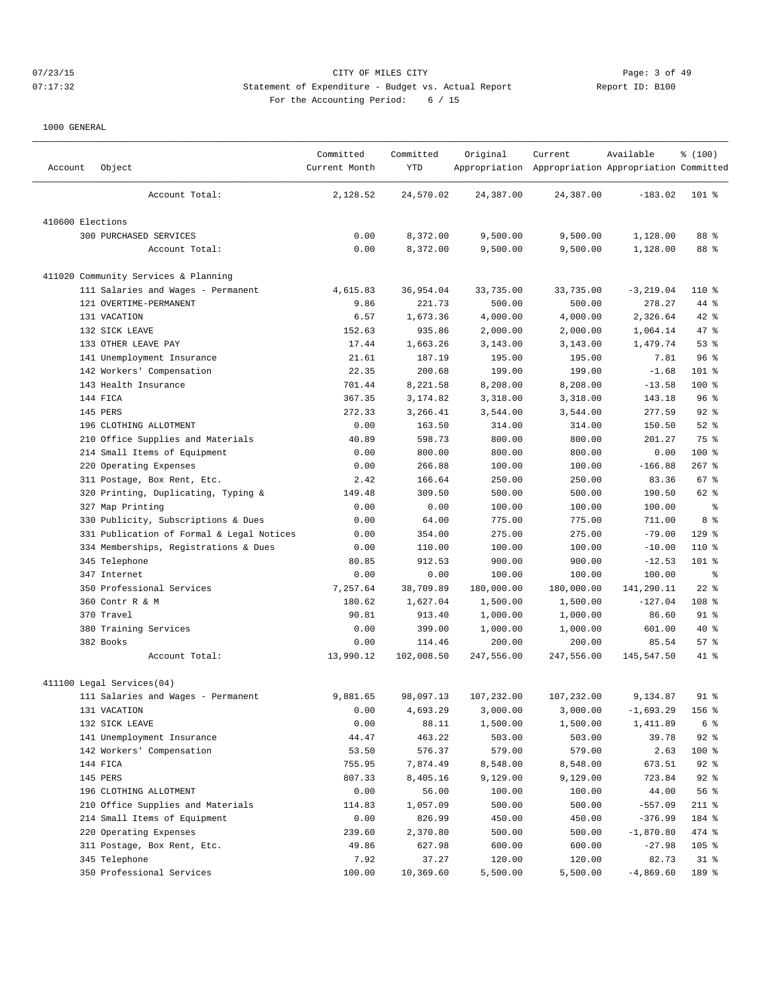# 07/23/15 Page: 3 of 49 07:17:32 Statement of Expenditure - Budget vs. Actual Report Report ID: B100 For the Accounting Period: 6 / 15

| 24,570.02<br>24,387.00<br>24,387.00<br>Account Total:<br>2,128.52<br>$-183.02$<br>$101*$<br>410600 Elections<br>300 PURCHASED SERVICES<br>0.00<br>8,372.00<br>9,500.00<br>9,500.00<br>1,128.00<br>88 %<br>0.00<br>8,372.00<br>9,500.00<br>9,500.00<br>1,128.00<br>88 %<br>Account Total:<br>411020 Community Services & Planning<br>111 Salaries and Wages - Permanent<br>4,615.83<br>36,954.04<br>33,735.00<br>33,735.00<br>$-3, 219.04$<br>$110*$<br>121 OVERTIME-PERMANENT<br>9.86<br>221.73<br>500.00<br>500.00<br>278.27<br>44 %<br>131 VACATION<br>6.57<br>1,673.36<br>4,000.00<br>4,000.00<br>2,326.64<br>$42$ %<br>132 SICK LEAVE<br>152.63<br>935.86<br>2,000.00<br>2,000.00<br>1,064.14<br>47 %<br>133 OTHER LEAVE PAY<br>17.44<br>1,663.26<br>3,143.00<br>3,143.00<br>1,479.74<br>53%<br>141 Unemployment Insurance<br>21.61<br>187.19<br>195.00<br>96%<br>195.00<br>7.81<br>142 Workers' Compensation<br>22.35<br>200.68<br>199.00<br>199.00<br>101 %<br>$-1.68$<br>100 %<br>143 Health Insurance<br>701.44<br>8,221.58<br>8,208.00<br>8,208.00<br>$-13.58$<br>144 FICA<br>367.35<br>3,174.82<br>3,318.00<br>3,318.00<br>143.18<br>96 <sup>°</sup><br>145 PERS<br>272.33<br>3,266.41<br>3,544.00<br>3,544.00<br>277.59<br>$92$ $%$<br>196 CLOTHING ALLOTMENT<br>0.00<br>163.50<br>314.00<br>150.50<br>$52$ $%$<br>314.00<br>Office Supplies and Materials<br>40.89<br>598.73<br>800.00<br>800.00<br>201.27<br>75 %<br>210<br>Small Items of Equipment<br>800.00<br>800.00<br>800.00<br>$100$ %<br>214<br>0.00<br>0.00<br>Operating Expenses<br>0.00<br>266.88<br>100.00<br>100.00<br>$-166.88$<br>$267$ %<br>220<br>311 Postage, Box Rent, Etc.<br>2.42<br>166.64<br>250.00<br>250.00<br>83.36<br>$67$ %<br>320 Printing, Duplicating, Typing &<br>149.48<br>309.50<br>500.00<br>500.00<br>190.50<br>62 %<br>327 Map Printing<br>0.00<br>0.00<br>100.00<br>100.00<br>100.00<br>$\epsilon$<br>8 %<br>Publicity, Subscriptions & Dues<br>0.00<br>64.00<br>775.00<br>775.00<br>711.00<br>330<br>331 Publication of Formal & Legal Notices<br>0.00<br>354.00<br>275.00<br>275.00<br>$-79.00$<br>$129$ %<br>334 Memberships, Registrations & Dues<br>0.00<br>110.00<br>100.00<br>100.00<br>$-10.00$<br>110 %<br>345 Telephone<br>80.85<br>912.53<br>900.00<br>900.00<br>$-12.53$<br>101 %<br>0.00<br>0.00<br>100.00<br>100.00<br>100.00<br>$\epsilon$<br>347 Internet<br>$22$ %<br>350 Professional Services<br>7,257.64<br>38,709.89<br>180,000.00<br>180,000.00<br>141,290.11<br>360 Contr R & M<br>180.62<br>1,627.04<br>1,500.00<br>1,500.00<br>$-127.04$<br>108 %<br>370 Travel<br>90.81<br>913.40<br>1,000.00<br>1,000.00<br>86.60<br>$91$ %<br>380 Training Services<br>0.00<br>399.00<br>1,000.00<br>1,000.00<br>$40*$<br>601.00 |
|-------------------------------------------------------------------------------------------------------------------------------------------------------------------------------------------------------------------------------------------------------------------------------------------------------------------------------------------------------------------------------------------------------------------------------------------------------------------------------------------------------------------------------------------------------------------------------------------------------------------------------------------------------------------------------------------------------------------------------------------------------------------------------------------------------------------------------------------------------------------------------------------------------------------------------------------------------------------------------------------------------------------------------------------------------------------------------------------------------------------------------------------------------------------------------------------------------------------------------------------------------------------------------------------------------------------------------------------------------------------------------------------------------------------------------------------------------------------------------------------------------------------------------------------------------------------------------------------------------------------------------------------------------------------------------------------------------------------------------------------------------------------------------------------------------------------------------------------------------------------------------------------------------------------------------------------------------------------------------------------------------------------------------------------------------------------------------------------------------------------------------------------------------------------------------------------------------------------------------------------------------------------------------------------------------------------------------------------------------------------------------------------------------------------------------------------------------------------------------------------------------------------------------------------------------------------------------------------------------------------------------------------------------------------------------------------------------------------------------------------------|
|                                                                                                                                                                                                                                                                                                                                                                                                                                                                                                                                                                                                                                                                                                                                                                                                                                                                                                                                                                                                                                                                                                                                                                                                                                                                                                                                                                                                                                                                                                                                                                                                                                                                                                                                                                                                                                                                                                                                                                                                                                                                                                                                                                                                                                                                                                                                                                                                                                                                                                                                                                                                                                                                                                                                                 |
|                                                                                                                                                                                                                                                                                                                                                                                                                                                                                                                                                                                                                                                                                                                                                                                                                                                                                                                                                                                                                                                                                                                                                                                                                                                                                                                                                                                                                                                                                                                                                                                                                                                                                                                                                                                                                                                                                                                                                                                                                                                                                                                                                                                                                                                                                                                                                                                                                                                                                                                                                                                                                                                                                                                                                 |
|                                                                                                                                                                                                                                                                                                                                                                                                                                                                                                                                                                                                                                                                                                                                                                                                                                                                                                                                                                                                                                                                                                                                                                                                                                                                                                                                                                                                                                                                                                                                                                                                                                                                                                                                                                                                                                                                                                                                                                                                                                                                                                                                                                                                                                                                                                                                                                                                                                                                                                                                                                                                                                                                                                                                                 |
|                                                                                                                                                                                                                                                                                                                                                                                                                                                                                                                                                                                                                                                                                                                                                                                                                                                                                                                                                                                                                                                                                                                                                                                                                                                                                                                                                                                                                                                                                                                                                                                                                                                                                                                                                                                                                                                                                                                                                                                                                                                                                                                                                                                                                                                                                                                                                                                                                                                                                                                                                                                                                                                                                                                                                 |
|                                                                                                                                                                                                                                                                                                                                                                                                                                                                                                                                                                                                                                                                                                                                                                                                                                                                                                                                                                                                                                                                                                                                                                                                                                                                                                                                                                                                                                                                                                                                                                                                                                                                                                                                                                                                                                                                                                                                                                                                                                                                                                                                                                                                                                                                                                                                                                                                                                                                                                                                                                                                                                                                                                                                                 |
|                                                                                                                                                                                                                                                                                                                                                                                                                                                                                                                                                                                                                                                                                                                                                                                                                                                                                                                                                                                                                                                                                                                                                                                                                                                                                                                                                                                                                                                                                                                                                                                                                                                                                                                                                                                                                                                                                                                                                                                                                                                                                                                                                                                                                                                                                                                                                                                                                                                                                                                                                                                                                                                                                                                                                 |
|                                                                                                                                                                                                                                                                                                                                                                                                                                                                                                                                                                                                                                                                                                                                                                                                                                                                                                                                                                                                                                                                                                                                                                                                                                                                                                                                                                                                                                                                                                                                                                                                                                                                                                                                                                                                                                                                                                                                                                                                                                                                                                                                                                                                                                                                                                                                                                                                                                                                                                                                                                                                                                                                                                                                                 |
|                                                                                                                                                                                                                                                                                                                                                                                                                                                                                                                                                                                                                                                                                                                                                                                                                                                                                                                                                                                                                                                                                                                                                                                                                                                                                                                                                                                                                                                                                                                                                                                                                                                                                                                                                                                                                                                                                                                                                                                                                                                                                                                                                                                                                                                                                                                                                                                                                                                                                                                                                                                                                                                                                                                                                 |
|                                                                                                                                                                                                                                                                                                                                                                                                                                                                                                                                                                                                                                                                                                                                                                                                                                                                                                                                                                                                                                                                                                                                                                                                                                                                                                                                                                                                                                                                                                                                                                                                                                                                                                                                                                                                                                                                                                                                                                                                                                                                                                                                                                                                                                                                                                                                                                                                                                                                                                                                                                                                                                                                                                                                                 |
|                                                                                                                                                                                                                                                                                                                                                                                                                                                                                                                                                                                                                                                                                                                                                                                                                                                                                                                                                                                                                                                                                                                                                                                                                                                                                                                                                                                                                                                                                                                                                                                                                                                                                                                                                                                                                                                                                                                                                                                                                                                                                                                                                                                                                                                                                                                                                                                                                                                                                                                                                                                                                                                                                                                                                 |
|                                                                                                                                                                                                                                                                                                                                                                                                                                                                                                                                                                                                                                                                                                                                                                                                                                                                                                                                                                                                                                                                                                                                                                                                                                                                                                                                                                                                                                                                                                                                                                                                                                                                                                                                                                                                                                                                                                                                                                                                                                                                                                                                                                                                                                                                                                                                                                                                                                                                                                                                                                                                                                                                                                                                                 |
|                                                                                                                                                                                                                                                                                                                                                                                                                                                                                                                                                                                                                                                                                                                                                                                                                                                                                                                                                                                                                                                                                                                                                                                                                                                                                                                                                                                                                                                                                                                                                                                                                                                                                                                                                                                                                                                                                                                                                                                                                                                                                                                                                                                                                                                                                                                                                                                                                                                                                                                                                                                                                                                                                                                                                 |
|                                                                                                                                                                                                                                                                                                                                                                                                                                                                                                                                                                                                                                                                                                                                                                                                                                                                                                                                                                                                                                                                                                                                                                                                                                                                                                                                                                                                                                                                                                                                                                                                                                                                                                                                                                                                                                                                                                                                                                                                                                                                                                                                                                                                                                                                                                                                                                                                                                                                                                                                                                                                                                                                                                                                                 |
|                                                                                                                                                                                                                                                                                                                                                                                                                                                                                                                                                                                                                                                                                                                                                                                                                                                                                                                                                                                                                                                                                                                                                                                                                                                                                                                                                                                                                                                                                                                                                                                                                                                                                                                                                                                                                                                                                                                                                                                                                                                                                                                                                                                                                                                                                                                                                                                                                                                                                                                                                                                                                                                                                                                                                 |
|                                                                                                                                                                                                                                                                                                                                                                                                                                                                                                                                                                                                                                                                                                                                                                                                                                                                                                                                                                                                                                                                                                                                                                                                                                                                                                                                                                                                                                                                                                                                                                                                                                                                                                                                                                                                                                                                                                                                                                                                                                                                                                                                                                                                                                                                                                                                                                                                                                                                                                                                                                                                                                                                                                                                                 |
|                                                                                                                                                                                                                                                                                                                                                                                                                                                                                                                                                                                                                                                                                                                                                                                                                                                                                                                                                                                                                                                                                                                                                                                                                                                                                                                                                                                                                                                                                                                                                                                                                                                                                                                                                                                                                                                                                                                                                                                                                                                                                                                                                                                                                                                                                                                                                                                                                                                                                                                                                                                                                                                                                                                                                 |
|                                                                                                                                                                                                                                                                                                                                                                                                                                                                                                                                                                                                                                                                                                                                                                                                                                                                                                                                                                                                                                                                                                                                                                                                                                                                                                                                                                                                                                                                                                                                                                                                                                                                                                                                                                                                                                                                                                                                                                                                                                                                                                                                                                                                                                                                                                                                                                                                                                                                                                                                                                                                                                                                                                                                                 |
|                                                                                                                                                                                                                                                                                                                                                                                                                                                                                                                                                                                                                                                                                                                                                                                                                                                                                                                                                                                                                                                                                                                                                                                                                                                                                                                                                                                                                                                                                                                                                                                                                                                                                                                                                                                                                                                                                                                                                                                                                                                                                                                                                                                                                                                                                                                                                                                                                                                                                                                                                                                                                                                                                                                                                 |
|                                                                                                                                                                                                                                                                                                                                                                                                                                                                                                                                                                                                                                                                                                                                                                                                                                                                                                                                                                                                                                                                                                                                                                                                                                                                                                                                                                                                                                                                                                                                                                                                                                                                                                                                                                                                                                                                                                                                                                                                                                                                                                                                                                                                                                                                                                                                                                                                                                                                                                                                                                                                                                                                                                                                                 |
|                                                                                                                                                                                                                                                                                                                                                                                                                                                                                                                                                                                                                                                                                                                                                                                                                                                                                                                                                                                                                                                                                                                                                                                                                                                                                                                                                                                                                                                                                                                                                                                                                                                                                                                                                                                                                                                                                                                                                                                                                                                                                                                                                                                                                                                                                                                                                                                                                                                                                                                                                                                                                                                                                                                                                 |
|                                                                                                                                                                                                                                                                                                                                                                                                                                                                                                                                                                                                                                                                                                                                                                                                                                                                                                                                                                                                                                                                                                                                                                                                                                                                                                                                                                                                                                                                                                                                                                                                                                                                                                                                                                                                                                                                                                                                                                                                                                                                                                                                                                                                                                                                                                                                                                                                                                                                                                                                                                                                                                                                                                                                                 |
|                                                                                                                                                                                                                                                                                                                                                                                                                                                                                                                                                                                                                                                                                                                                                                                                                                                                                                                                                                                                                                                                                                                                                                                                                                                                                                                                                                                                                                                                                                                                                                                                                                                                                                                                                                                                                                                                                                                                                                                                                                                                                                                                                                                                                                                                                                                                                                                                                                                                                                                                                                                                                                                                                                                                                 |
|                                                                                                                                                                                                                                                                                                                                                                                                                                                                                                                                                                                                                                                                                                                                                                                                                                                                                                                                                                                                                                                                                                                                                                                                                                                                                                                                                                                                                                                                                                                                                                                                                                                                                                                                                                                                                                                                                                                                                                                                                                                                                                                                                                                                                                                                                                                                                                                                                                                                                                                                                                                                                                                                                                                                                 |
|                                                                                                                                                                                                                                                                                                                                                                                                                                                                                                                                                                                                                                                                                                                                                                                                                                                                                                                                                                                                                                                                                                                                                                                                                                                                                                                                                                                                                                                                                                                                                                                                                                                                                                                                                                                                                                                                                                                                                                                                                                                                                                                                                                                                                                                                                                                                                                                                                                                                                                                                                                                                                                                                                                                                                 |
|                                                                                                                                                                                                                                                                                                                                                                                                                                                                                                                                                                                                                                                                                                                                                                                                                                                                                                                                                                                                                                                                                                                                                                                                                                                                                                                                                                                                                                                                                                                                                                                                                                                                                                                                                                                                                                                                                                                                                                                                                                                                                                                                                                                                                                                                                                                                                                                                                                                                                                                                                                                                                                                                                                                                                 |
|                                                                                                                                                                                                                                                                                                                                                                                                                                                                                                                                                                                                                                                                                                                                                                                                                                                                                                                                                                                                                                                                                                                                                                                                                                                                                                                                                                                                                                                                                                                                                                                                                                                                                                                                                                                                                                                                                                                                                                                                                                                                                                                                                                                                                                                                                                                                                                                                                                                                                                                                                                                                                                                                                                                                                 |
|                                                                                                                                                                                                                                                                                                                                                                                                                                                                                                                                                                                                                                                                                                                                                                                                                                                                                                                                                                                                                                                                                                                                                                                                                                                                                                                                                                                                                                                                                                                                                                                                                                                                                                                                                                                                                                                                                                                                                                                                                                                                                                                                                                                                                                                                                                                                                                                                                                                                                                                                                                                                                                                                                                                                                 |
|                                                                                                                                                                                                                                                                                                                                                                                                                                                                                                                                                                                                                                                                                                                                                                                                                                                                                                                                                                                                                                                                                                                                                                                                                                                                                                                                                                                                                                                                                                                                                                                                                                                                                                                                                                                                                                                                                                                                                                                                                                                                                                                                                                                                                                                                                                                                                                                                                                                                                                                                                                                                                                                                                                                                                 |
|                                                                                                                                                                                                                                                                                                                                                                                                                                                                                                                                                                                                                                                                                                                                                                                                                                                                                                                                                                                                                                                                                                                                                                                                                                                                                                                                                                                                                                                                                                                                                                                                                                                                                                                                                                                                                                                                                                                                                                                                                                                                                                                                                                                                                                                                                                                                                                                                                                                                                                                                                                                                                                                                                                                                                 |
|                                                                                                                                                                                                                                                                                                                                                                                                                                                                                                                                                                                                                                                                                                                                                                                                                                                                                                                                                                                                                                                                                                                                                                                                                                                                                                                                                                                                                                                                                                                                                                                                                                                                                                                                                                                                                                                                                                                                                                                                                                                                                                                                                                                                                                                                                                                                                                                                                                                                                                                                                                                                                                                                                                                                                 |
|                                                                                                                                                                                                                                                                                                                                                                                                                                                                                                                                                                                                                                                                                                                                                                                                                                                                                                                                                                                                                                                                                                                                                                                                                                                                                                                                                                                                                                                                                                                                                                                                                                                                                                                                                                                                                                                                                                                                                                                                                                                                                                                                                                                                                                                                                                                                                                                                                                                                                                                                                                                                                                                                                                                                                 |
|                                                                                                                                                                                                                                                                                                                                                                                                                                                                                                                                                                                                                                                                                                                                                                                                                                                                                                                                                                                                                                                                                                                                                                                                                                                                                                                                                                                                                                                                                                                                                                                                                                                                                                                                                                                                                                                                                                                                                                                                                                                                                                                                                                                                                                                                                                                                                                                                                                                                                                                                                                                                                                                                                                                                                 |
| 382 Books<br>0.00<br>114.46<br>200.00<br>200.00<br>85.54<br>57%                                                                                                                                                                                                                                                                                                                                                                                                                                                                                                                                                                                                                                                                                                                                                                                                                                                                                                                                                                                                                                                                                                                                                                                                                                                                                                                                                                                                                                                                                                                                                                                                                                                                                                                                                                                                                                                                                                                                                                                                                                                                                                                                                                                                                                                                                                                                                                                                                                                                                                                                                                                                                                                                                 |
| 13,990.12<br>102,008.50<br>247,556.00<br>41 %<br>Account Total:<br>247,556.00<br>145,547.50                                                                                                                                                                                                                                                                                                                                                                                                                                                                                                                                                                                                                                                                                                                                                                                                                                                                                                                                                                                                                                                                                                                                                                                                                                                                                                                                                                                                                                                                                                                                                                                                                                                                                                                                                                                                                                                                                                                                                                                                                                                                                                                                                                                                                                                                                                                                                                                                                                                                                                                                                                                                                                                     |
| 411100 Legal Services(04)                                                                                                                                                                                                                                                                                                                                                                                                                                                                                                                                                                                                                                                                                                                                                                                                                                                                                                                                                                                                                                                                                                                                                                                                                                                                                                                                                                                                                                                                                                                                                                                                                                                                                                                                                                                                                                                                                                                                                                                                                                                                                                                                                                                                                                                                                                                                                                                                                                                                                                                                                                                                                                                                                                                       |
| 9,881.65<br>98,097.13<br>107,232.00<br>107,232.00<br>9,134.87<br>$91$ %<br>111 Salaries and Wages - Permanent                                                                                                                                                                                                                                                                                                                                                                                                                                                                                                                                                                                                                                                                                                                                                                                                                                                                                                                                                                                                                                                                                                                                                                                                                                                                                                                                                                                                                                                                                                                                                                                                                                                                                                                                                                                                                                                                                                                                                                                                                                                                                                                                                                                                                                                                                                                                                                                                                                                                                                                                                                                                                                   |
| 131 VACATION<br>0.00<br>4,693.29<br>3,000.00<br>3,000.00<br>$-1,693.29$<br>156 %                                                                                                                                                                                                                                                                                                                                                                                                                                                                                                                                                                                                                                                                                                                                                                                                                                                                                                                                                                                                                                                                                                                                                                                                                                                                                                                                                                                                                                                                                                                                                                                                                                                                                                                                                                                                                                                                                                                                                                                                                                                                                                                                                                                                                                                                                                                                                                                                                                                                                                                                                                                                                                                                |
| $6\degree$<br>132 SICK LEAVE<br>0.00<br>88.11<br>1,500.00<br>1,500.00<br>1,411.89                                                                                                                                                                                                                                                                                                                                                                                                                                                                                                                                                                                                                                                                                                                                                                                                                                                                                                                                                                                                                                                                                                                                                                                                                                                                                                                                                                                                                                                                                                                                                                                                                                                                                                                                                                                                                                                                                                                                                                                                                                                                                                                                                                                                                                                                                                                                                                                                                                                                                                                                                                                                                                                               |
| $92$ %<br>141 Unemployment Insurance<br>44.47<br>463.22<br>503.00<br>503.00<br>39.78                                                                                                                                                                                                                                                                                                                                                                                                                                                                                                                                                                                                                                                                                                                                                                                                                                                                                                                                                                                                                                                                                                                                                                                                                                                                                                                                                                                                                                                                                                                                                                                                                                                                                                                                                                                                                                                                                                                                                                                                                                                                                                                                                                                                                                                                                                                                                                                                                                                                                                                                                                                                                                                            |
| 142 Workers' Compensation<br>53.50<br>576.37<br>579.00<br>579.00<br>2.63<br>100 %                                                                                                                                                                                                                                                                                                                                                                                                                                                                                                                                                                                                                                                                                                                                                                                                                                                                                                                                                                                                                                                                                                                                                                                                                                                                                                                                                                                                                                                                                                                                                                                                                                                                                                                                                                                                                                                                                                                                                                                                                                                                                                                                                                                                                                                                                                                                                                                                                                                                                                                                                                                                                                                               |
| 144 FICA<br>755.95<br>7,874.49<br>$92$ $%$<br>8,548.00<br>8,548.00<br>673.51                                                                                                                                                                                                                                                                                                                                                                                                                                                                                                                                                                                                                                                                                                                                                                                                                                                                                                                                                                                                                                                                                                                                                                                                                                                                                                                                                                                                                                                                                                                                                                                                                                                                                                                                                                                                                                                                                                                                                                                                                                                                                                                                                                                                                                                                                                                                                                                                                                                                                                                                                                                                                                                                    |
| 145 PERS<br>807.33<br>723.84<br>$92$ $%$<br>8,405.16<br>9,129.00<br>9,129.00                                                                                                                                                                                                                                                                                                                                                                                                                                                                                                                                                                                                                                                                                                                                                                                                                                                                                                                                                                                                                                                                                                                                                                                                                                                                                                                                                                                                                                                                                                                                                                                                                                                                                                                                                                                                                                                                                                                                                                                                                                                                                                                                                                                                                                                                                                                                                                                                                                                                                                                                                                                                                                                                    |
| 196 CLOTHING ALLOTMENT<br>0.00<br>56.00<br>56 %<br>100.00<br>100.00<br>44.00                                                                                                                                                                                                                                                                                                                                                                                                                                                                                                                                                                                                                                                                                                                                                                                                                                                                                                                                                                                                                                                                                                                                                                                                                                                                                                                                                                                                                                                                                                                                                                                                                                                                                                                                                                                                                                                                                                                                                                                                                                                                                                                                                                                                                                                                                                                                                                                                                                                                                                                                                                                                                                                                    |
| 210 Office Supplies and Materials<br>114.83<br>1,057.09<br>500.00<br>500.00<br>$-557.09$<br>$211$ %                                                                                                                                                                                                                                                                                                                                                                                                                                                                                                                                                                                                                                                                                                                                                                                                                                                                                                                                                                                                                                                                                                                                                                                                                                                                                                                                                                                                                                                                                                                                                                                                                                                                                                                                                                                                                                                                                                                                                                                                                                                                                                                                                                                                                                                                                                                                                                                                                                                                                                                                                                                                                                             |
| 214 Small Items of Equipment<br>0.00<br>826.99<br>450.00<br>450.00<br>$-376.99$<br>184 %                                                                                                                                                                                                                                                                                                                                                                                                                                                                                                                                                                                                                                                                                                                                                                                                                                                                                                                                                                                                                                                                                                                                                                                                                                                                                                                                                                                                                                                                                                                                                                                                                                                                                                                                                                                                                                                                                                                                                                                                                                                                                                                                                                                                                                                                                                                                                                                                                                                                                                                                                                                                                                                        |
| 239.60<br>2,370.80<br>$-1,870.80$<br>474 %<br>220 Operating Expenses<br>500.00<br>500.00                                                                                                                                                                                                                                                                                                                                                                                                                                                                                                                                                                                                                                                                                                                                                                                                                                                                                                                                                                                                                                                                                                                                                                                                                                                                                                                                                                                                                                                                                                                                                                                                                                                                                                                                                                                                                                                                                                                                                                                                                                                                                                                                                                                                                                                                                                                                                                                                                                                                                                                                                                                                                                                        |
| 49.86<br>627.98<br>600.00<br>600.00<br>$-27.98$<br>105 %<br>311 Postage, Box Rent, Etc.                                                                                                                                                                                                                                                                                                                                                                                                                                                                                                                                                                                                                                                                                                                                                                                                                                                                                                                                                                                                                                                                                                                                                                                                                                                                                                                                                                                                                                                                                                                                                                                                                                                                                                                                                                                                                                                                                                                                                                                                                                                                                                                                                                                                                                                                                                                                                                                                                                                                                                                                                                                                                                                         |
| 345 Telephone<br>7.92<br>37.27<br>120.00<br>120.00<br>82.73<br>$31$ %                                                                                                                                                                                                                                                                                                                                                                                                                                                                                                                                                                                                                                                                                                                                                                                                                                                                                                                                                                                                                                                                                                                                                                                                                                                                                                                                                                                                                                                                                                                                                                                                                                                                                                                                                                                                                                                                                                                                                                                                                                                                                                                                                                                                                                                                                                                                                                                                                                                                                                                                                                                                                                                                           |
| 350 Professional Services<br>100.00<br>10,369.60<br>5,500.00<br>5,500.00<br>$-4,869.60$<br>189 %                                                                                                                                                                                                                                                                                                                                                                                                                                                                                                                                                                                                                                                                                                                                                                                                                                                                                                                                                                                                                                                                                                                                                                                                                                                                                                                                                                                                                                                                                                                                                                                                                                                                                                                                                                                                                                                                                                                                                                                                                                                                                                                                                                                                                                                                                                                                                                                                                                                                                                                                                                                                                                                |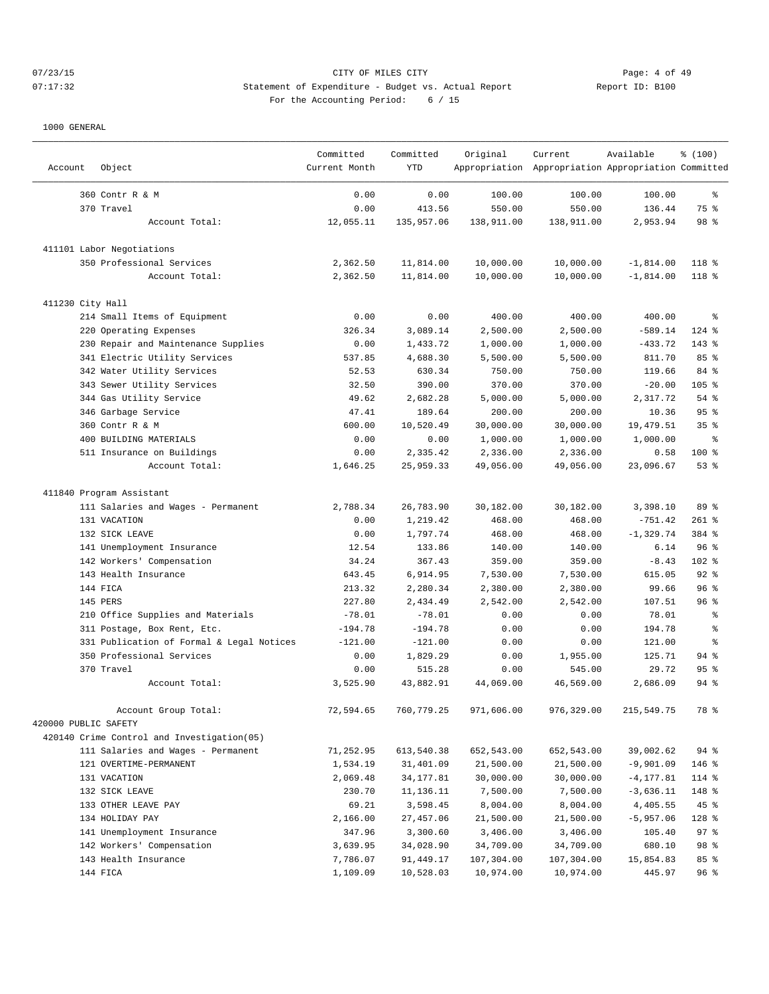# 07/23/15 Page: 4 of 49 07:17:32 Statement of Expenditure - Budget vs. Actual Report Communication Report ID: B100 For the Accounting Period: 6 / 15

| Account              | Object                                     | Committed<br>Current Month | Committed<br>YTD | Original   | Current<br>Appropriation Appropriation Appropriation Committed | Available    | % (100)          |
|----------------------|--------------------------------------------|----------------------------|------------------|------------|----------------------------------------------------------------|--------------|------------------|
|                      | 360 Contr R & M                            | 0.00                       | 0.00             | 100.00     | 100.00                                                         | 100.00       | ႜ                |
|                      | 370 Travel                                 | 0.00                       | 413.56           | 550.00     | 550.00                                                         | 136.44       | 75 %             |
|                      | Account Total:                             | 12,055.11                  | 135,957.06       | 138,911.00 | 138,911.00                                                     | 2,953.94     | 98 %             |
|                      | 411101 Labor Negotiations                  |                            |                  |            |                                                                |              |                  |
|                      | 350 Professional Services                  | 2,362.50                   | 11,814.00        | 10,000.00  | 10,000.00                                                      | $-1,814.00$  | 118 <sup>8</sup> |
|                      | Account Total:                             | 2,362.50                   | 11,814.00        | 10,000.00  | 10,000.00                                                      | $-1,814.00$  | 118 %            |
| 411230 City Hall     |                                            |                            |                  |            |                                                                |              |                  |
|                      | 214 Small Items of Equipment               | 0.00                       | 0.00             | 400.00     | 400.00                                                         | 400.00       | န္               |
|                      | 220 Operating Expenses                     | 326.34                     | 3,089.14         | 2,500.00   | 2,500.00                                                       | $-589.14$    | $124$ %          |
|                      | 230 Repair and Maintenance Supplies        | 0.00                       | 1,433.72         | 1,000.00   | 1,000.00                                                       | $-433.72$    | $143*$           |
|                      | 341 Electric Utility Services              | 537.85                     | 4,688.30         | 5,500.00   | 5,500.00                                                       | 811.70       | 85%              |
|                      | 342 Water Utility Services                 | 52.53                      | 630.34           | 750.00     | 750.00                                                         | 119.66       | 84 %             |
|                      | 343 Sewer Utility Services                 | 32.50                      | 390.00           | 370.00     | 370.00                                                         | $-20.00$     | 105 %            |
|                      | 344 Gas Utility Service                    | 49.62                      | 2,682.28         | 5,000.00   | 5,000.00                                                       | 2,317.72     | 54%              |
|                      | 346 Garbage Service                        | 47.41                      | 189.64           | 200.00     | 200.00                                                         | 10.36        | 95%              |
|                      | 360 Contr R & M                            | 600.00                     | 10,520.49        | 30,000.00  | 30,000.00                                                      | 19,479.51    | 35 <sup>8</sup>  |
|                      | 400 BUILDING MATERIALS                     | 0.00                       | 0.00             | 1,000.00   | 1,000.00                                                       | 1,000.00     | နွ               |
|                      | 511 Insurance on Buildings                 | 0.00                       | 2,335.42         | 2,336.00   | 2,336.00                                                       | 0.58         | 100 %            |
|                      | Account Total:                             | 1,646.25                   | 25,959.33        | 49,056.00  | 49,056.00                                                      | 23,096.67    | $53$ $%$         |
|                      | 411840 Program Assistant                   |                            |                  |            |                                                                |              |                  |
|                      | 111 Salaries and Wages - Permanent         | 2,788.34                   | 26,783.90        | 30,182.00  | 30,182.00                                                      | 3,398.10     | 89 %             |
|                      | 131 VACATION                               | 0.00                       | 1,219.42         | 468.00     | 468.00                                                         | $-751.42$    | $261$ %          |
|                      | 132 SICK LEAVE                             | 0.00                       | 1,797.74         | 468.00     | 468.00                                                         | $-1, 329.74$ | 384 %            |
|                      | 141 Unemployment Insurance                 | 12.54                      | 133.86           | 140.00     | 140.00                                                         | 6.14         | 96%              |
|                      | 142 Workers' Compensation                  | 34.24                      | 367.43           | 359.00     | 359.00                                                         | $-8.43$      | 102 %            |
|                      | 143 Health Insurance                       | 643.45                     | 6,914.95         | 7,530.00   | 7,530.00                                                       | 615.05       | $92$ $%$         |
|                      | 144 FICA                                   | 213.32                     | 2,280.34         | 2,380.00   | 2,380.00                                                       | 99.66        | 96%              |
|                      | 145 PERS                                   | 227.80                     | 2,434.49         | 2,542.00   | 2,542.00                                                       | 107.51       | 96 <sup>°</sup>  |
|                      | 210 Office Supplies and Materials          | $-78.01$                   | $-78.01$         | 0.00       | 0.00                                                           | 78.01        | န္               |
|                      | 311 Postage, Box Rent, Etc.                | $-194.78$                  | $-194.78$        | 0.00       | 0.00                                                           | 194.78       | ႜ                |
|                      | 331 Publication of Formal & Legal Notices  | $-121.00$                  | $-121.00$        | 0.00       | 0.00                                                           | 121.00       | န္               |
|                      | 350 Professional Services                  | 0.00                       | 1,829.29         | 0.00       | 1,955.00                                                       | 125.71       | $94$ %           |
|                      | 370 Travel                                 | 0.00                       | 515.28           | 0.00       | 545.00                                                         | 29.72        | 95%              |
|                      | Account Total:                             | 3,525.90                   | 43,882.91        | 44,069.00  | 46,569.00                                                      | 2,686.09     | $94$ $%$         |
|                      | Account Group Total:                       | 72,594.65                  | 760,779.25       | 971,606.00 | 976, 329.00                                                    | 215,549.75   | 78 %             |
| 420000 PUBLIC SAFETY |                                            |                            |                  |            |                                                                |              |                  |
|                      | 420140 Crime Control and Investigation(05) |                            |                  |            |                                                                |              |                  |
|                      | 111 Salaries and Wages - Permanent         | 71,252.95                  | 613,540.38       | 652,543.00 | 652,543.00                                                     | 39,002.62    | $94$ %           |
|                      | 121 OVERTIME-PERMANENT                     | 1,534.19                   | 31,401.09        | 21,500.00  | 21,500.00                                                      | $-9,901.09$  | 146 %            |
|                      | 131 VACATION                               | 2,069.48                   | 34, 177.81       | 30,000.00  | 30,000.00                                                      | $-4, 177.81$ | 114 %            |
|                      | 132 SICK LEAVE                             | 230.70                     | 11,136.11        | 7,500.00   | 7,500.00                                                       | $-3,636.11$  | 148 %            |
|                      | 133 OTHER LEAVE PAY                        | 69.21                      | 3,598.45         | 8,004.00   | 8,004.00                                                       | 4,405.55     | 45%              |
|                      | 134 HOLIDAY PAY                            | 2,166.00                   | 27,457.06        | 21,500.00  | 21,500.00                                                      | $-5,957.06$  | 128 %            |
|                      | 141 Unemployment Insurance                 | 347.96                     | 3,300.60         | 3,406.00   | 3,406.00                                                       | 105.40       | 97%              |
|                      | 142 Workers' Compensation                  | 3,639.95                   | 34,028.90        | 34,709.00  | 34,709.00                                                      | 680.10       | 98 %             |
|                      | 143 Health Insurance                       | 7,786.07                   | 91,449.17        | 107,304.00 | 107,304.00                                                     | 15,854.83    | 85 %             |
|                      | 144 FICA                                   | 1,109.09                   | 10,528.03        | 10,974.00  | 10,974.00                                                      | 445.97       | 96%              |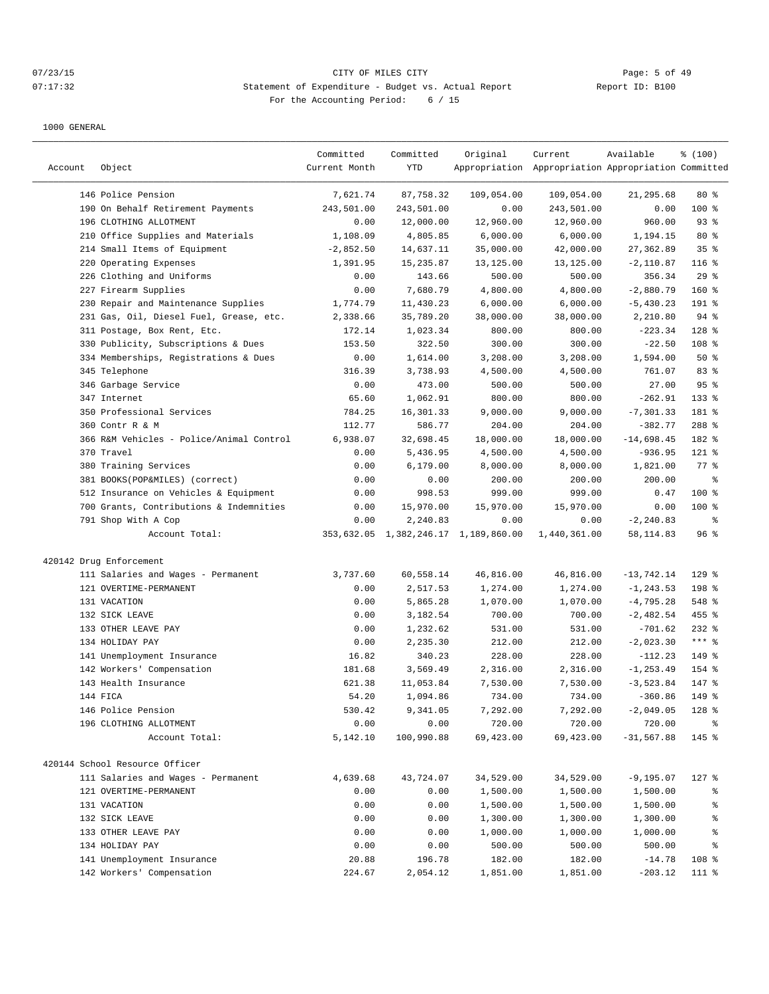# 07/23/15 Page: 5 of 49 07:17:32 Statement of Expenditure - Budget vs. Actual Report Communication Report ID: B100 For the Accounting Period: 6 / 15

| Account | Object                                   | Committed<br>Current Month | Committed<br>YTD | Original                             | Current<br>Appropriation Appropriation Appropriation Committed | Available    | % (100)            |
|---------|------------------------------------------|----------------------------|------------------|--------------------------------------|----------------------------------------------------------------|--------------|--------------------|
|         | 146 Police Pension                       | 7,621.74                   | 87,758.32        | 109,054.00                           | 109,054.00                                                     | 21,295.68    | $80*$              |
|         | 190 On Behalf Retirement Payments        | 243,501.00                 | 243,501.00       | 0.00                                 | 243,501.00                                                     | 0.00         | 100 %              |
|         | 196 CLOTHING ALLOTMENT                   | 0.00                       | 12,000.00        | 12,960.00                            | 12,960.00                                                      | 960.00       | 93%                |
|         | 210 Office Supplies and Materials        | 1,108.09                   | 4,805.85         | 6,000.00                             | 6,000.00                                                       | 1,194.15     | $80*$              |
|         | 214 Small Items of Equipment             | $-2,852.50$                | 14,637.11        | 35,000.00                            | 42,000.00                                                      | 27,362.89    | 35%                |
|         | 220 Operating Expenses                   | 1,391.95                   | 15,235.87        | 13,125.00                            | 13,125.00                                                      | $-2,110.87$  | $116$ %            |
|         | 226 Clothing and Uniforms                | 0.00                       | 143.66           | 500.00                               | 500.00                                                         | 356.34       | 29%                |
|         | 227 Firearm Supplies                     | 0.00                       | 7,680.79         | 4,800.00                             | 4,800.00                                                       | $-2,880.79$  | 160 %              |
|         | 230 Repair and Maintenance Supplies      | 1,774.79                   | 11,430.23        | 6,000.00                             | 6,000.00                                                       | $-5,430.23$  | 191 %              |
|         | 231 Gas, Oil, Diesel Fuel, Grease, etc.  | 2,338.66                   | 35,789.20        | 38,000.00                            | 38,000.00                                                      | 2,210.80     | 94%                |
|         | 311 Postage, Box Rent, Etc.              | 172.14                     | 1,023.34         | 800.00                               | 800.00                                                         | $-223.34$    | $128$ %            |
|         | 330 Publicity, Subscriptions & Dues      | 153.50                     | 322.50           | 300.00                               | 300.00                                                         | $-22.50$     | 108 %              |
|         | 334 Memberships, Registrations & Dues    | 0.00                       | 1,614.00         | 3,208.00                             | 3,208.00                                                       | 1,594.00     | 50%                |
|         | 345 Telephone                            | 316.39                     | 3,738.93         | 4,500.00                             | 4,500.00                                                       | 761.07       | 83%                |
|         | 346 Garbage Service                      | 0.00                       | 473.00           | 500.00                               | 500.00                                                         | 27.00        | 95%                |
|         | 347 Internet                             | 65.60                      | 1,062.91         | 800.00                               | 800.00                                                         | $-262.91$    | 133 %              |
|         | 350 Professional Services                | 784.25                     | 16,301.33        | 9,000.00                             | 9,000.00                                                       | $-7, 301.33$ | 181 %              |
|         | 360 Contr R & M                          | 112.77                     | 586.77           | 204.00                               | 204.00                                                         | $-382.77$    | 288 %              |
|         | 366 R&M Vehicles - Police/Animal Control | 6,938.07                   | 32,698.45        | 18,000.00                            | 18,000.00                                                      | $-14,698.45$ | 182 %              |
|         | 370 Travel                               | 0.00                       | 5,436.95         | 4,500.00                             | 4,500.00                                                       | $-936.95$    | 121 %              |
|         | 380 Training Services                    | 0.00                       | 6, 179.00        | 8,000.00                             | 8,000.00                                                       | 1,821.00     | $77$ $\frac{6}{9}$ |
|         | 381 BOOKS(POP&MILES) (correct)           | 0.00                       | 0.00             | 200.00                               | 200.00                                                         | 200.00       | ႜ                  |
|         | 512 Insurance on Vehicles & Equipment    | 0.00                       | 998.53           | 999.00                               | 999.00                                                         | 0.47         | $100$ %            |
|         | 700 Grants, Contributions & Indemnities  | 0.00                       | 15,970.00        | 15,970.00                            | 15,970.00                                                      | 0.00         | $100$ %            |
|         | 791 Shop With A Cop                      | 0.00                       | 2,240.83         | 0.00                                 | 0.00                                                           | $-2, 240.83$ | ႜ                  |
|         | Account Total:                           |                            |                  | 353,632.05 1,382,246.17 1,189,860.00 | 1,440,361.00                                                   | 58, 114.83   | 96%                |
|         | 420142 Drug Enforcement                  |                            |                  |                                      |                                                                |              |                    |
|         | 111 Salaries and Wages - Permanent       | 3,737.60                   | 60,558.14        | 46,816.00                            | 46,816.00                                                      | $-13,742.14$ | $129$ %            |
|         | 121 OVERTIME-PERMANENT                   | 0.00                       | 2,517.53         | 1,274.00                             | 1,274.00                                                       | $-1, 243.53$ | 198 %              |
|         | 131 VACATION                             | 0.00                       | 5,865.28         | 1,070.00                             | 1,070.00                                                       | $-4,795.28$  | 548 %              |
|         | 132 SICK LEAVE                           | 0.00                       | 3,182.54         | 700.00                               | 700.00                                                         | $-2,482.54$  | 455 %              |
|         | 133 OTHER LEAVE PAY                      | 0.00                       | 1,232.62         | 531.00                               | 531.00                                                         | $-701.62$    | $232$ %            |
|         | 134 HOLIDAY PAY                          | 0.00                       | 2,235.30         | 212.00                               | 212.00                                                         | $-2,023.30$  | $***$ $%$          |
|         | 141 Unemployment Insurance               | 16.82                      | 340.23           | 228.00                               | 228.00                                                         | $-112.23$    | 149 %              |
|         | 142 Workers' Compensation                | 181.68                     | 3,569.49         | 2,316.00                             | 2,316.00                                                       | $-1, 253.49$ | 154 %              |
|         | 143 Health Insurance                     | 621.38                     | 11,053.84        | 7,530.00                             | 7,530.00                                                       | $-3,523.84$  | 147 %              |
|         | 144 FICA                                 | 54.20                      | 1,094.86         | 734.00                               | 734.00                                                         | $-360.86$    | 149 %              |
|         | 146 Police Pension                       | 530.42                     | 9,341.05         | 7,292.00                             | 7,292.00                                                       | $-2,049.05$  | 128 %              |
|         | 196 CLOTHING ALLOTMENT                   | 0.00                       | 0.00             | 720.00                               | 720.00                                                         | 720.00       | ႜ                  |
|         | Account Total:                           | 5,142.10                   | 100,990.88       | 69,423.00                            | 69,423.00                                                      | $-31,567.88$ | 145 %              |
|         | 420144 School Resource Officer           |                            |                  |                                      |                                                                |              |                    |
|         | 111 Salaries and Wages - Permanent       | 4,639.68                   | 43,724.07        | 34,529.00                            | 34,529.00                                                      | $-9, 195.07$ | $127$ %            |
|         | 121 OVERTIME-PERMANENT                   | 0.00                       | 0.00             | 1,500.00                             | 1,500.00                                                       | 1,500.00     | ႜૢ                 |
|         | 131 VACATION                             | 0.00                       | 0.00             | 1,500.00                             | 1,500.00                                                       | 1,500.00     | ွေ                 |
|         | 132 SICK LEAVE                           | 0.00                       | 0.00             | 1,300.00                             | 1,300.00                                                       | 1,300.00     | န္                 |
|         | 133 OTHER LEAVE PAY                      | 0.00                       | 0.00             | 1,000.00                             | 1,000.00                                                       | 1,000.00     | ိင                 |
|         | 134 HOLIDAY PAY                          | 0.00                       | 0.00             | 500.00                               | 500.00                                                         | 500.00       | ႜ                  |
|         | 141 Unemployment Insurance               | 20.88                      | 196.78           | 182.00                               | 182.00                                                         | $-14.78$     | 108 %              |
|         | 142 Workers' Compensation                | 224.67                     | 2,054.12         | 1,851.00                             | 1,851.00                                                       | $-203.12$    | 111 %              |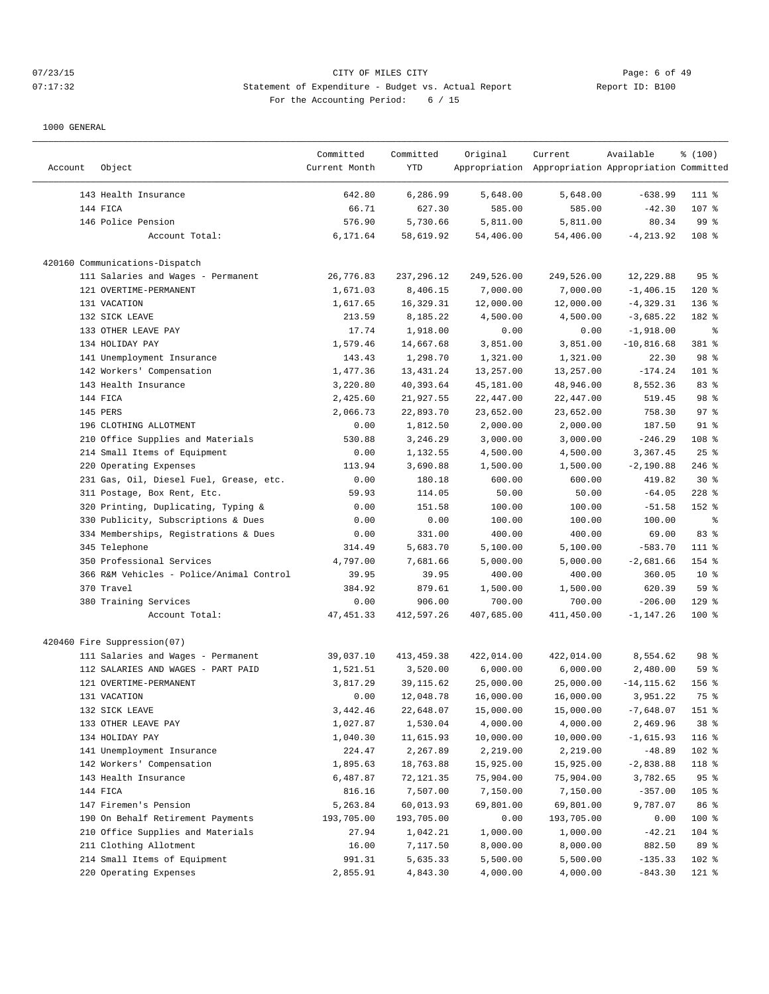# 07/23/15 Page: 6 of 49 07:17:32 Statement of Expenditure - Budget vs. Actual Report Report ID: B100 For the Accounting Period: 6 / 15

| Account | Object                                   | Committed<br>Current Month | Committed<br>YTD | Original              | Current<br>Appropriation Appropriation Appropriation Committed | Available             | % (100)         |
|---------|------------------------------------------|----------------------------|------------------|-----------------------|----------------------------------------------------------------|-----------------------|-----------------|
|         | 143 Health Insurance                     | 642.80                     | 6,286.99         | 5,648.00              | 5,648.00                                                       | $-638.99$             | 111 %           |
|         | 144 FICA                                 | 66.71                      | 627.30           | 585.00                | 585.00                                                         | $-42.30$              | 107 %           |
|         | 146 Police Pension                       | 576.90                     | 5,730.66         | 5,811.00              | 5,811.00                                                       | 80.34                 | 99 <sub>8</sub> |
|         | Account Total:                           | 6,171.64                   | 58,619.92        | 54,406.00             | 54,406.00                                                      | $-4, 213.92$          | $108$ %         |
|         | 420160 Communications-Dispatch           |                            |                  |                       |                                                                |                       |                 |
|         | 111 Salaries and Wages - Permanent       | 26,776.83                  | 237, 296.12      | 249,526.00            | 249,526.00                                                     | 12,229.88             | 95 <sup>8</sup> |
|         | 121 OVERTIME-PERMANENT                   | 1,671.03                   | 8,406.15         | 7,000.00              | 7,000.00                                                       | $-1,406.15$           | $120$ %         |
|         | 131 VACATION                             | 1,617.65                   | 16,329.31        | 12,000.00             | 12,000.00                                                      | $-4, 329.31$          | 136%            |
|         | 132 SICK LEAVE                           | 213.59                     | 8,185.22         | 4,500.00              | 4,500.00                                                       | $-3,685.22$           | 182 %           |
|         | 133 OTHER LEAVE PAY                      | 17.74                      | 1,918.00         | 0.00                  | 0.00                                                           | $-1,918.00$           | ႜ               |
|         | 134 HOLIDAY PAY                          | 1,579.46                   | 14,667.68        | 3,851.00              | 3,851.00                                                       | $-10,816.68$          | 381 %           |
|         | 141 Unemployment Insurance               | 143.43                     | 1,298.70         | 1,321.00              | 1,321.00                                                       | 22.30                 | 98 %            |
|         | 142 Workers' Compensation                | 1,477.36                   | 13, 431. 24      | 13,257.00             | 13,257.00                                                      | $-174.24$             | 101 %           |
|         | 143 Health Insurance                     | 3,220.80                   | 40,393.64        | 45,181.00             | 48,946.00                                                      | 8,552.36              | 83 %            |
|         | 144 FICA                                 | 2,425.60                   | 21,927.55        | 22,447.00             | 22,447.00                                                      | 519.45                | 98 %            |
|         | 145 PERS                                 | 2,066.73                   | 22,893.70        | 23,652.00             | 23,652.00                                                      | 758.30                | 97%             |
|         | 196 CLOTHING ALLOTMENT                   | 0.00                       | 1,812.50         | 2,000.00              | 2,000.00                                                       | 187.50                | 91 %            |
|         | 210 Office Supplies and Materials        | 530.88                     | 3,246.29         | 3,000.00              | 3,000.00                                                       | $-246.29$             | 108 %           |
|         | 214 Small Items of Equipment             | 0.00                       | 1,132.55         | 4,500.00              | 4,500.00                                                       | 3,367.45              | $25$ %          |
|         | 220 Operating Expenses                   | 113.94                     | 3,690.88         | 1,500.00              | 1,500.00                                                       | $-2,190.88$           | $246$ %         |
|         | 231 Gas, Oil, Diesel Fuel, Grease, etc.  | 0.00                       | 180.18           | 600.00                | 600.00                                                         | 419.82                | $30*$           |
|         | 311 Postage, Box Rent, Etc.              | 59.93                      | 114.05           | 50.00                 | 50.00                                                          | $-64.05$              | $228$ %         |
|         | 320 Printing, Duplicating, Typing &      | 0.00                       | 151.58           | 100.00                | 100.00                                                         | $-51.58$              | 152 %           |
| 330     | Publicity, Subscriptions & Dues          | 0.00                       | 0.00             | 100.00                | 100.00                                                         | 100.00                | နွ              |
|         | 334 Memberships, Registrations & Dues    | 0.00                       | 331.00           | 400.00                | 400.00                                                         | 69.00                 | 83 %            |
|         | 345 Telephone                            | 314.49                     | 5,683.70         | 5,100.00              | 5,100.00                                                       | $-583.70$             | 111 %           |
|         | 350 Professional Services                | 4,797.00                   | 7,681.66         | 5,000.00              | 5,000.00                                                       | $-2,681.66$           | 154 %           |
|         | 366 R&M Vehicles - Police/Animal Control | 39.95                      | 39.95            | 400.00                | 400.00                                                         | 360.05                | $10*$           |
|         | 370 Travel                               | 384.92                     | 879.61           | 1,500.00              | 1,500.00                                                       | 620.39                | 59 %            |
|         | 380 Training Services                    | 0.00                       | 906.00           | 700.00                | 700.00                                                         | $-206.00$             | $129$ %         |
|         | Account Total:                           | 47, 451.33                 | 412,597.26       | 407,685.00            | 411,450.00                                                     | $-1, 147.26$          | $100$ %         |
|         | 420460 Fire Suppression(07)              |                            |                  |                       |                                                                |                       |                 |
|         | 111 Salaries and Wages - Permanent       | 39,037.10                  | 413, 459.38      | 422,014.00            | 422,014.00                                                     | 8,554.62              | 98 %            |
|         | 112 SALARIES AND WAGES - PART PAID       | 1,521.51                   | 3,520.00         | 6,000.00              | 6,000.00                                                       | 2,480.00              | 59 %            |
|         | 121 OVERTIME-PERMANENT                   | 3,817.29                   | 39, 115.62       | 25,000.00             | 25,000.00                                                      | $-14, 115.62$         | $156$ %         |
|         | 131 VACATION                             | 0.00                       | 12,048.78        | 16,000.00             | 16,000.00                                                      | 3,951.22              | 75 %            |
|         | 132 SICK LEAVE                           | 3,442.46                   | 22,648.07        | 15,000.00             | 15,000.00                                                      | $-7,648.07$           | 151 %           |
|         | 133 OTHER LEAVE PAY                      | 1,027.87                   | 1,530.04         | 4,000.00              | 4,000.00                                                       | 2,469.96              | $38*$           |
|         | 134 HOLIDAY PAY                          | 1,040.30                   | 11,615.93        | 10,000.00             | 10,000.00                                                      | $-1,615.93$           | 116 %           |
|         | 141 Unemployment Insurance               | 224.47                     | 2,267.89         | 2,219.00              | 2,219.00                                                       | $-48.89$              | 102 %           |
|         | 142 Workers' Compensation                | 1,895.63                   | 18,763.88        | 15,925.00             | 15,925.00                                                      | $-2,838.88$           | 118 %           |
|         | 143 Health Insurance                     | 6,487.87                   | 72,121.35        | 75,904.00             | 75,904.00                                                      | 3,782.65              | 95%             |
|         | 144 FICA                                 | 816.16                     | 7,507.00         |                       |                                                                |                       | 105 %           |
|         | 147 Firemen's Pension                    | 5,263.84                   | 60,013.93        | 7,150.00<br>69,801.00 | 7,150.00<br>69,801.00                                          | $-357.00$<br>9,787.07 | 86 %            |
|         | 190 On Behalf Retirement Payments        | 193,705.00                 | 193,705.00       | 0.00                  | 193,705.00                                                     | 0.00                  | 100 %           |
|         | 210 Office Supplies and Materials        | 27.94                      | 1,042.21         | 1,000.00              | 1,000.00                                                       | $-42.21$              | 104 %           |
|         | 211 Clothing Allotment                   | 16.00                      | 7,117.50         | 8,000.00              | 8,000.00                                                       | 882.50                | 89 %            |
|         | 214 Small Items of Equipment             | 991.31                     | 5,635.33         | 5,500.00              | 5,500.00                                                       | $-135.33$             | 102 %           |
|         | 220 Operating Expenses                   | 2,855.91                   | 4,843.30         | 4,000.00              | 4,000.00                                                       | $-843.30$             | 121 %           |
|         |                                          |                            |                  |                       |                                                                |                       |                 |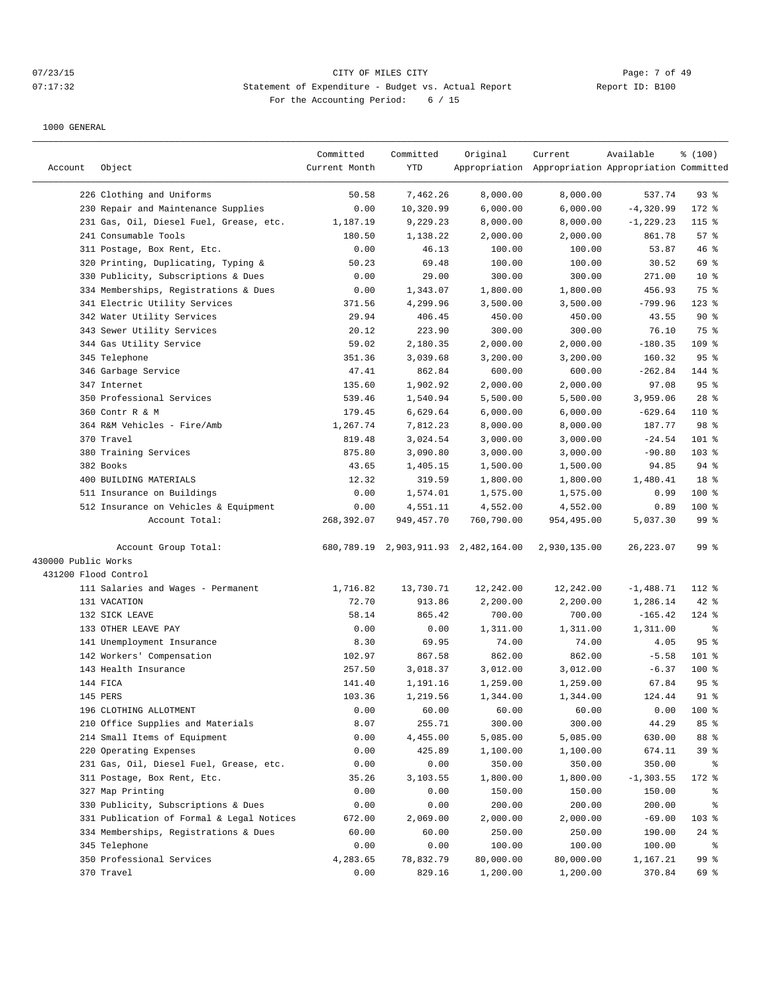# 07/23/15 Page: 7 of 49 07:17:32 Statement of Expenditure - Budget vs. Actual Report Communication Report ID: B100 For the Accounting Period: 6 / 15

|                      |                                           | Committed     | Committed    | Original                             | Current                                             | Available    | % (100)         |
|----------------------|-------------------------------------------|---------------|--------------|--------------------------------------|-----------------------------------------------------|--------------|-----------------|
| Account              | Object                                    | Current Month | YTD          |                                      | Appropriation Appropriation Appropriation Committed |              |                 |
|                      |                                           |               |              |                                      |                                                     |              |                 |
|                      | 226 Clothing and Uniforms                 | 50.58         | 7,462.26     | 8,000.00                             | 8,000.00                                            | 537.74       | $93$ $%$        |
|                      | 230 Repair and Maintenance Supplies       | 0.00          | 10,320.99    | 6,000.00                             | 6,000.00                                            | $-4,320.99$  | 172 %           |
|                      | 231 Gas, Oil, Diesel Fuel, Grease, etc.   | 1,187.19      | 9,229.23     | 8,000.00                             | 8,000.00                                            | $-1, 229.23$ | 115 %           |
|                      | 241 Consumable Tools                      | 180.50        | 1,138.22     | 2,000.00                             | 2,000.00                                            | 861.78       | 57%             |
|                      | 311 Postage, Box Rent, Etc.               | 0.00          | 46.13        | 100.00                               | 100.00                                              | 53.87        | 46 %            |
|                      | 320 Printing, Duplicating, Typing &       | 50.23         | 69.48        | 100.00                               | 100.00                                              | 30.52        | 69 %            |
|                      | 330 Publicity, Subscriptions & Dues       | 0.00          | 29.00        | 300.00                               | 300.00                                              | 271.00       | $10*$           |
|                      | 334 Memberships, Registrations & Dues     | 0.00          | 1,343.07     | 1,800.00                             | 1,800.00                                            | 456.93       | 75 %            |
|                      | 341 Electric Utility Services             | 371.56        | 4,299.96     | 3,500.00                             | 3,500.00                                            | $-799.96$    | $123$ %         |
|                      | 342 Water Utility Services                | 29.94         | 406.45       | 450.00                               | 450.00                                              | 43.55        | 90%             |
|                      | 343 Sewer Utility Services                | 20.12         | 223.90       | 300.00                               | 300.00                                              | 76.10        | 75 %            |
|                      | 344 Gas Utility Service                   | 59.02         | 2,180.35     | 2,000.00                             | 2,000.00                                            | $-180.35$    | $109$ %         |
|                      | 345 Telephone                             | 351.36        | 3,039.68     | 3,200.00                             | 3,200.00                                            | 160.32       | 95%             |
|                      | 346 Garbage Service                       | 47.41         | 862.84       | 600.00                               | 600.00                                              | $-262.84$    | 144 %           |
|                      | 347 Internet                              | 135.60        | 1,902.92     | 2,000.00                             | 2,000.00                                            | 97.08        | 95%             |
|                      | 350 Professional Services                 | 539.46        | 1,540.94     | 5,500.00                             | 5,500.00                                            | 3,959.06     | $28$ %          |
|                      | 360 Contr R & M                           | 179.45        | 6,629.64     | 6,000.00                             | 6,000.00                                            | $-629.64$    | 110 %           |
|                      | 364 R&M Vehicles - Fire/Amb               | 1,267.74      | 7,812.23     | 8,000.00                             | 8,000.00                                            | 187.77       | 98 %            |
|                      | 370 Travel                                | 819.48        | 3,024.54     | 3,000.00                             | 3,000.00                                            | $-24.54$     | 101 %           |
|                      | 380 Training Services                     | 875.80        | 3,090.80     | 3,000.00                             | 3,000.00                                            | $-90.80$     | 103 %           |
|                      | 382 Books                                 | 43.65         | 1,405.15     | 1,500.00                             | 1,500.00                                            | 94.85        | 94%             |
|                      | 400 BUILDING MATERIALS                    | 12.32         | 319.59       | 1,800.00                             | 1,800.00                                            | 1,480.41     | 18 %            |
|                      | 511 Insurance on Buildings                | 0.00          | 1,574.01     | 1,575.00                             | 1,575.00                                            | 0.99         | 100 %           |
|                      | 512 Insurance on Vehicles & Equipment     | 0.00          | 4,551.11     | 4,552.00                             | 4,552.00                                            | 0.89         | 100 %           |
|                      | Account Total:                            | 268,392.07    | 949, 457. 70 | 760,790.00                           | 954,495.00                                          | 5,037.30     | 99 %            |
|                      | Account Group Total:                      |               |              | 680,789.19 2,903,911.93 2,482,164.00 | 2,930,135.00                                        | 26, 223.07   | 99 <sub>8</sub> |
| 430000 Public Works  |                                           |               |              |                                      |                                                     |              |                 |
| 431200 Flood Control |                                           |               |              |                                      |                                                     |              |                 |
|                      | 111 Salaries and Wages - Permanent        | 1,716.82      | 13,730.71    | 12,242.00                            | 12,242.00                                           | $-1,488.71$  | $112*$          |
|                      | 131 VACATION                              | 72.70         | 913.86       | 2,200.00                             | 2,200.00                                            | 1,286.14     | $42$ %          |
|                      | 132 SICK LEAVE                            | 58.14         | 865.42       | 700.00                               | 700.00                                              | $-165.42$    | $124$ %         |
|                      | 133 OTHER LEAVE PAY                       | 0.00          | 0.00         | 1,311.00                             | 1,311.00                                            | 1,311.00     | ႜ               |
|                      | 141 Unemployment Insurance                | 8.30          | 69.95        | 74.00                                | 74.00                                               | 4.05         | 95%             |
|                      | 142 Workers' Compensation                 | 102.97        | 867.58       | 862.00                               | 862.00                                              | $-5.58$      | $101$ %         |
|                      | 143 Health Insurance                      | 257.50        | 3,018.37     | 3,012.00                             | 3,012.00                                            | $-6.37$      | $100*$          |
|                      | 144 FICA                                  | 141.40        | 1,191.16     | 1,259.00                             | 1,259.00                                            | 67.84        | 95%             |
|                      | 145 PERS                                  | 103.36        | 1,219.56     | 1,344.00                             | 1,344.00                                            | 124.44       | $91$ %          |
|                      | 196 CLOTHING ALLOTMENT                    | 0.00          | 60.00        | 60.00                                | 60.00                                               | 0.00         | 100 %           |
|                      | 210 Office Supplies and Materials         | 8.07          | 255.71       | 300.00                               | 300.00                                              | 44.29        | 85 %            |
|                      | 214 Small Items of Equipment              | 0.00          | 4,455.00     | 5,085.00                             | 5,085.00                                            | 630.00       | 88 %            |
|                      | 220 Operating Expenses                    | 0.00          | 425.89       | 1,100.00                             | 1,100.00                                            | 674.11       | 39 %            |
|                      | 231 Gas, Oil, Diesel Fuel, Grease, etc.   | 0.00          | 0.00         | 350.00                               | 350.00                                              | 350.00       | ႜ               |
|                      | 311 Postage, Box Rent, Etc.               | 35.26         | 3,103.55     | 1,800.00                             | 1,800.00                                            | $-1, 303.55$ | 172 %           |
|                      | 327 Map Printing                          | 0.00          | 0.00         | 150.00                               | 150.00                                              | 150.00       | ိန              |
|                      | 330 Publicity, Subscriptions & Dues       | 0.00          | 0.00         | 200.00                               | 200.00                                              | 200.00       | ႜૢ              |
|                      | 331 Publication of Formal & Legal Notices | 672.00        | 2,069.00     | 2,000.00                             | 2,000.00                                            | $-69.00$     | 103 %           |
|                      | 334 Memberships, Registrations & Dues     | 60.00         | 60.00        | 250.00                               | 250.00                                              | 190.00       | 24 %            |
|                      | 345 Telephone                             | 0.00          | 0.00         | 100.00                               | 100.00                                              | 100.00       | ႜૢ              |
|                      | 350 Professional Services                 | 4,283.65      | 78,832.79    | 80,000.00                            | 80,000.00                                           | 1,167.21     | 99 %            |
|                      | 370 Travel                                | 0.00          | 829.16       | 1,200.00                             | 1,200.00                                            | 370.84       | 69 %            |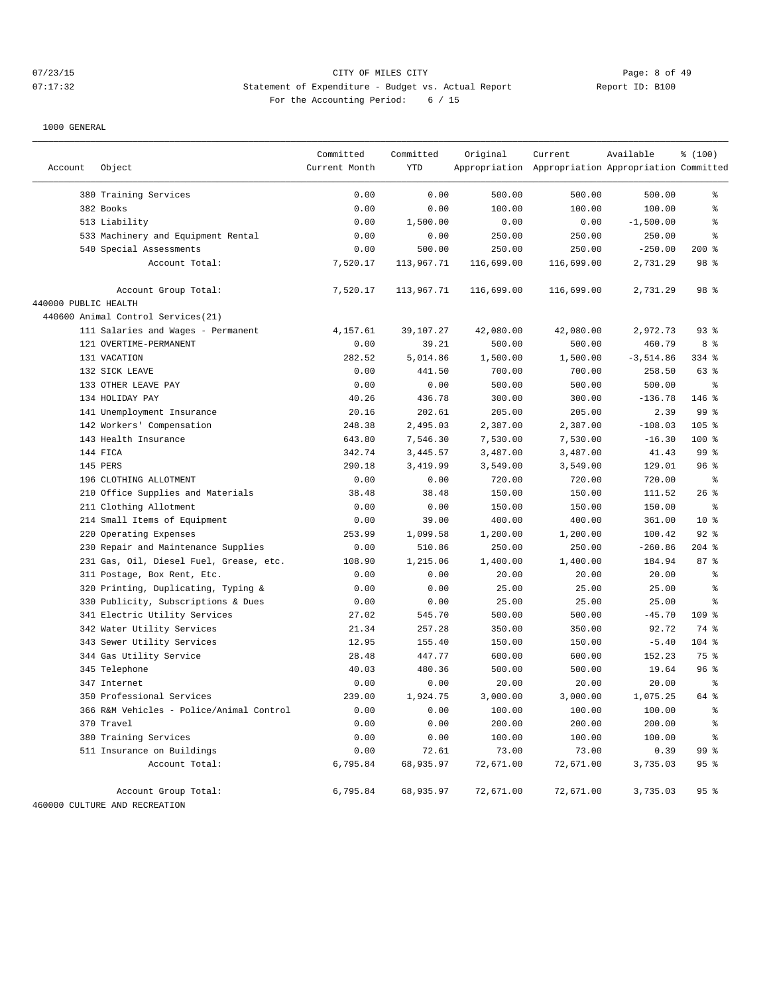# 07/23/15 Page: 8 of 49 07:17:32 Statement of Expenditure - Budget vs. Actual Report Changer Report ID: B100 For the Accounting Period: 6 / 15

| Account              | Object                                   | Current Month | <b>YTD</b> | Appropriation Appropriation Appropriation Committed |            |             |                 |
|----------------------|------------------------------------------|---------------|------------|-----------------------------------------------------|------------|-------------|-----------------|
|                      |                                          |               |            |                                                     |            |             |                 |
|                      | 380 Training Services                    | 0.00          | 0.00       | 500.00                                              | 500.00     | 500.00      | နွ              |
|                      | 382 Books                                | 0.00          | 0.00       | 100.00                                              | 100.00     | 100.00      | နွ              |
|                      | 513 Liability                            | 0.00          | 1,500.00   | 0.00                                                | 0.00       | $-1,500.00$ | ႜ               |
|                      | 533 Machinery and Equipment Rental       | 0.00          | 0.00       | 250.00                                              | 250.00     | 250.00      | နွ              |
|                      | 540 Special Assessments                  | 0.00          | 500.00     | 250.00                                              | 250.00     | $-250.00$   | $200$ %         |
|                      | Account Total:                           | 7,520.17      | 113,967.71 | 116,699.00                                          | 116,699.00 | 2,731.29    | 98 %            |
|                      | Account Group Total:                     | 7,520.17      | 113,967.71 | 116,699.00                                          | 116,699.00 | 2,731.29    | 98 %            |
| 440000 PUBLIC HEALTH |                                          |               |            |                                                     |            |             |                 |
|                      | 440600 Animal Control Services (21)      |               |            |                                                     |            |             |                 |
|                      | 111 Salaries and Wages - Permanent       | 4,157.61      | 39,107.27  | 42,080.00                                           | 42,080.00  | 2,972.73    | $93$ $%$        |
|                      | 121 OVERTIME-PERMANENT                   | 0.00          | 39.21      | 500.00                                              | 500.00     | 460.79      | 8 %             |
|                      | 131 VACATION                             | 282.52        | 5,014.86   | 1,500.00                                            | 1,500.00   | $-3,514.86$ | 334 %           |
|                      | 132 SICK LEAVE                           | 0.00          | 441.50     | 700.00                                              | 700.00     | 258.50      | 63 %            |
|                      | 133 OTHER LEAVE PAY                      | 0.00          | 0.00       | 500.00                                              | 500.00     | 500.00      | နွ              |
|                      | 134 HOLIDAY PAY                          | 40.26         | 436.78     | 300.00                                              | 300.00     | $-136.78$   | 146 %           |
|                      | 141 Unemployment Insurance               | 20.16         | 202.61     | 205.00                                              | 205.00     | 2.39        | 99 %            |
|                      | 142 Workers' Compensation                | 248.38        | 2,495.03   | 2,387.00                                            | 2,387.00   | $-108.03$   | $105$ %         |
|                      | 143 Health Insurance                     | 643.80        | 7,546.30   | 7,530.00                                            | 7,530.00   | $-16.30$    | 100 %           |
|                      | 144 FICA                                 | 342.74        | 3,445.57   | 3,487.00                                            | 3,487.00   | 41.43       | 99 %            |
|                      | 145 PERS                                 | 290.18        | 3,419.99   | 3,549.00                                            | 3,549.00   | 129.01      | 96 <sup>°</sup> |
|                      | 196 CLOTHING ALLOTMENT                   | 0.00          | 0.00       | 720.00                                              | 720.00     | 720.00      | ႜ               |
|                      | 210 Office Supplies and Materials        | 38.48         | 38.48      | 150.00                                              | 150.00     | 111.52      | 26%             |
|                      | 211 Clothing Allotment                   | 0.00          | 0.00       | 150.00                                              | 150.00     | 150.00      | နွ              |
|                      | 214 Small Items of Equipment             | 0.00          | 39.00      | 400.00                                              | 400.00     | 361.00      | 10 <sup>8</sup> |
|                      | 220 Operating Expenses                   | 253.99        | 1,099.58   | 1,200.00                                            | 1,200.00   | 100.42      | $92$ $%$        |
|                      | 230 Repair and Maintenance Supplies      | 0.00          | 510.86     | 250.00                                              | 250.00     | $-260.86$   | $204$ %         |
|                      | 231 Gas, Oil, Diesel Fuel, Grease, etc.  | 108.90        | 1,215.06   | 1,400.00                                            | 1,400.00   | 184.94      | 87%             |
|                      | 311 Postage, Box Rent, Etc.              | 0.00          | 0.00       | 20.00                                               | 20.00      | 20.00       | န္              |
|                      | 320 Printing, Duplicating, Typing &      | 0.00          | 0.00       | 25.00                                               | 25.00      | 25.00       | န္              |
|                      | 330 Publicity, Subscriptions & Dues      | 0.00          | 0.00       | 25.00                                               | 25.00      | 25.00       | နွ              |
|                      | 341 Electric Utility Services            | 27.02         | 545.70     | 500.00                                              | 500.00     | $-45.70$    | $109$ %         |
|                      | 342 Water Utility Services               | 21.34         | 257.28     | 350.00                                              | 350.00     | 92.72       | 74 %            |
|                      | 343 Sewer Utility Services               | 12.95         | 155.40     | 150.00                                              | 150.00     | $-5.40$     | 104 %           |
|                      | 344 Gas Utility Service                  | 28.48         | 447.77     | 600.00                                              | 600.00     | 152.23      | 75 %            |
|                      | 345 Telephone                            | 40.03         | 480.36     | 500.00                                              | 500.00     | 19.64       | 96%             |
|                      | 347 Internet                             | 0.00          | 0.00       | 20.00                                               | 20.00      | 20.00       | $\epsilon$      |
|                      | 350 Professional Services                | 239.00        | 1,924.75   | 3,000.00                                            | 3,000.00   | 1,075.25    | 64 %            |
|                      | 366 R&M Vehicles - Police/Animal Control | 0.00          | 0.00       | 100.00                                              | 100.00     | 100.00      | ి               |
|                      | 370 Travel                               | 0.00          | 0.00       | 200.00                                              | 200.00     | 200.00      | ి               |
|                      | 380 Training Services                    | 0.00          | 0.00       | 100.00                                              | 100.00     | 100.00      | နွ              |
|                      | 511 Insurance on Buildings               | 0.00          | 72.61      | 73.00                                               | 73.00      | 0.39        | 99 %            |
|                      | Account Total:                           | 6,795.84      | 68,935.97  | 72,671.00                                           | 72,671.00  | 3,735.03    | 95%             |
|                      | Account Group Total:                     | 6,795.84      | 68,935.97  | 72,671.00                                           | 72,671.00  | 3,735.03    | 95%             |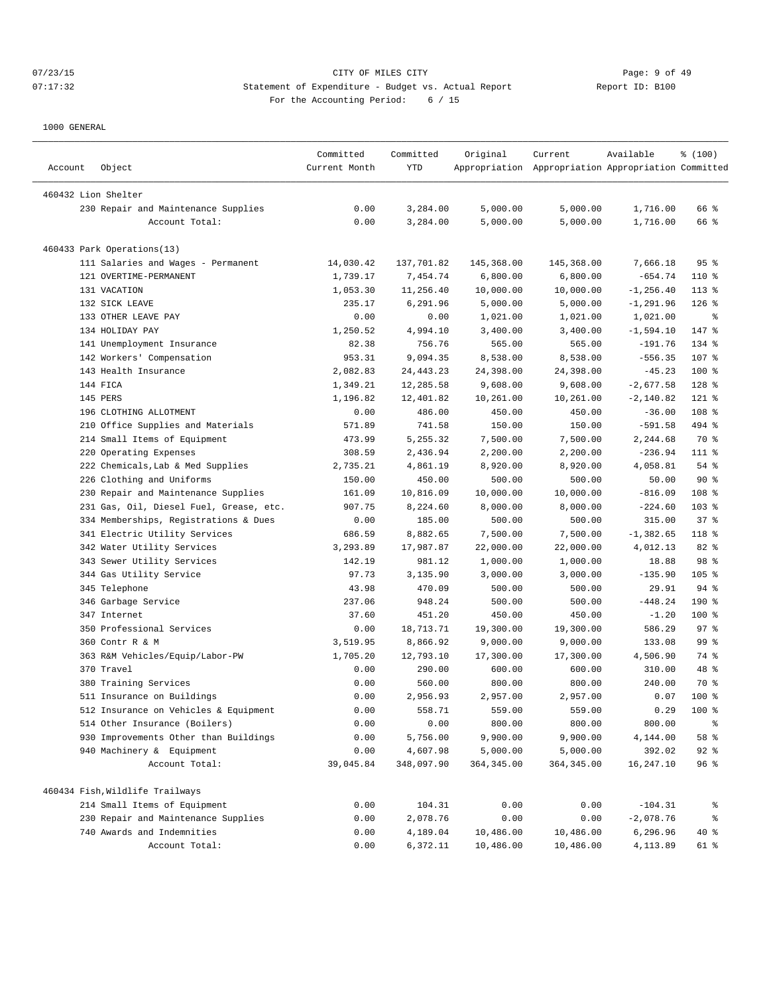# 07/23/15 Page: 9 of 49 07:17:32 Statement of Expenditure - Budget vs. Actual Report Changer Report ID: B100 For the Accounting Period: 6 / 15

| Account             | Object                                      | Committed<br>Current Month | Committed<br>YTD       | Original                | Current<br>Appropriation Appropriation Appropriation Committed | Available           | % (100)       |
|---------------------|---------------------------------------------|----------------------------|------------------------|-------------------------|----------------------------------------------------------------|---------------------|---------------|
| 460432 Lion Shelter |                                             |                            |                        |                         |                                                                |                     |               |
|                     | 230 Repair and Maintenance Supplies         | 0.00                       | 3,284.00               | 5,000.00                | 5,000.00                                                       | 1,716.00            | 66 %          |
|                     | Account Total:                              | 0.00                       | 3,284.00               | 5,000.00                | 5,000.00                                                       | 1,716.00            | 66 %          |
|                     |                                             |                            |                        |                         |                                                                |                     |               |
|                     | 460433 Park Operations(13)                  |                            |                        |                         |                                                                |                     |               |
|                     | 111 Salaries and Wages - Permanent          | 14,030.42                  | 137,701.82             | 145,368.00              | 145,368.00                                                     | 7,666.18            | 95%           |
|                     | 121 OVERTIME-PERMANENT                      | 1,739.17                   | 7,454.74               | 6,800.00                | 6,800.00                                                       | $-654.74$           | 110 %         |
|                     | 131 VACATION                                | 1,053.30                   | 11,256.40              | 10,000.00               | 10,000.00                                                      | $-1, 256.40$        | 113 %         |
|                     | 132 SICK LEAVE                              | 235.17                     | 6,291.96               | 5,000.00                | 5,000.00                                                       | $-1, 291.96$        | $126$ %       |
|                     | 133 OTHER LEAVE PAY                         | 0.00                       | 0.00                   | 1,021.00                | 1,021.00                                                       | 1,021.00            | ႜ             |
|                     | 134 HOLIDAY PAY                             | 1,250.52                   | 4,994.10               | 3,400.00                | 3,400.00                                                       | $-1,594.10$         | 147 %         |
|                     | 141 Unemployment Insurance                  | 82.38                      | 756.76                 | 565.00                  | 565.00                                                         | $-191.76$           | 134 %         |
|                     | 142 Workers' Compensation                   | 953.31                     | 9,094.35               | 8,538.00                | 8,538.00                                                       | $-556.35$           | 107 %         |
|                     | 143 Health Insurance                        | 2,082.83                   | 24, 443. 23            | 24,398.00               | 24,398.00                                                      | $-45.23$            | 100 %         |
|                     | 144 FICA                                    | 1,349.21                   | 12,285.58              | 9,608.00                | 9,608.00                                                       | $-2,677.58$         | 128 %         |
|                     | 145 PERS                                    | 1,196.82                   | 12,401.82              | 10,261.00               | 10,261.00                                                      | $-2,140.82$         | $121$ %       |
|                     | 196 CLOTHING ALLOTMENT                      | 0.00                       | 486.00                 | 450.00                  | 450.00                                                         | $-36.00$            | 108 %         |
|                     | 210 Office Supplies and Materials           | 571.89                     | 741.58                 | 150.00                  | 150.00                                                         | $-591.58$           | 494 %         |
|                     | 214 Small Items of Equipment                | 473.99                     | 5,255.32               | 7,500.00                | 7,500.00                                                       | 2,244.68            | 70 %          |
| 220                 | Operating Expenses                          | 308.59                     | 2,436.94               | 2,200.00                | 2,200.00                                                       | $-236.94$           | 111 %         |
|                     | 222 Chemicals, Lab & Med Supplies           | 2,735.21                   | 4,861.19               | 8,920.00                | 8,920.00                                                       | 4,058.81            | 54 %          |
|                     | 226 Clothing and Uniforms                   | 150.00                     | 450.00                 | 500.00                  | 500.00                                                         | 50.00               | 90%           |
|                     | 230 Repair and Maintenance Supplies         | 161.09                     | 10,816.09              | 10,000.00               | 10,000.00                                                      | $-816.09$           | 108 %         |
|                     | 231 Gas, Oil, Diesel Fuel, Grease, etc.     | 907.75                     | 8,224.60               | 8,000.00                | 8,000.00                                                       | $-224.60$           | 103 %         |
|                     | 334 Memberships, Registrations & Dues       | 0.00                       | 185.00                 | 500.00                  | 500.00                                                         | 315.00              | 37%           |
|                     | 341 Electric Utility Services               | 686.59                     | 8,882.65               | 7,500.00                | 7,500.00                                                       | $-1, 382.65$        | 118 %         |
|                     | 342 Water Utility Services                  | 3,293.89                   | 17,987.87              | 22,000.00               | 22,000.00                                                      | 4,012.13            | 82 %          |
|                     | 343 Sewer Utility Services                  | 142.19                     | 981.12                 | 1,000.00                | 1,000.00                                                       | 18.88               | 98 %          |
|                     | 344 Gas Utility Service                     | 97.73                      | 3,135.90               | 3,000.00                | 3,000.00                                                       | $-135.90$           | $105$ %       |
|                     | 345 Telephone                               | 43.98                      | 470.09                 | 500.00                  | 500.00                                                         | 29.91               | $94$ %        |
|                     | 346 Garbage Service                         | 237.06                     | 948.24                 | 500.00                  | 500.00                                                         | $-448.24$           | 190%          |
|                     | 347 Internet                                | 37.60                      | 451.20                 | 450.00                  | 450.00                                                         | $-1.20$             | $100$ %       |
|                     | 350 Professional Services                   | 0.00                       | 18,713.71              | 19,300.00               | 19,300.00                                                      | 586.29              | 97%           |
|                     | 360 Contr R & M                             | 3,519.95                   | 8,866.92               | 9,000.00                | 9,000.00                                                       | 133.08              | 99 %          |
|                     | 363 R&M Vehicles/Equip/Labor-PW             | 1,705.20                   | 12,793.10              | 17,300.00               | 17,300.00                                                      | 4,506.90            | 74 %          |
|                     | 370 Travel                                  | 0.00                       | 290.00                 | 600.00                  | 600.00                                                         | 310.00              | 48 %          |
|                     | 380 Training Services                       | 0.00                       | 560.00                 | 800.00                  | 800.00                                                         | 240.00              | 70 %          |
|                     | 511 Insurance on Buildings                  | 0.00                       | 2,956.93               | 2,957.00                | 2,957.00                                                       | 0.07                | $100*$        |
|                     | 512 Insurance on Vehicles & Equipment       | 0.00                       | 558.71                 | 559.00                  | 559.00                                                         | 0.29                | 100 %         |
|                     | 514 Other Insurance (Boilers)               | 0.00                       | 0.00                   | 800.00                  | 800.00                                                         | 800.00              | ಿ             |
|                     |                                             |                            |                        | 9,900.00                |                                                                | 4,144.00            | 58 %          |
|                     | 930 Improvements Other than Buildings       | 0.00                       | 5,756.00               |                         | 9,900.00                                                       |                     |               |
|                     | 940 Machinery & Equipment<br>Account Total: | 0.00<br>39,045.84          | 4,607.98<br>348,097.90 | 5,000.00<br>364, 345.00 | 5,000.00<br>364, 345.00                                        | 392.02<br>16,247.10 | $92$ %<br>96% |
|                     |                                             |                            |                        |                         |                                                                |                     |               |
|                     | 460434 Fish, Wildlife Trailways             |                            |                        |                         |                                                                |                     |               |
|                     | 214 Small Items of Equipment                | 0.00                       | 104.31                 | 0.00                    | 0.00                                                           | $-104.31$           | ಿ             |
|                     | 230 Repair and Maintenance Supplies         | 0.00                       | 2,078.76               | 0.00                    | 0.00                                                           | $-2,078.76$         | ಕಿ            |
|                     | 740 Awards and Indemnities                  | 0.00                       | 4,189.04               | 10,486.00               | 10,486.00                                                      | 6,296.96            | 40 %          |
|                     | Account Total:                              | 0.00                       | 6,372.11               | 10,486.00               | 10,486.00                                                      | 4,113.89            | 61 %          |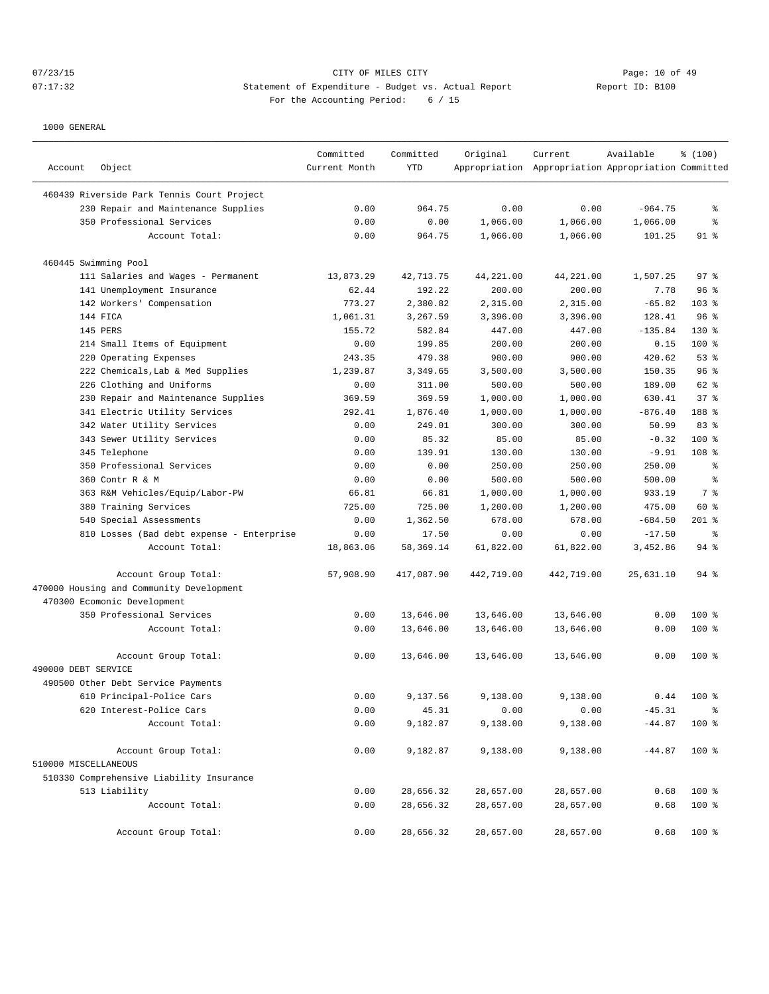# 07/23/15 Page: 10 of 49 07:17:32 Statement of Expenditure - Budget vs. Actual Report Changer Report ID: B100 For the Accounting Period: 6 / 15

| Account              | Object                                     | Committed<br>Current Month | Committed<br>YTD | Original   | Current<br>Appropriation Appropriation Appropriation Committed | Available | % (100)          |
|----------------------|--------------------------------------------|----------------------------|------------------|------------|----------------------------------------------------------------|-----------|------------------|
|                      | 460439 Riverside Park Tennis Court Project |                            |                  |            |                                                                |           |                  |
|                      | 230 Repair and Maintenance Supplies        | 0.00                       | 964.75           | 0.00       | 0.00                                                           | $-964.75$ | နွ               |
|                      | 350 Professional Services                  | 0.00                       | 0.00             | 1,066.00   | 1,066.00                                                       | 1,066.00  | နွ               |
|                      | Account Total:                             | 0.00                       | 964.75           | 1,066.00   | 1,066.00                                                       | 101.25    | 91 %             |
|                      | 460445 Swimming Pool                       |                            |                  |            |                                                                |           |                  |
|                      | 111 Salaries and Wages - Permanent         | 13,873.29                  | 42,713.75        | 44,221.00  | 44,221.00                                                      | 1,507.25  | $97$ %           |
|                      | 141 Unemployment Insurance                 | 62.44                      | 192.22           | 200.00     | 200.00                                                         | 7.78      | 96 %             |
|                      | 142 Workers' Compensation                  | 773.27                     | 2,380.82         | 2,315.00   | 2,315.00                                                       | $-65.82$  | 103 %            |
|                      | 144 FICA                                   | 1,061.31                   | 3,267.59         | 3,396.00   | 3,396.00                                                       | 128.41    | 96 <sup>°</sup>  |
|                      | 145 PERS                                   | 155.72                     | 582.84           | 447.00     | 447.00                                                         | $-135.84$ | $130*$           |
|                      | 214 Small Items of Equipment               | 0.00                       | 199.85           | 200.00     | 200.00                                                         | 0.15      | $100$ %          |
|                      | 220 Operating Expenses                     | 243.35                     | 479.38           | 900.00     | 900.00                                                         | 420.62    | 53%              |
|                      |                                            | 1,239.87                   | 3,349.65         |            |                                                                | 150.35    | 96%              |
|                      | 222 Chemicals, Lab & Med Supplies          |                            |                  | 3,500.00   | 3,500.00                                                       |           |                  |
| 226                  | Clothing and Uniforms                      | 0.00                       | 311.00           | 500.00     | 500.00                                                         | 189.00    | 62 %             |
|                      | 230 Repair and Maintenance Supplies        | 369.59                     | 369.59           | 1,000.00   | 1,000.00                                                       | 630.41    | 378              |
|                      | 341 Electric Utility Services              | 292.41                     | 1,876.40         | 1,000.00   | 1,000.00                                                       | $-876.40$ | 188 %            |
|                      | 342 Water Utility Services                 | 0.00                       | 249.01           | 300.00     | 300.00                                                         | 50.99     | 83%              |
|                      | 343 Sewer Utility Services                 | 0.00                       | 85.32            | 85.00      | 85.00                                                          | $-0.32$   | $100*$           |
|                      | 345 Telephone                              | 0.00                       | 139.91           | 130.00     | 130.00                                                         | $-9.91$   | 108 <sup>8</sup> |
|                      | 350 Professional Services                  | 0.00                       | 0.00             | 250.00     | 250.00                                                         | 250.00    | နွ               |
|                      | 360 Contr R & M                            | 0.00                       | 0.00             | 500.00     | 500.00                                                         | 500.00    | နွ               |
|                      | 363 R&M Vehicles/Equip/Labor-PW            | 66.81                      | 66.81            | 1,000.00   | 1,000.00                                                       | 933.19    | 7 %              |
|                      | 380 Training Services                      | 725.00                     | 725.00           | 1,200.00   | 1,200.00                                                       | 475.00    | 60 %             |
|                      | 540 Special Assessments                    | 0.00                       | 1,362.50         | 678.00     | 678.00                                                         | $-684.50$ | $201$ %          |
|                      | 810 Losses (Bad debt expense - Enterprise  | 0.00                       | 17.50            | 0.00       | 0.00                                                           | $-17.50$  | $\epsilon$       |
|                      | Account Total:                             | 18,863.06                  | 58,369.14        | 61,822.00  | 61,822.00                                                      | 3,452.86  | 94 %             |
|                      | Account Group Total:                       | 57,908.90                  | 417,087.90       | 442,719.00 | 442,719.00                                                     | 25,631.10 | 94 %             |
|                      | 470000 Housing and Community Development   |                            |                  |            |                                                                |           |                  |
|                      | 470300 Ecomonic Development                |                            |                  |            |                                                                |           |                  |
|                      | 350 Professional Services                  | 0.00                       | 13,646.00        | 13,646.00  | 13,646.00                                                      | 0.00      | $100$ %          |
|                      | Account Total:                             | 0.00                       | 13,646.00        | 13,646.00  | 13,646.00                                                      | 0.00      | $100*$           |
|                      | Account Group Total:                       | 0.00                       | 13,646.00        | 13,646.00  | 13,646.00                                                      | 0.00      | $100*$           |
| 490000 DEBT SERVICE  |                                            |                            |                  |            |                                                                |           |                  |
|                      | 490500 Other Debt Service Payments         |                            |                  |            |                                                                |           |                  |
|                      | 610 Principal-Police Cars                  | 0.00                       | 9,137.56         | 9,138.00   | 9,138.00                                                       | 0.44      | $100*$           |
|                      | 620 Interest-Police Cars                   | 0.00                       | 45.31            | 0.00       | 0.00                                                           | $-45.31$  | နွ               |
|                      | Account Total:                             | 0.00                       | 9,182.87         | 9,138.00   | 9,138.00                                                       | $-44.87$  | 100 %            |
|                      | Account Group Total:                       | 0.00                       | 9,182.87         | 9,138.00   | 9,138.00                                                       | $-44.87$  | 100 %            |
| 510000 MISCELLANEOUS |                                            |                            |                  |            |                                                                |           |                  |
|                      | 510330 Comprehensive Liability Insurance   |                            |                  |            |                                                                |           |                  |
|                      | 513 Liability                              | 0.00                       | 28,656.32        | 28,657.00  | 28,657.00                                                      | 0.68      | 100 %            |
|                      | Account Total:                             | 0.00                       | 28,656.32        | 28,657.00  | 28,657.00                                                      | 0.68      | 100 %            |
|                      | Account Group Total:                       | 0.00                       | 28,656.32        | 28,657.00  | 28,657.00                                                      | 0.68      | 100 %            |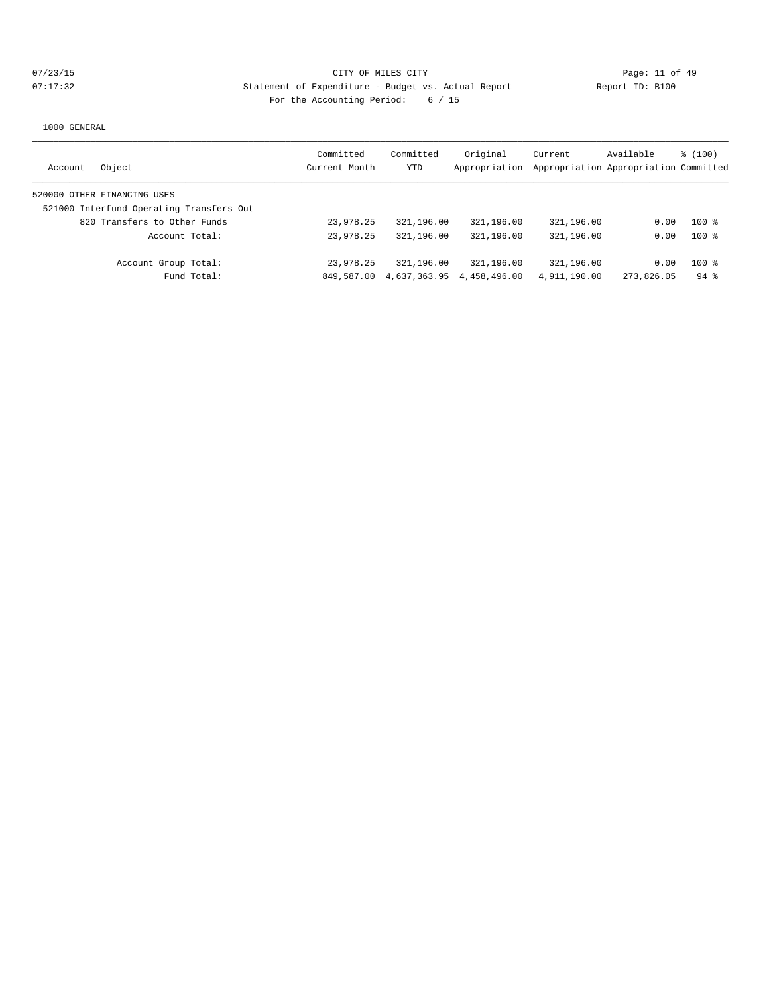| Object<br>Account                        | Committed<br>Current Month | Committed<br><b>YTD</b> | Original<br>Appropriation | Current      | Available<br>Appropriation Appropriation Committed | \$(100)  |
|------------------------------------------|----------------------------|-------------------------|---------------------------|--------------|----------------------------------------------------|----------|
| 520000 OTHER FINANCING USES              |                            |                         |                           |              |                                                    |          |
| 521000 Interfund Operating Transfers Out |                            |                         |                           |              |                                                    |          |
| 820 Transfers to Other Funds             | 23,978.25                  | 321,196.00              | 321,196.00                | 321,196.00   | 0.00                                               | $100*$   |
| Account Total:                           | 23,978.25                  | 321,196.00              | 321,196.00                | 321,196.00   | 0.00                                               | $100$ %  |
| Account Group Total:                     | 23,978.25                  | 321,196.00              | 321,196.00                | 321,196.00   | 0.00                                               | $100*$   |
| Fund Total:                              | 849,587.00                 | 4,637,363.95            | 4,458,496.00              | 4,911,190.00 | 273,826.05                                         | $94$ $%$ |
|                                          |                            |                         |                           |              |                                                    |          |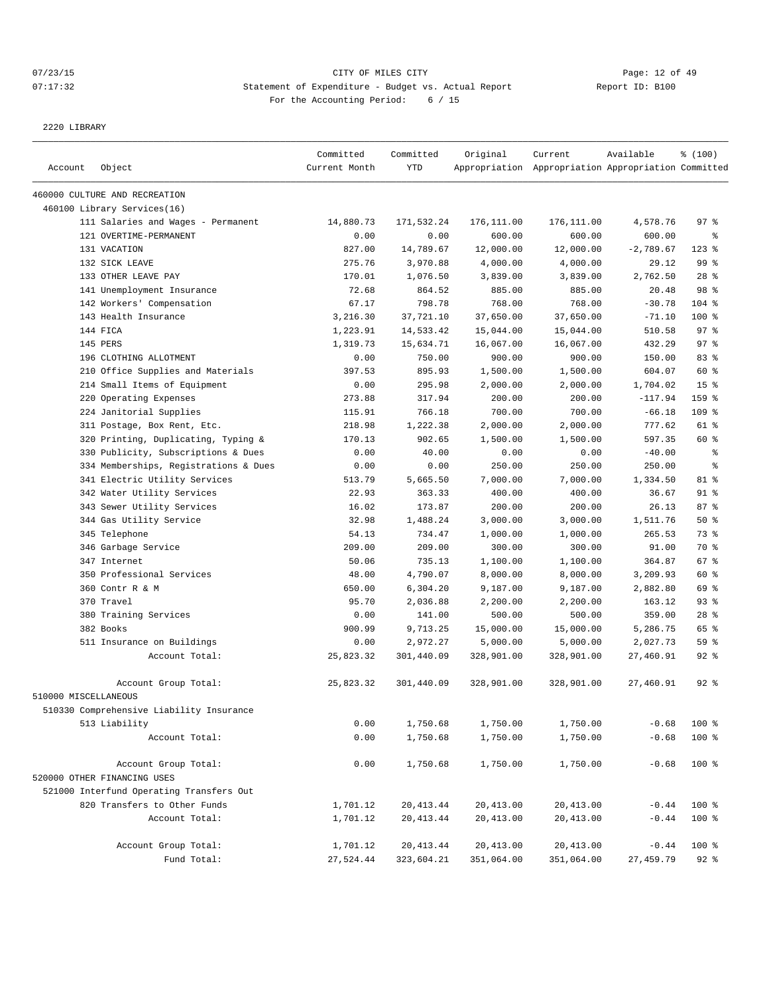# 07/23/15 Page: 12 of 49 07:17:32 Statement of Expenditure - Budget vs. Actual Report Report ID: B100 For the Accounting Period: 6 / 15

2220 LIBRARY

|                      |                                          | Committed     | Committed   | Original   | Current                                             | Available   | % (100)         |
|----------------------|------------------------------------------|---------------|-------------|------------|-----------------------------------------------------|-------------|-----------------|
| Account              | Object                                   | Current Month | <b>YTD</b>  |            | Appropriation Appropriation Appropriation Committed |             |                 |
|                      | 460000 CULTURE AND RECREATION            |               |             |            |                                                     |             |                 |
|                      | 460100 Library Services(16)              |               |             |            |                                                     |             |                 |
|                      | 111 Salaries and Wages - Permanent       | 14,880.73     | 171,532.24  | 176,111.00 | 176,111.00                                          | 4,578.76    | 97%             |
|                      | 121 OVERTIME-PERMANENT                   | 0.00          | 0.00        | 600.00     | 600.00                                              | 600.00      | နွ              |
|                      | 131 VACATION                             | 827.00        | 14,789.67   | 12,000.00  | 12,000.00                                           | $-2,789.67$ | $123$ %         |
|                      | 132 SICK LEAVE                           | 275.76        | 3,970.88    | 4,000.00   | 4,000.00                                            | 29.12       | 99 %            |
|                      | 133 OTHER LEAVE PAY                      | 170.01        | 1,076.50    | 3,839.00   | 3,839.00                                            | 2,762.50    | $28$ %          |
|                      | 141 Unemployment Insurance               | 72.68         | 864.52      | 885.00     | 885.00                                              | 20.48       | 98 %            |
|                      | 142 Workers' Compensation                | 67.17         | 798.78      | 768.00     | 768.00                                              | $-30.78$    | $104$ %         |
|                      | 143 Health Insurance                     | 3,216.30      | 37,721.10   | 37,650.00  | 37,650.00                                           | $-71.10$    | 100 %           |
|                      | 144 FICA                                 | 1,223.91      | 14,533.42   | 15,044.00  | 15,044.00                                           | 510.58      | 97%             |
|                      | 145 PERS                                 | 1,319.73      | 15,634.71   | 16,067.00  | 16,067.00                                           | 432.29      | 97 <sub>8</sub> |
|                      | 196 CLOTHING ALLOTMENT                   | 0.00          | 750.00      | 900.00     | 900.00                                              | 150.00      | 83%             |
|                      | 210 Office Supplies and Materials        | 397.53        | 895.93      | 1,500.00   | 1,500.00                                            | 604.07      | 60 %            |
|                      | 214 Small Items of Equipment             | 0.00          | 295.98      | 2,000.00   | 2,000.00                                            | 1,704.02    | 15 <sup>°</sup> |
|                      | 220 Operating Expenses                   | 273.88        | 317.94      | 200.00     | 200.00                                              | $-117.94$   | 159 %           |
|                      | 224 Janitorial Supplies                  | 115.91        | 766.18      | 700.00     | 700.00                                              | $-66.18$    | 109 %           |
|                      | 311 Postage, Box Rent, Etc.              | 218.98        | 1,222.38    | 2,000.00   | 2,000.00                                            | 777.62      | 61 %            |
|                      | 320 Printing, Duplicating, Typing &      | 170.13        | 902.65      | 1,500.00   | 1,500.00                                            | 597.35      | 60 %            |
|                      | 330 Publicity, Subscriptions & Dues      | 0.00          | 40.00       | 0.00       | 0.00                                                | $-40.00$    | နွ              |
|                      | 334 Memberships, Registrations & Dues    | 0.00          | 0.00        | 250.00     | 250.00                                              | 250.00      | နွ              |
|                      | 341 Electric Utility Services            | 513.79        | 5,665.50    | 7,000.00   | 7,000.00                                            | 1,334.50    | 81 %            |
|                      | 342 Water Utility Services               | 22.93         | 363.33      | 400.00     | 400.00                                              | 36.67       | $91$ %          |
|                      | 343 Sewer Utility Services               | 16.02         | 173.87      | 200.00     | 200.00                                              | 26.13       | 87%             |
|                      | 344 Gas Utility Service                  | 32.98         | 1,488.24    | 3,000.00   | 3,000.00                                            | 1,511.76    | 50%             |
|                      | 345 Telephone                            | 54.13         | 734.47      | 1,000.00   | 1,000.00                                            | 265.53      | 73 %            |
|                      | 346 Garbage Service                      | 209.00        | 209.00      | 300.00     | 300.00                                              | 91.00       | 70 %            |
|                      | 347 Internet                             | 50.06         | 735.13      | 1,100.00   | 1,100.00                                            | 364.87      | 67%             |
|                      | 350 Professional Services                | 48.00         | 4,790.07    | 8,000.00   | 8,000.00                                            | 3,209.93    | 60 %            |
|                      | 360 Contr R & M                          | 650.00        | 6,304.20    | 9,187.00   | 9,187.00                                            | 2,882.80    | 69 %            |
|                      | 370 Travel                               | 95.70         | 2,036.88    | 2,200.00   | 2,200.00                                            | 163.12      | 93%             |
|                      | 380 Training Services                    | 0.00          | 141.00      | 500.00     | 500.00                                              | 359.00      | $28$ %          |
|                      | 382 Books                                | 900.99        | 9,713.25    | 15,000.00  | 15,000.00                                           | 5,286.75    | 65 %            |
|                      | 511 Insurance on Buildings               | 0.00          | 2,972.27    | 5,000.00   | 5,000.00                                            | 2,027.73    | 59 %            |
|                      | Account Total:                           | 25,823.32     | 301,440.09  | 328,901.00 | 328,901.00                                          | 27,460.91   | 92%             |
|                      | Account Group Total:                     | 25,823.32     | 301,440.09  | 328,901.00 | 328,901.00                                          | 27,460.91   | $92$ $%$        |
| 510000 MISCELLANEOUS |                                          |               |             |            |                                                     |             |                 |
|                      | 510330 Comprehensive Liability Insurance |               |             |            |                                                     |             |                 |
|                      | 513 Liability                            | 0.00          | 1,750.68    | 1,750.00   | 1,750.00                                            | $-0.68$     | 100 %           |
|                      | Account Total:                           | 0.00          | 1,750.68    | 1,750.00   | 1,750.00                                            | $-0.68$     | 100 %           |
|                      | Account Group Total:                     | 0.00          | 1,750.68    | 1,750.00   | 1,750.00                                            | $-0.68$     | 100 %           |
|                      | 520000 OTHER FINANCING USES              |               |             |            |                                                     |             |                 |
|                      | 521000 Interfund Operating Transfers Out |               |             |            |                                                     |             |                 |
|                      | 820 Transfers to Other Funds             | 1,701.12      | 20, 413.44  | 20,413.00  | 20,413.00                                           | $-0.44$     | 100 %           |
|                      | Account Total:                           | 1,701.12      | 20, 413. 44 | 20,413.00  | 20, 413.00                                          | $-0.44$     | 100 %           |
|                      | Account Group Total:                     | 1,701.12      | 20,413.44   | 20,413.00  | 20,413.00                                           | $-0.44$     | 100 %           |
|                      | Fund Total:                              | 27,524.44     | 323,604.21  | 351,064.00 | 351,064.00                                          | 27,459.79   | $92$ %          |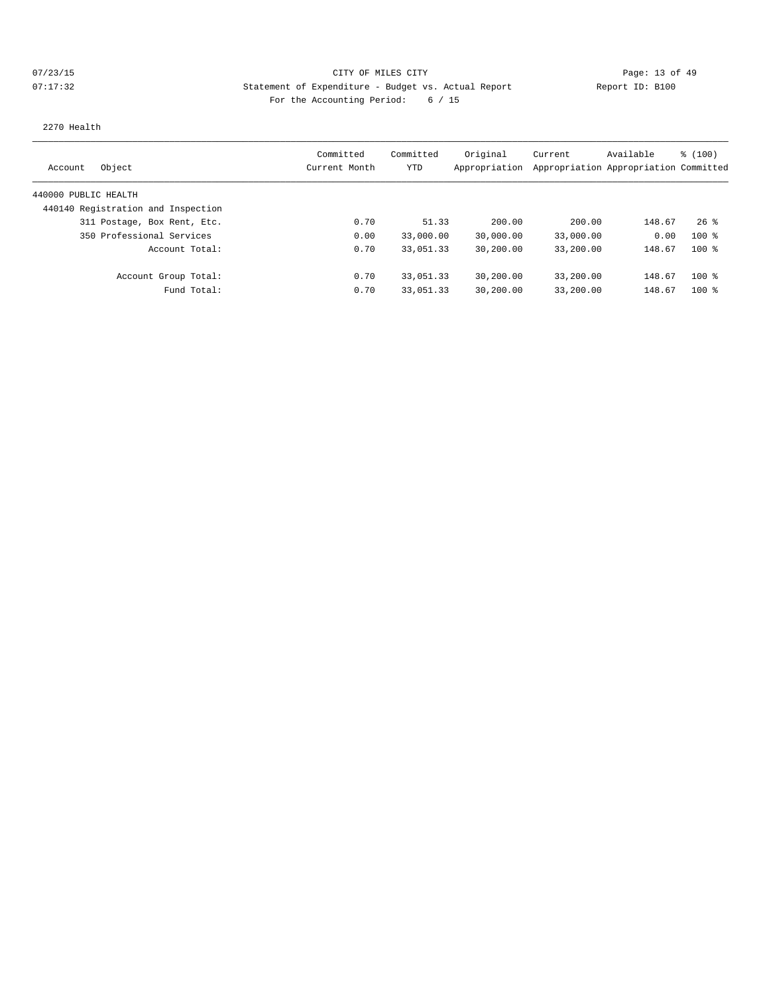# 07/23/15 Page: 13 of 49 07:17:32 Statement of Expenditure - Budget vs. Actual Report Report ID: B100 For the Accounting Period: 6 / 15

2270 Health

|                                    | Committed     | Committed | Original      | Current                               | Available | \$(100) |
|------------------------------------|---------------|-----------|---------------|---------------------------------------|-----------|---------|
| Object<br>Account                  | Current Month | YTD       | Appropriation | Appropriation Appropriation Committed |           |         |
| 440000 PUBLIC HEALTH               |               |           |               |                                       |           |         |
| 440140 Registration and Inspection |               |           |               |                                       |           |         |
| 311 Postage, Box Rent, Etc.        | 0.70          | 51.33     | 200.00        | 200.00                                | 148.67    | $26$ %  |
| 350 Professional Services          | 0.00          | 33,000.00 | 30,000.00     | 33,000.00                             | 0.00      | $100*$  |
| Account Total:                     | 0.70          | 33,051.33 | 30,200.00     | 33,200.00                             | 148.67    | $100$ % |
| Account Group Total:               | 0.70          | 33,051.33 | 30,200.00     | 33,200.00                             | 148.67    | $100$ % |
| Fund Total:                        | 0.70          | 33,051.33 | 30,200.00     | 33,200.00                             | 148.67    | $100$ % |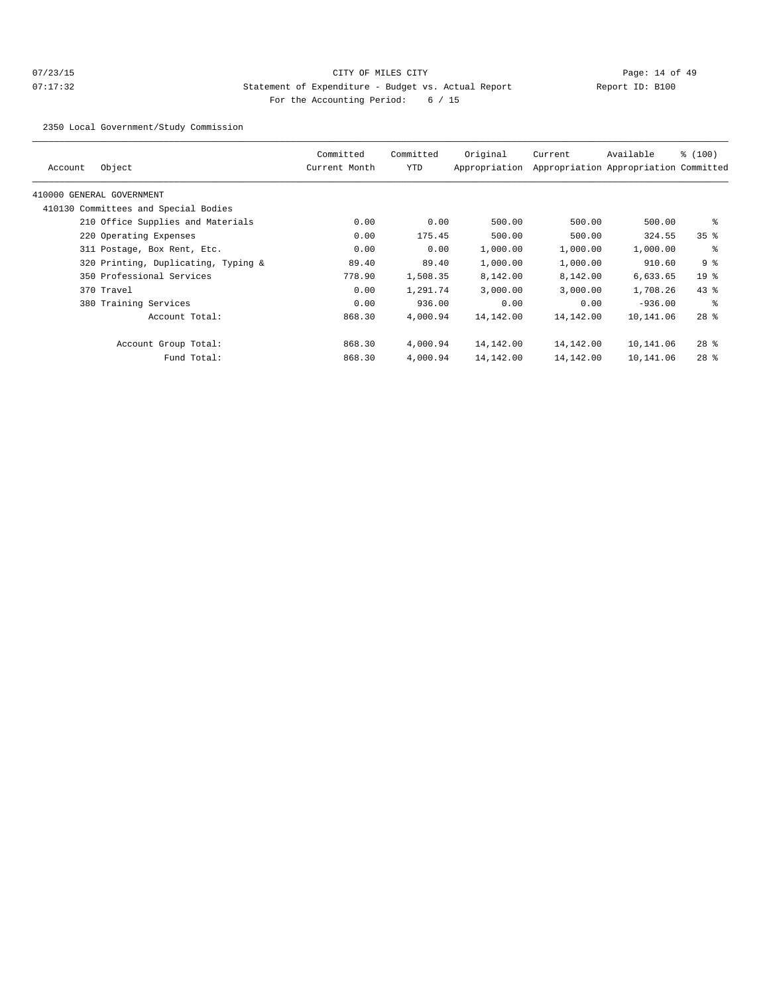# $O7/23/15$  Page: 14 of 49 07:17:32 Statement of Expenditure - Budget vs. Actual Report Changer Report ID: B100 For the Accounting Period: 6 / 15

2350 Local Government/Study Commission

| Account | Object                               | Committed<br>Current Month | Committed<br>YTD | Original<br>Appropriation | Current   | Available<br>Appropriation Appropriation Committed | % (100)         |
|---------|--------------------------------------|----------------------------|------------------|---------------------------|-----------|----------------------------------------------------|-----------------|
|         | 410000 GENERAL GOVERNMENT            |                            |                  |                           |           |                                                    |                 |
|         | 410130 Committees and Special Bodies |                            |                  |                           |           |                                                    |                 |
|         | 210 Office Supplies and Materials    | 0.00                       | 0.00             | 500.00                    | 500.00    | 500.00                                             | နွ              |
|         | 220 Operating Expenses               | 0.00                       | 175.45           | 500.00                    | 500.00    | 324.55                                             | 35 <sup>8</sup> |
|         | 311 Postage, Box Rent, Etc.          | 0.00                       | 0.00             | 1,000.00                  | 1,000.00  | 1,000.00                                           | ႜ               |
|         | 320 Printing, Duplicating, Typing &  | 89.40                      | 89.40            | 1,000.00                  | 1,000.00  | 910.60                                             | 9 %             |
|         | 350 Professional Services            | 778.90                     | 1,508.35         | 8,142.00                  | 8,142.00  | 6,633.65                                           | 19 <sup>°</sup> |
|         | 370 Travel                           | 0.00                       | 1,291.74         | 3,000.00                  | 3,000.00  | 1,708.26                                           | $43$ %          |
|         | 380 Training Services                | 0.00                       | 936.00           | 0.00                      | 0.00      | $-936.00$                                          | ွေ              |
|         | Account Total:                       | 868.30                     | 4,000.94         | 14,142.00                 | 14,142.00 | 10,141.06                                          | $28$ $%$        |
|         | Account Group Total:                 | 868.30                     | 4,000.94         | 14,142.00                 | 14,142.00 | 10,141.06                                          | $28$ %          |
|         | Fund Total:                          | 868.30                     | 4,000.94         | 14,142.00                 | 14,142.00 | 10,141.06                                          | $28$ %          |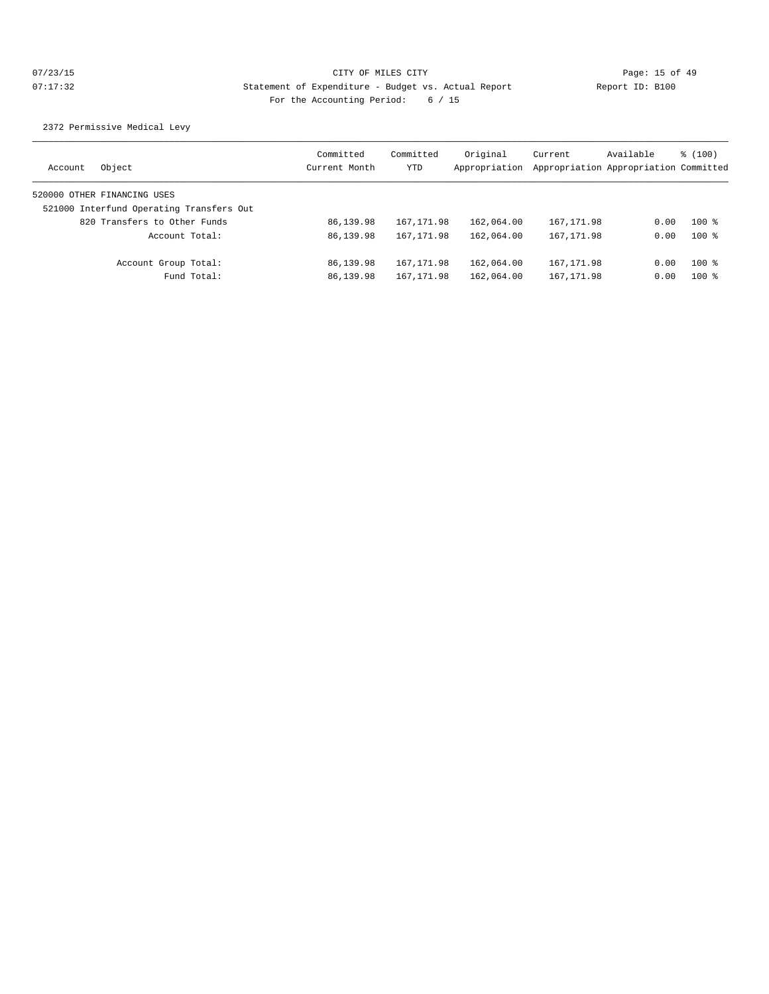2372 Permissive Medical Levy

| Object<br>Account                        | Committed<br>Current Month | Committed<br>YTD | Original<br>Appropriation | Current     | Available<br>Appropriation Appropriation Committed | \$(100) |
|------------------------------------------|----------------------------|------------------|---------------------------|-------------|----------------------------------------------------|---------|
| 520000 OTHER FINANCING USES              |                            |                  |                           |             |                                                    |         |
| 521000 Interfund Operating Transfers Out |                            |                  |                           |             |                                                    |         |
| 820 Transfers to Other Funds             | 86,139.98                  | 167, 171.98      | 162,064.00                | 167, 171.98 | 0.00                                               | $100*$  |
| Account Total:                           | 86,139.98                  | 167, 171.98      | 162,064.00                | 167, 171.98 | 0.00                                               | $100*$  |
| Account Group Total:                     | 86,139.98                  | 167, 171.98      | 162,064.00                | 167, 171.98 | 0.00                                               | $100*$  |
| Fund Total:                              | 86,139.98                  | 167, 171.98      | 162,064.00                | 167, 171.98 | 0.00                                               | $100*$  |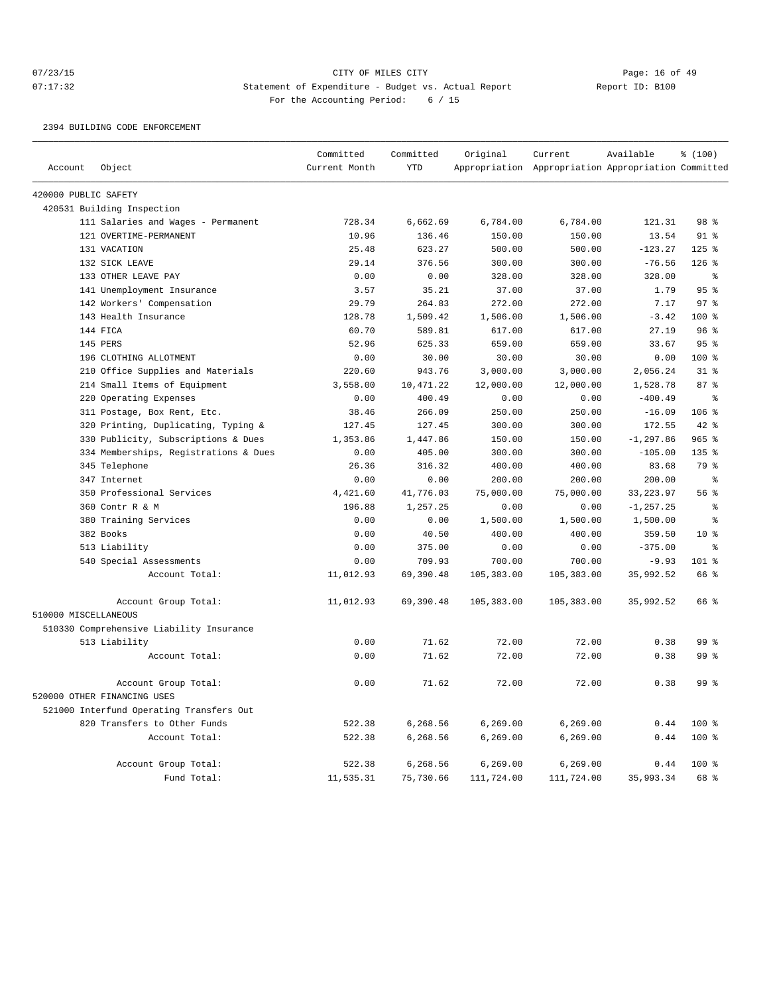# 07/23/15 Page: 16 of 49 07:17:32 Statement of Expenditure - Budget vs. Actual Report Changer Report ID: B100 For the Accounting Period: 6 / 15

## 2394 BUILDING CODE ENFORCEMENT

|                      |                                          | Committed     | Committed | Original    | Current                                             | Available    | % (100)         |
|----------------------|------------------------------------------|---------------|-----------|-------------|-----------------------------------------------------|--------------|-----------------|
| Account              | Object                                   | Current Month | YTD       |             | Appropriation Appropriation Appropriation Committed |              |                 |
| 420000 PUBLIC SAFETY |                                          |               |           |             |                                                     |              |                 |
|                      | 420531 Building Inspection               |               |           |             |                                                     |              |                 |
|                      | 111 Salaries and Wages - Permanent       | 728.34        | 6,662.69  | 6,784.00    | 6,784.00                                            | 121.31       | 98 %            |
|                      | 121 OVERTIME-PERMANENT                   | 10.96         | 136.46    | 150.00      | 150.00                                              | 13.54        | $91$ %          |
|                      | 131 VACATION                             | 25.48         | 623.27    | 500.00      | 500.00                                              | $-123.27$    | $125$ %         |
|                      | 132 SICK LEAVE                           | 29.14         | 376.56    | 300.00      | 300.00                                              | $-76.56$     | $126$ %         |
|                      | 133 OTHER LEAVE PAY                      | 0.00          | 0.00      | 328.00      | 328.00                                              | 328.00       | ႜ               |
|                      | 141 Unemployment Insurance               | 3.57          | 35.21     | 37.00       | 37.00                                               | 1.79         | 95%             |
|                      | 142 Workers' Compensation                | 29.79         | 264.83    | 272.00      | 272.00                                              | 7.17         | 97 <sup>8</sup> |
|                      | 143 Health Insurance                     | 128.78        | 1,509.42  | 1,506.00    | 1,506.00                                            | $-3.42$      | 100 %           |
|                      | 144 FICA                                 | 60.70         | 589.81    | 617.00      | 617.00                                              | 27.19        | 96%             |
|                      | 145 PERS                                 | 52.96         | 625.33    | 659.00      | 659.00                                              | 33.67        | 95%             |
|                      | 196 CLOTHING ALLOTMENT                   | 0.00          | 30.00     | 30.00       | 30.00                                               | 0.00         | 100 %           |
|                      | 210 Office Supplies and Materials        | 220.60        | 943.76    | 3,000.00    | 3,000.00                                            | 2,056.24     | $31$ $%$        |
|                      | 214 Small Items of Equipment             | 3,558.00      | 10,471.22 | 12,000.00   | 12,000.00                                           | 1,528.78     | 87 <sup>8</sup> |
|                      | 220 Operating Expenses                   | 0.00          | 400.49    | 0.00        | 0.00                                                | $-400.49$    | $\epsilon$      |
|                      | 311 Postage, Box Rent, Etc.              | 38.46         | 266.09    | 250.00      | 250.00                                              | $-16.09$     | 106 %           |
|                      | 320 Printing, Duplicating, Typing &      | 127.45        | 127.45    | 300.00      | 300.00                                              | 172.55       | $42*$           |
|                      | 330 Publicity, Subscriptions & Dues      | 1,353.86      | 1,447.86  | 150.00      | 150.00                                              | $-1, 297.86$ | $965$ %         |
|                      | 334 Memberships, Registrations & Dues    | 0.00          | 405.00    | 300.00      | 300.00                                              | $-105.00$    | 135 %           |
|                      | 345 Telephone                            | 26.36         | 316.32    | 400.00      | 400.00                                              | 83.68        | 79 %            |
|                      | 347 Internet                             | 0.00          | 0.00      | 200.00      | 200.00                                              | 200.00       | $\epsilon$      |
|                      | 350 Professional Services                | 4,421.60      | 41,776.03 | 75,000.00   | 75,000.00                                           | 33, 223.97   | 56 %            |
|                      | 360 Contr R & M                          | 196.88        | 1,257.25  | 0.00        | 0.00                                                | $-1, 257.25$ | နွ              |
|                      | 380 Training Services                    | 0.00          | 0.00      | 1,500.00    | 1,500.00                                            | 1,500.00     | န္              |
|                      | 382 Books                                | 0.00          | 40.50     | 400.00      | 400.00                                              | 359.50       | 10 <sup>8</sup> |
|                      | 513 Liability                            | 0.00          | 375.00    | 0.00        | 0.00                                                | $-375.00$    | န့              |
|                      | 540 Special Assessments                  | 0.00          | 709.93    | 700.00      | 700.00                                              | $-9.93$      | 101 %           |
|                      | Account Total:                           | 11,012.93     | 69,390.48 | 105, 383.00 | 105,383.00                                          | 35,992.52    | 66 %            |
| 510000 MISCELLANEOUS | Account Group Total:                     | 11,012.93     | 69,390.48 | 105,383.00  | 105,383.00                                          | 35,992.52    | 66 %            |
|                      | 510330 Comprehensive Liability Insurance |               |           |             |                                                     |              |                 |
|                      | 513 Liability                            | 0.00          | 71.62     | 72.00       | 72.00                                               | 0.38         | 99 <sup>8</sup> |
|                      | Account Total:                           | 0.00          | 71.62     | 72.00       | 72.00                                               | 0.38         | 99 %            |
|                      |                                          |               |           |             |                                                     |              |                 |
|                      | Account Group Total:                     | 0.00          | 71.62     | 72.00       | 72.00                                               | 0.38         | 99 %            |
|                      | 520000 OTHER FINANCING USES              |               |           |             |                                                     |              |                 |
|                      | 521000 Interfund Operating Transfers Out |               |           |             |                                                     |              |                 |
|                      | 820 Transfers to Other Funds             | 522.38        | 6,268.56  | 6,269.00    | 6,269.00                                            | 0.44         | $100$ %         |
|                      | Account Total:                           | 522.38        | 6,268.56  | 6, 269.00   | 6, 269.00                                           | 0.44         | 100 %           |
|                      | Account Group Total:                     | 522.38        | 6,268.56  | 6, 269.00   | 6, 269.00                                           | 0.44         | 100 %           |
|                      | Fund Total:                              | 11,535.31     | 75,730.66 | 111,724.00  | 111,724.00                                          | 35,993.34    | 68 %            |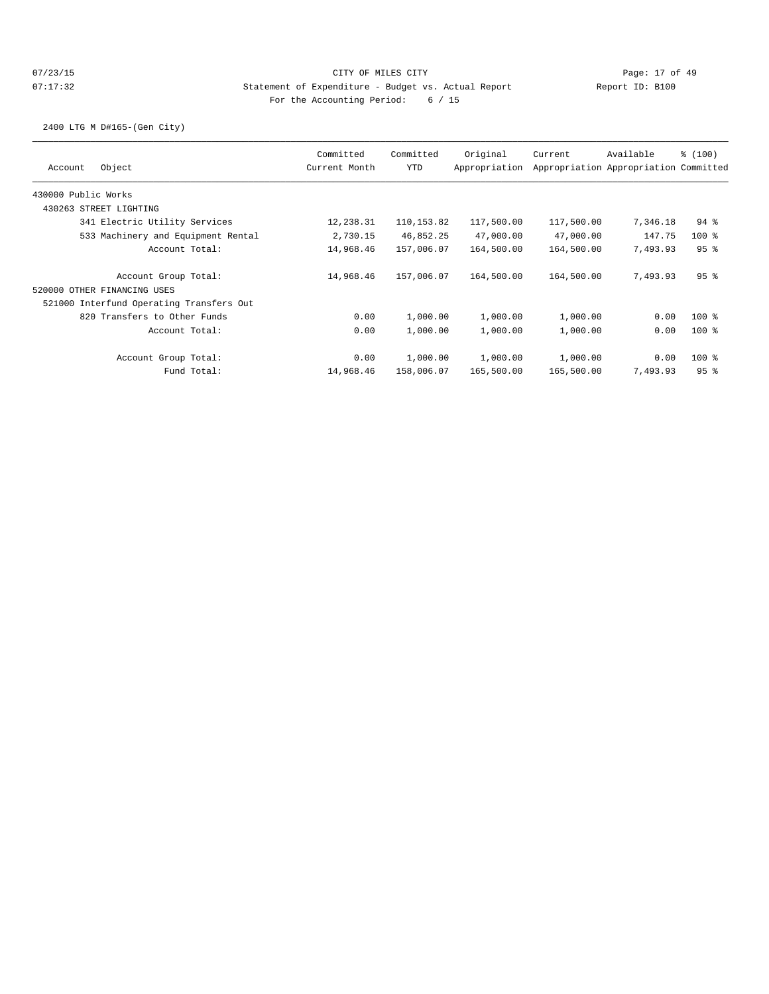2400 LTG M D#165-(Gen City)

| Object<br>Account                        | Committed<br>Current Month | Committed<br><b>YTD</b> | Original<br>Appropriation | Current    | Available<br>Appropriation Appropriation Committed | \$(100) |
|------------------------------------------|----------------------------|-------------------------|---------------------------|------------|----------------------------------------------------|---------|
| 430000 Public Works                      |                            |                         |                           |            |                                                    |         |
| 430263 STREET LIGHTING                   |                            |                         |                           |            |                                                    |         |
| 341 Electric Utility Services            | 12,238.31                  | 110,153.82              | 117,500.00                | 117,500.00 | 7,346.18                                           | $94$ %  |
| 533 Machinery and Equipment Rental       | 2,730.15                   | 46,852.25               | 47,000.00                 | 47,000.00  | 147.75                                             | $100$ % |
| Account Total:                           | 14,968.46                  | 157,006.07              | 164,500.00                | 164,500.00 | 7,493.93                                           | 95%     |
| Account Group Total:                     | 14,968.46                  | 157,006.07              | 164,500.00                | 164,500.00 | 7,493.93                                           | 95%     |
| 520000 OTHER FINANCING USES              |                            |                         |                           |            |                                                    |         |
| 521000 Interfund Operating Transfers Out |                            |                         |                           |            |                                                    |         |
| 820 Transfers to Other Funds             | 0.00                       | 1,000.00                | 1,000.00                  | 1,000.00   | 0.00                                               | $100$ % |
| Account Total:                           | 0.00                       | 1,000.00                | 1,000.00                  | 1,000.00   | 0.00                                               | $100$ % |
| Account Group Total:                     | 0.00                       | 1,000.00                | 1,000.00                  | 1,000.00   | 0.00                                               | $100$ % |
| Fund Total:                              | 14,968.46                  | 158,006.07              | 165,500.00                | 165,500.00 | 7,493.93                                           | 95%     |
|                                          |                            |                         |                           |            |                                                    |         |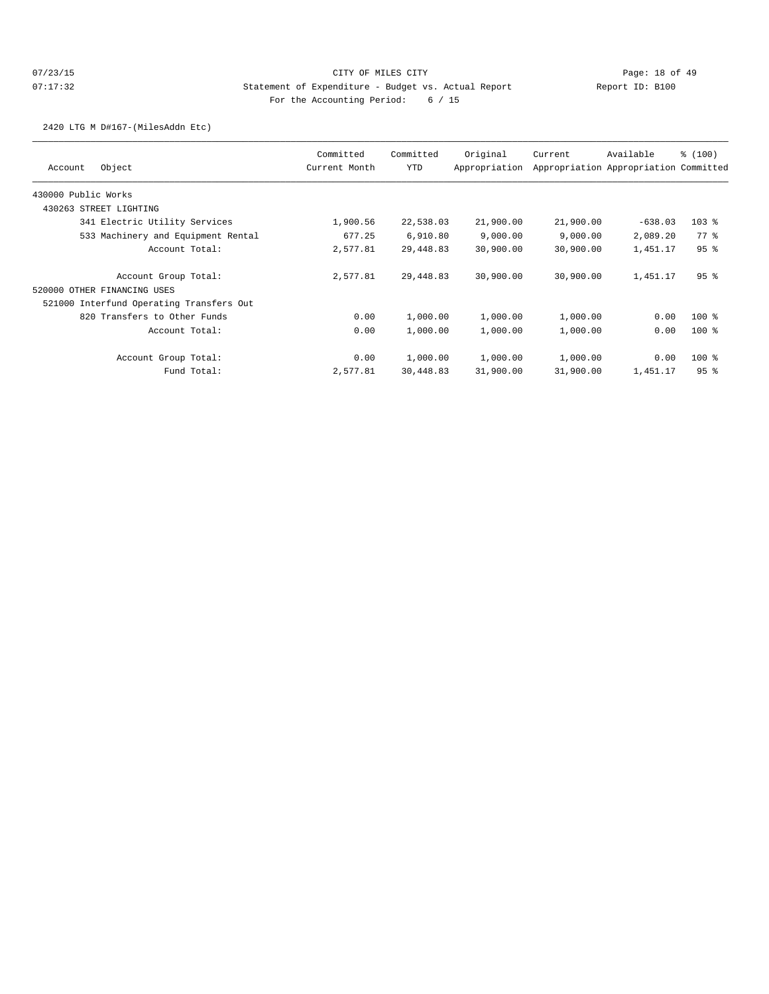2420 LTG M D#167-(MilesAddn Etc)

| Committed<br>Current Month | Committed<br><b>YTD</b> | Original<br>Appropriation | Current                                                                                          | Available                                                                                        | \$(100)                               |
|----------------------------|-------------------------|---------------------------|--------------------------------------------------------------------------------------------------|--------------------------------------------------------------------------------------------------|---------------------------------------|
|                            |                         |                           |                                                                                                  |                                                                                                  |                                       |
|                            |                         |                           |                                                                                                  |                                                                                                  |                                       |
| 1,900.56                   |                         | 21,900.00                 |                                                                                                  | $-638.03$                                                                                        | $103$ %                               |
| 677.25                     |                         | 9,000.00                  |                                                                                                  | 2,089.20                                                                                         | 77.8                                  |
| 2,577.81                   |                         | 30,900.00                 |                                                                                                  | 1,451.17                                                                                         | 95%                                   |
| 2,577.81                   |                         | 30,900.00                 |                                                                                                  | 1,451.17                                                                                         | 95%                                   |
|                            |                         |                           |                                                                                                  |                                                                                                  |                                       |
|                            |                         |                           |                                                                                                  |                                                                                                  |                                       |
| 0.00                       |                         | 1,000.00                  |                                                                                                  | 0.00                                                                                             | $100$ %                               |
| 0.00                       |                         | 1,000.00                  |                                                                                                  | 0.00                                                                                             | $100$ %                               |
| 0.00                       |                         | 1,000.00                  |                                                                                                  | 0.00                                                                                             | $100$ %                               |
| 2,577.81                   |                         | 31,900.00                 |                                                                                                  | 1,451.17                                                                                         | 95%                                   |
|                            |                         |                           | 22,538.03<br>6,910.80<br>29,448.83<br>29,448.83<br>1,000.00<br>1,000.00<br>1,000.00<br>30,448.83 | 21,900.00<br>9,000.00<br>30,900.00<br>30,900.00<br>1,000.00<br>1,000.00<br>1,000.00<br>31,900.00 | Appropriation Appropriation Committed |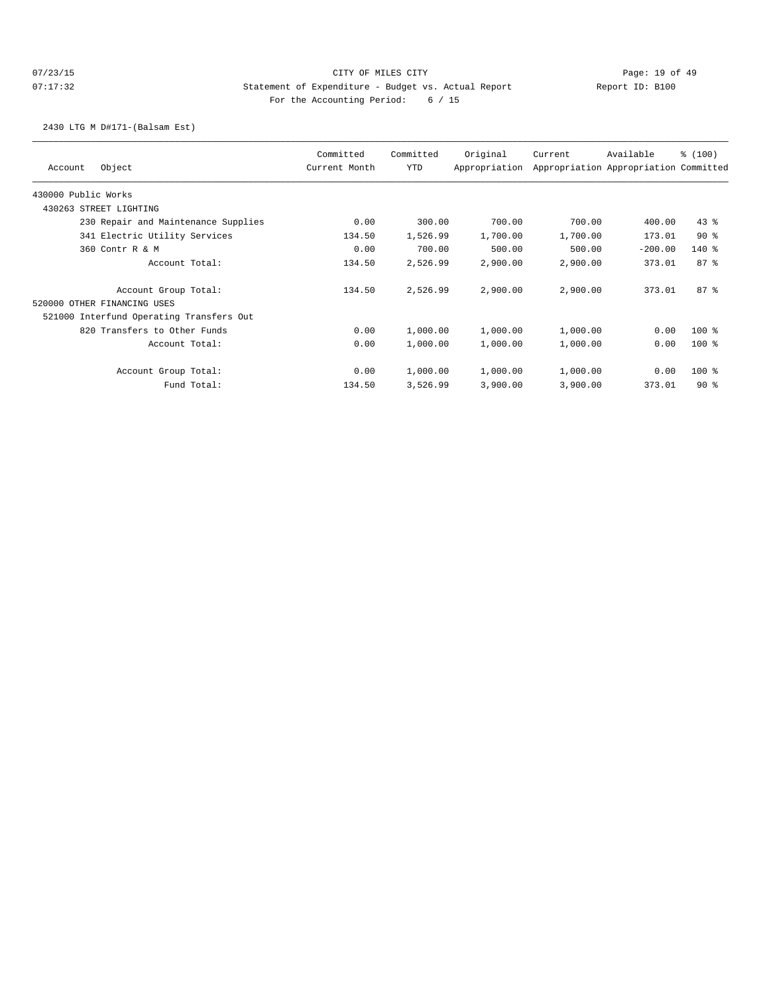# 07/23/15 Page: 19 of 49 07:17:32 Statement of Expenditure - Budget vs. Actual Report Report ID: B100 For the Accounting Period: 6 / 15

2430 LTG M D#171-(Balsam Est)

| Object<br>Account                        | Committed<br>Current Month | Committed<br>YTD | Original<br>Appropriation | Current  | Available<br>Appropriation Appropriation Committed | % (100) |
|------------------------------------------|----------------------------|------------------|---------------------------|----------|----------------------------------------------------|---------|
| 430000 Public Works                      |                            |                  |                           |          |                                                    |         |
| 430263 STREET LIGHTING                   |                            |                  |                           |          |                                                    |         |
| 230 Repair and Maintenance Supplies      | 0.00                       | 300.00           | 700.00                    | 700.00   | 400.00                                             | $43$ %  |
| 341 Electric Utility Services            | 134.50                     | 1,526.99         | 1,700.00                  | 1,700.00 | 173.01                                             | 90%     |
| 360 Contr R & M                          | 0.00                       | 700.00           | 500.00                    | 500.00   | $-200.00$                                          | $140*$  |
| Account Total:                           | 134.50                     | 2,526.99         | 2,900.00                  | 2,900.00 | 373.01                                             | 87%     |
| Account Group Total:                     | 134.50                     | 2,526.99         | 2,900.00                  | 2,900.00 | 373.01                                             | 87%     |
| 520000 OTHER FINANCING USES              |                            |                  |                           |          |                                                    |         |
| 521000 Interfund Operating Transfers Out |                            |                  |                           |          |                                                    |         |
| 820 Transfers to Other Funds             | 0.00                       | 1,000.00         | 1,000.00                  | 1,000.00 | 0.00                                               | $100$ % |
| Account Total:                           | 0.00                       | 1,000.00         | 1,000.00                  | 1,000.00 | 0.00                                               | $100$ % |
| Account Group Total:                     | 0.00                       | 1,000.00         | 1,000.00                  | 1,000.00 | 0.00                                               | $100$ % |
| Fund Total:                              | 134.50                     | 3,526.99         | 3,900.00                  | 3,900.00 | 373.01                                             | $90*$   |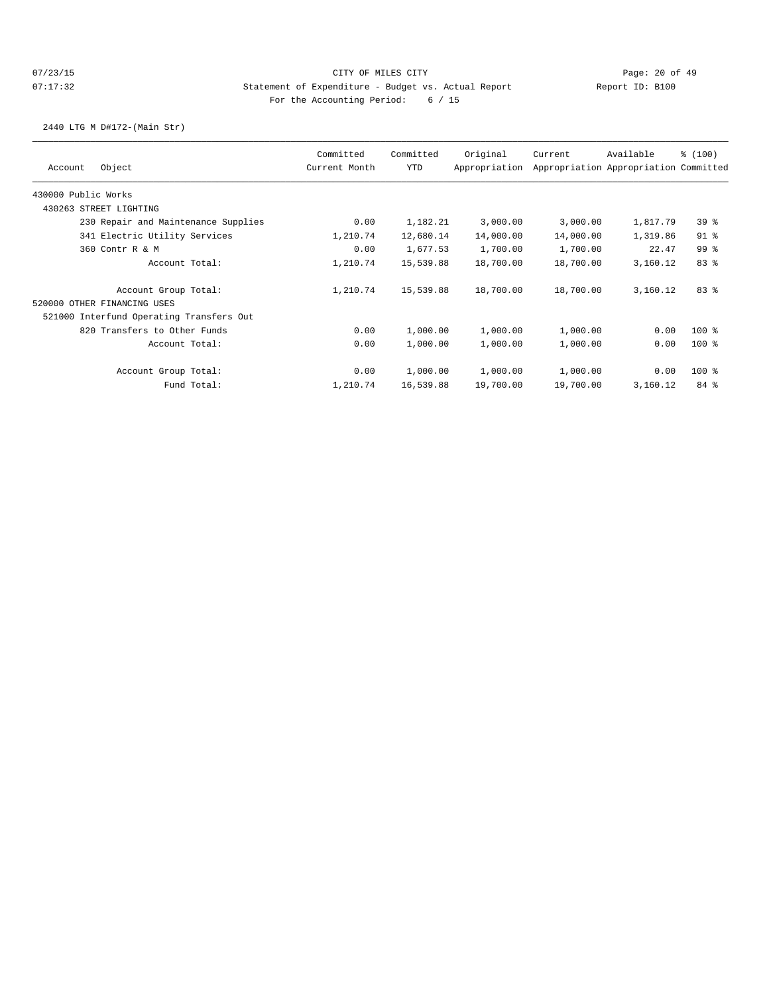2440 LTG M D#172-(Main Str)

|                     |                                          | Committed     | Committed | Original      | Current   | Available                             | % (100)         |
|---------------------|------------------------------------------|---------------|-----------|---------------|-----------|---------------------------------------|-----------------|
| Account             | Object                                   | Current Month | YTD       | Appropriation |           | Appropriation Appropriation Committed |                 |
| 430000 Public Works |                                          |               |           |               |           |                                       |                 |
| 430263              | STREET LIGHTING                          |               |           |               |           |                                       |                 |
|                     | 230 Repair and Maintenance Supplies      | 0.00          | 1,182.21  | 3,000.00      | 3,000.00  | 1,817.79                              | 39 <sup>8</sup> |
|                     | 341 Electric Utility Services            | 1,210.74      | 12,680.14 | 14,000.00     | 14,000.00 | 1,319.86                              | $91$ %          |
|                     | 360 Contr R & M                          | 0.00          | 1,677.53  | 1,700.00      | 1,700.00  | 22.47                                 | 99 <sub>8</sub> |
|                     | Account Total:                           | 1,210.74      | 15,539.88 | 18,700.00     | 18,700.00 | 3,160.12                              | 83 %            |
|                     | Account Group Total:                     | 1,210.74      | 15,539.88 | 18,700.00     | 18,700.00 | 3,160.12                              | 83%             |
|                     | 520000 OTHER FINANCING USES              |               |           |               |           |                                       |                 |
|                     | 521000 Interfund Operating Transfers Out |               |           |               |           |                                       |                 |
|                     | 820 Transfers to Other Funds             | 0.00          | 1,000.00  | 1,000.00      | 1,000.00  | 0.00                                  | $100$ %         |
|                     | Account Total:                           | 0.00          | 1,000.00  | 1,000.00      | 1,000.00  | 0.00                                  | $100$ %         |
|                     | Account Group Total:                     | 0.00          | 1,000.00  | 1,000.00      | 1,000.00  | 0.00                                  | $100$ %         |
|                     | Fund Total:                              | 1,210.74      | 16,539.88 | 19,700.00     | 19,700.00 | 3,160.12                              | $84$ $%$        |
|                     |                                          |               |           |               |           |                                       |                 |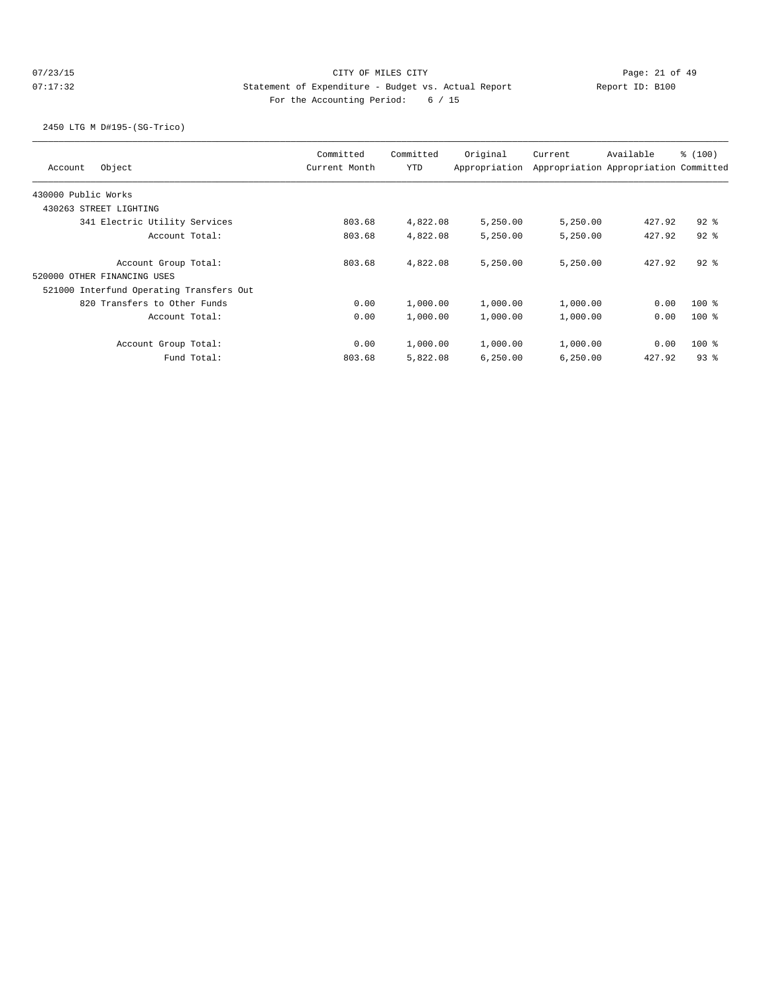2450 LTG M D#195-(SG-Trico)

| Object<br>Account                        | Committed<br>Current Month | Committed<br>YTD | Original<br>Appropriation | Current  | Available<br>Appropriation Appropriation Committed | % (100)  |
|------------------------------------------|----------------------------|------------------|---------------------------|----------|----------------------------------------------------|----------|
| 430000 Public Works                      |                            |                  |                           |          |                                                    |          |
| 430263 STREET LIGHTING                   |                            |                  |                           |          |                                                    |          |
| 341 Electric Utility Services            | 803.68                     | 4,822.08         | 5,250.00                  | 5,250.00 | 427.92                                             | $92$ $%$ |
| Account Total:                           | 803.68                     | 4,822.08         | 5,250.00                  | 5,250.00 | 427.92                                             | $92$ $%$ |
| Account Group Total:                     | 803.68                     | 4,822.08         | 5,250.00                  | 5,250.00 | 427.92                                             | $92$ $%$ |
| 520000 OTHER FINANCING USES              |                            |                  |                           |          |                                                    |          |
| 521000 Interfund Operating Transfers Out |                            |                  |                           |          |                                                    |          |
| 820 Transfers to Other Funds             | 0.00                       | 1,000.00         | 1,000.00                  | 1,000.00 | 0.00                                               | $100*$   |
| Account Total:                           | 0.00                       | 1,000.00         | 1,000.00                  | 1,000.00 | 0.00                                               | $100$ %  |
| Account Group Total:                     | 0.00                       | 1,000.00         | 1,000.00                  | 1,000.00 | 0.00                                               | $100$ %  |
| Fund Total:                              | 803.68                     | 5,822.08         | 6,250.00                  | 6,250.00 | 427.92                                             | 938      |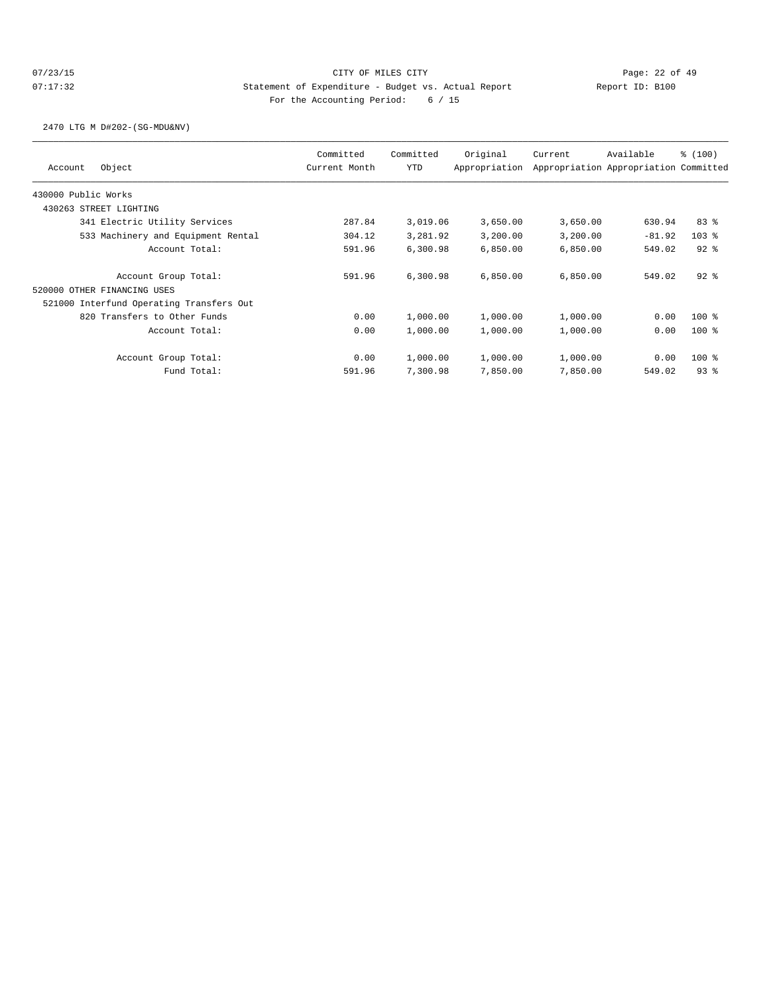2470 LTG M D#202-(SG-MDU&NV)

| Object<br>Account                        | Committed<br>Current Month | Committed<br><b>YTD</b> | Original<br>Appropriation | Current  | Available<br>Appropriation Appropriation Committed | \$(100)  |
|------------------------------------------|----------------------------|-------------------------|---------------------------|----------|----------------------------------------------------|----------|
| 430000 Public Works                      |                            |                         |                           |          |                                                    |          |
| 430263 STREET LIGHTING                   |                            |                         |                           |          |                                                    |          |
| 341 Electric Utility Services            | 287.84                     | 3,019.06                | 3,650.00                  | 3,650.00 | 630.94                                             | 83%      |
| 533 Machinery and Equipment Rental       | 304.12                     | 3,281.92                | 3,200.00                  | 3,200.00 | $-81.92$                                           | $103$ %  |
| Account Total:                           | 591.96                     | 6,300.98                | 6,850.00                  | 6,850.00 | 549.02                                             | $92$ $%$ |
| Account Group Total:                     | 591.96                     | 6,300.98                | 6,850.00                  | 6,850.00 | 549.02                                             | $92$ $%$ |
| 520000 OTHER FINANCING USES              |                            |                         |                           |          |                                                    |          |
| 521000 Interfund Operating Transfers Out |                            |                         |                           |          |                                                    |          |
| 820 Transfers to Other Funds             | 0.00                       | 1,000.00                | 1,000.00                  | 1,000.00 | 0.00                                               | $100$ %  |
| Account Total:                           | 0.00                       | 1,000.00                | 1,000.00                  | 1,000.00 | 0.00                                               | $100$ %  |
| Account Group Total:                     | 0.00                       | 1,000.00                | 1,000.00                  | 1,000.00 | 0.00                                               | $100$ %  |
| Fund Total:                              | 591.96                     | 7,300.98                | 7,850.00                  | 7,850.00 | 549.02                                             | 938      |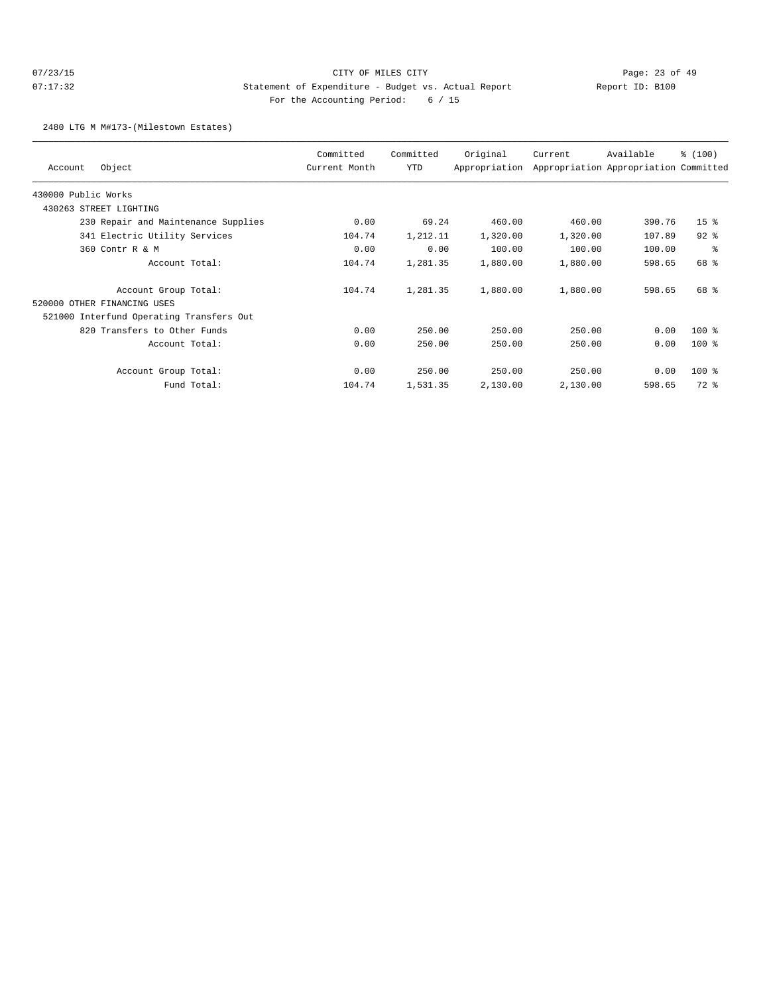# 07/23/15 Page: 23 of 49 07:17:32 Statement of Expenditure - Budget vs. Actual Report Report ID: B100 For the Accounting Period: 6 / 15

2480 LTG M M#173-(Milestown Estates)

| Object<br>Account                        | Committed<br>Current Month | Committed<br>YTD | Original<br>Appropriation | Current  | Available<br>Appropriation Appropriation Committed | \$(100)         |
|------------------------------------------|----------------------------|------------------|---------------------------|----------|----------------------------------------------------|-----------------|
| 430000 Public Works                      |                            |                  |                           |          |                                                    |                 |
| STREET LIGHTING<br>430263                |                            |                  |                           |          |                                                    |                 |
| 230 Repair and Maintenance Supplies      | 0.00                       | 69.24            | 460.00                    | 460.00   | 390.76                                             | 15 <sup>8</sup> |
| 341 Electric Utility Services            | 104.74                     | 1,212.11         | 1,320.00                  | 1,320.00 | 107.89                                             | $92$ $%$        |
| 360 Contr R & M                          | 0.00                       | 0.00             | 100.00                    | 100.00   | 100.00                                             | နွ              |
| Account Total:                           | 104.74                     | 1,281.35         | 1,880.00                  | 1,880.00 | 598.65                                             | 68 %            |
| Account Group Total:                     | 104.74                     | 1,281.35         | 1,880.00                  | 1,880.00 | 598.65                                             | 68 %            |
| 520000 OTHER FINANCING USES              |                            |                  |                           |          |                                                    |                 |
| 521000 Interfund Operating Transfers Out |                            |                  |                           |          |                                                    |                 |
| 820 Transfers to Other Funds             | 0.00                       | 250.00           | 250.00                    | 250.00   | 0.00                                               | $100$ %         |
| Account Total:                           | 0.00                       | 250.00           | 250.00                    | 250.00   | 0.00                                               | $100$ %         |
| Account Group Total:                     | 0.00                       | 250.00           | 250.00                    | 250.00   | 0.00                                               | $100$ %         |
| Fund Total:                              | 104.74                     | 1,531.35         | 2,130.00                  | 2,130.00 | 598.65                                             | 72 %            |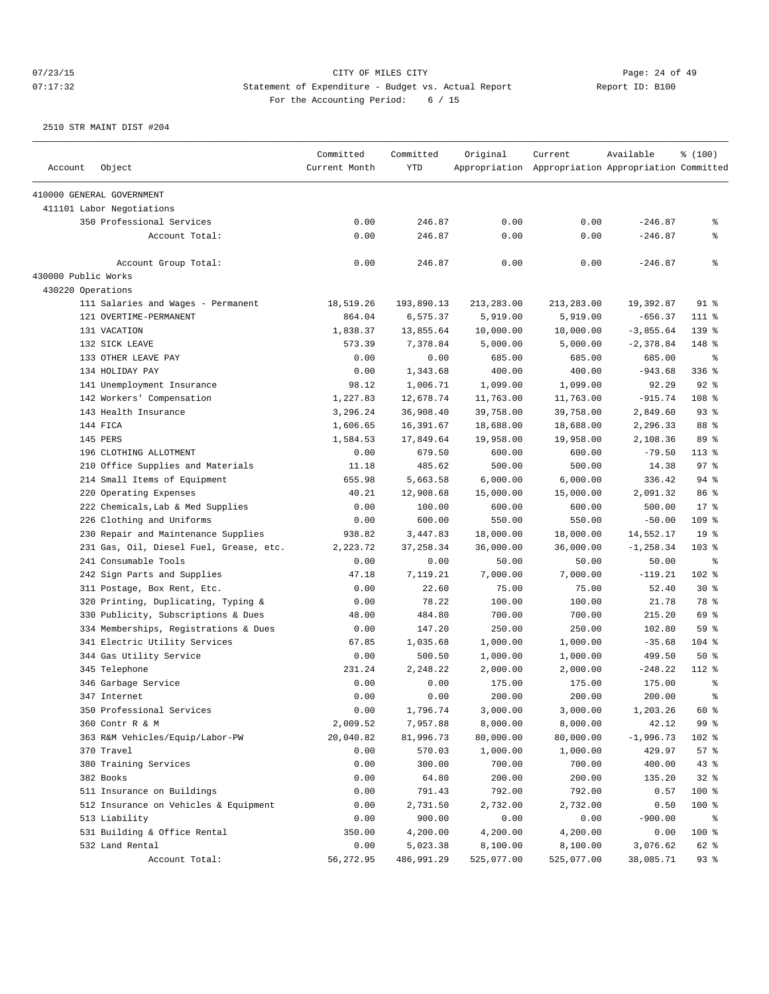# 07/23/15 Page: 24 of 49 07:17:32 Statement of Expenditure - Budget vs. Actual Report Changer Report ID: B100 For the Accounting Period: 6 / 15

| Current Month<br><b>YTD</b><br>Appropriation Appropriation Appropriation Committed<br>Account<br>Object<br>410000 GENERAL GOVERNMENT<br>411101 Labor Negotiations<br>350 Professional Services<br>0.00<br>246.87<br>0.00<br>0.00<br>$-246.87$<br>နွ<br>0.00<br>246.87<br>0.00<br>0.00<br>Account Total:<br>$-246.87$<br>နွ<br>៖<br>0.00<br>246.87<br>0.00<br>0.00<br>$-246.87$<br>Account Group Total:<br>430000 Public Works<br>430220 Operations<br>111 Salaries and Wages - Permanent<br>18,519.26<br>$91$ %<br>193,890.13<br>213,283.00<br>213,283.00<br>19,392.87<br>121 OVERTIME-PERMANENT<br>864.04<br>6,575.37<br>5,919.00<br>5,919.00<br>$-656.37$<br>111 %<br>1,838.37<br>13,855.64<br>10,000.00<br>$-3,855.64$<br>$139$ $%$<br>131 VACATION<br>10,000.00<br>132 SICK LEAVE<br>573.39<br>7,378.84<br>5,000.00<br>5,000.00<br>$-2,378.84$<br>148 %<br>133 OTHER LEAVE PAY<br>0.00<br>0.00<br>685.00<br>685.00<br>685.00<br>ႜ<br>$336$ %<br>134 HOLIDAY PAY<br>0.00<br>1,343.68<br>400.00<br>400.00<br>$-943.68$<br>92%<br>141 Unemployment Insurance<br>98.12<br>1,006.71<br>1,099.00<br>1,099.00<br>92.29<br>1,227.83<br>108 %<br>142 Workers' Compensation<br>12,678.74<br>11,763.00<br>11,763.00<br>$-915.74$<br>93%<br>143 Health Insurance<br>3,296.24<br>36,908.40<br>39,758.00<br>39,758.00<br>2,849.60<br>144 FICA<br>1,606.65<br>16,391.67<br>18,688.00<br>2,296.33<br>88 %<br>18,688.00<br>89 %<br>145 PERS<br>1,584.53<br>17,849.64<br>19,958.00<br>2,108.36<br>19,958.00<br>196 CLOTHING ALLOTMENT<br>679.50<br>600.00<br>600.00<br>$-79.50$<br>$113$ $%$<br>0.00<br>97%<br>210 Office Supplies and Materials<br>485.62<br>500.00<br>500.00<br>14.38<br>11.18<br>94%<br>214 Small Items of Equipment<br>655.98<br>5,663.58<br>6,000.00<br>6,000.00<br>336.42<br>220 Operating Expenses<br>40.21<br>12,908.68<br>15,000.00<br>15,000.00<br>2,091.32<br>86 %<br>17.8<br>222 Chemicals, Lab & Med Supplies<br>0.00<br>100.00<br>600.00<br>600.00<br>500.00<br>109 %<br>226 Clothing and Uniforms<br>0.00<br>600.00<br>550.00<br>550.00<br>$-50.00$<br>19 <sup>°</sup><br>230 Repair and Maintenance Supplies<br>938.82<br>3,447.83<br>18,000.00<br>18,000.00<br>14,552.17<br>231 Gas, Oil, Diesel Fuel, Grease, etc.<br>2,223.72<br>37, 258.34<br>36,000.00<br>36,000.00<br>$-1, 258.34$<br>$103$ %<br>241 Consumable Tools<br>0.00<br>0.00<br>50.00<br>50.00<br>50.00<br>နွ<br>102 %<br>242 Sign Parts and Supplies<br>47.18<br>7,119.21<br>7,000.00<br>7,000.00<br>$-119.21$<br>$30*$<br>311 Postage, Box Rent, Etc.<br>75.00<br>75.00<br>52.40<br>0.00<br>22.60<br>78 %<br>320 Printing, Duplicating, Typing &<br>0.00<br>78.22<br>100.00<br>100.00<br>21.78<br>330 Publicity, Subscriptions & Dues<br>48.00<br>484.80<br>700.00<br>700.00<br>215.20<br>69 %<br>334 Memberships, Registrations & Dues<br>0.00<br>147.20<br>250.00<br>250.00<br>102.80<br>59%<br>104 %<br>341 Electric Utility Services<br>67.85<br>1,035.68<br>1,000.00<br>1,000.00<br>$-35.68$<br>50%<br>344 Gas Utility Service<br>0.00<br>500.50<br>1,000.00<br>1,000.00<br>499.50<br>345 Telephone<br>231.24<br>2,248.22<br>2,000.00<br>$-248.22$<br>$112$ %<br>2,000.00<br>0.00<br>346 Garbage Service<br>0.00<br>175.00<br>175.00<br>175.00<br>နွ<br>347 Internet<br>0.00<br>0.00<br>200.00<br>200.00<br>200.00<br>÷<br>350 Professional Services<br>0.00<br>1,796.74<br>3,000.00<br>3,000.00<br>60 %<br>1,203.26<br>99 %<br>360 Contr R & M<br>2,009.52<br>7,957.88<br>8,000.00<br>8,000.00<br>42.12<br>363 R&M Vehicles/Equip/Labor-PW<br>20,040.82<br>81,996.73<br>80,000.00<br>80,000.00<br>$-1,996.73$<br>102 %<br>57%<br>370 Travel<br>0.00<br>570.03<br>1,000.00<br>1,000.00<br>429.97<br>380 Training Services<br>0.00<br>300.00<br>400.00<br>43%<br>700.00<br>700.00<br>382 Books<br>0.00<br>64.80<br>200.00<br>32%<br>200.00<br>135.20<br>511 Insurance on Buildings<br>791.43<br>792.00<br>792.00<br>100 %<br>0.00<br>0.57<br>512 Insurance on Vehicles & Equipment<br>0.00<br>2,732.00<br>2,732.00<br>100 %<br>2,731.50<br>0.50<br>513 Liability<br>0.00<br>900.00<br>0.00<br>0.00<br>$-900.00$<br>နွ<br>531 Building & Office Rental<br>350.00<br>0.00<br>100 %<br>4,200.00<br>4,200.00<br>4,200.00<br>0.00<br>5,023.38<br>62 %<br>532 Land Rental<br>8,100.00<br>8,100.00<br>3,076.62<br>Account Total:<br>56,272.95<br>486,991.29<br>525,077.00<br>38,085.71<br>93%<br>525,077.00 |  | Committed | Committed | Original | Current | Available | \$(100) |
|---------------------------------------------------------------------------------------------------------------------------------------------------------------------------------------------------------------------------------------------------------------------------------------------------------------------------------------------------------------------------------------------------------------------------------------------------------------------------------------------------------------------------------------------------------------------------------------------------------------------------------------------------------------------------------------------------------------------------------------------------------------------------------------------------------------------------------------------------------------------------------------------------------------------------------------------------------------------------------------------------------------------------------------------------------------------------------------------------------------------------------------------------------------------------------------------------------------------------------------------------------------------------------------------------------------------------------------------------------------------------------------------------------------------------------------------------------------------------------------------------------------------------------------------------------------------------------------------------------------------------------------------------------------------------------------------------------------------------------------------------------------------------------------------------------------------------------------------------------------------------------------------------------------------------------------------------------------------------------------------------------------------------------------------------------------------------------------------------------------------------------------------------------------------------------------------------------------------------------------------------------------------------------------------------------------------------------------------------------------------------------------------------------------------------------------------------------------------------------------------------------------------------------------------------------------------------------------------------------------------------------------------------------------------------------------------------------------------------------------------------------------------------------------------------------------------------------------------------------------------------------------------------------------------------------------------------------------------------------------------------------------------------------------------------------------------------------------------------------------------------------------------------------------------------------------------------------------------------------------------------------------------------------------------------------------------------------------------------------------------------------------------------------------------------------------------------------------------------------------------------------------------------------------------------------------------------------------------------------------------------------------------------------------------------------------------------------------------------------------------------------------------------------------------------------------------------------------------------------------------------------------------------------------------------------------------------------------------------------------------------------------------------------------------------------------------------------------------------------------------------------------------------------------------------------------------------------------------------------------------------------------------------------------------------------------------------------------------------------------------------------------------|--|-----------|-----------|----------|---------|-----------|---------|
|                                                                                                                                                                                                                                                                                                                                                                                                                                                                                                                                                                                                                                                                                                                                                                                                                                                                                                                                                                                                                                                                                                                                                                                                                                                                                                                                                                                                                                                                                                                                                                                                                                                                                                                                                                                                                                                                                                                                                                                                                                                                                                                                                                                                                                                                                                                                                                                                                                                                                                                                                                                                                                                                                                                                                                                                                                                                                                                                                                                                                                                                                                                                                                                                                                                                                                                                                                                                                                                                                                                                                                                                                                                                                                                                                                                                                                                                                                                                                                                                                                                                                                                                                                                                                                                                                                                                                                                             |  |           |           |          |         |           |         |
|                                                                                                                                                                                                                                                                                                                                                                                                                                                                                                                                                                                                                                                                                                                                                                                                                                                                                                                                                                                                                                                                                                                                                                                                                                                                                                                                                                                                                                                                                                                                                                                                                                                                                                                                                                                                                                                                                                                                                                                                                                                                                                                                                                                                                                                                                                                                                                                                                                                                                                                                                                                                                                                                                                                                                                                                                                                                                                                                                                                                                                                                                                                                                                                                                                                                                                                                                                                                                                                                                                                                                                                                                                                                                                                                                                                                                                                                                                                                                                                                                                                                                                                                                                                                                                                                                                                                                                                             |  |           |           |          |         |           |         |
|                                                                                                                                                                                                                                                                                                                                                                                                                                                                                                                                                                                                                                                                                                                                                                                                                                                                                                                                                                                                                                                                                                                                                                                                                                                                                                                                                                                                                                                                                                                                                                                                                                                                                                                                                                                                                                                                                                                                                                                                                                                                                                                                                                                                                                                                                                                                                                                                                                                                                                                                                                                                                                                                                                                                                                                                                                                                                                                                                                                                                                                                                                                                                                                                                                                                                                                                                                                                                                                                                                                                                                                                                                                                                                                                                                                                                                                                                                                                                                                                                                                                                                                                                                                                                                                                                                                                                                                             |  |           |           |          |         |           |         |
|                                                                                                                                                                                                                                                                                                                                                                                                                                                                                                                                                                                                                                                                                                                                                                                                                                                                                                                                                                                                                                                                                                                                                                                                                                                                                                                                                                                                                                                                                                                                                                                                                                                                                                                                                                                                                                                                                                                                                                                                                                                                                                                                                                                                                                                                                                                                                                                                                                                                                                                                                                                                                                                                                                                                                                                                                                                                                                                                                                                                                                                                                                                                                                                                                                                                                                                                                                                                                                                                                                                                                                                                                                                                                                                                                                                                                                                                                                                                                                                                                                                                                                                                                                                                                                                                                                                                                                                             |  |           |           |          |         |           |         |
|                                                                                                                                                                                                                                                                                                                                                                                                                                                                                                                                                                                                                                                                                                                                                                                                                                                                                                                                                                                                                                                                                                                                                                                                                                                                                                                                                                                                                                                                                                                                                                                                                                                                                                                                                                                                                                                                                                                                                                                                                                                                                                                                                                                                                                                                                                                                                                                                                                                                                                                                                                                                                                                                                                                                                                                                                                                                                                                                                                                                                                                                                                                                                                                                                                                                                                                                                                                                                                                                                                                                                                                                                                                                                                                                                                                                                                                                                                                                                                                                                                                                                                                                                                                                                                                                                                                                                                                             |  |           |           |          |         |           |         |
|                                                                                                                                                                                                                                                                                                                                                                                                                                                                                                                                                                                                                                                                                                                                                                                                                                                                                                                                                                                                                                                                                                                                                                                                                                                                                                                                                                                                                                                                                                                                                                                                                                                                                                                                                                                                                                                                                                                                                                                                                                                                                                                                                                                                                                                                                                                                                                                                                                                                                                                                                                                                                                                                                                                                                                                                                                                                                                                                                                                                                                                                                                                                                                                                                                                                                                                                                                                                                                                                                                                                                                                                                                                                                                                                                                                                                                                                                                                                                                                                                                                                                                                                                                                                                                                                                                                                                                                             |  |           |           |          |         |           |         |
|                                                                                                                                                                                                                                                                                                                                                                                                                                                                                                                                                                                                                                                                                                                                                                                                                                                                                                                                                                                                                                                                                                                                                                                                                                                                                                                                                                                                                                                                                                                                                                                                                                                                                                                                                                                                                                                                                                                                                                                                                                                                                                                                                                                                                                                                                                                                                                                                                                                                                                                                                                                                                                                                                                                                                                                                                                                                                                                                                                                                                                                                                                                                                                                                                                                                                                                                                                                                                                                                                                                                                                                                                                                                                                                                                                                                                                                                                                                                                                                                                                                                                                                                                                                                                                                                                                                                                                                             |  |           |           |          |         |           |         |
|                                                                                                                                                                                                                                                                                                                                                                                                                                                                                                                                                                                                                                                                                                                                                                                                                                                                                                                                                                                                                                                                                                                                                                                                                                                                                                                                                                                                                                                                                                                                                                                                                                                                                                                                                                                                                                                                                                                                                                                                                                                                                                                                                                                                                                                                                                                                                                                                                                                                                                                                                                                                                                                                                                                                                                                                                                                                                                                                                                                                                                                                                                                                                                                                                                                                                                                                                                                                                                                                                                                                                                                                                                                                                                                                                                                                                                                                                                                                                                                                                                                                                                                                                                                                                                                                                                                                                                                             |  |           |           |          |         |           |         |
|                                                                                                                                                                                                                                                                                                                                                                                                                                                                                                                                                                                                                                                                                                                                                                                                                                                                                                                                                                                                                                                                                                                                                                                                                                                                                                                                                                                                                                                                                                                                                                                                                                                                                                                                                                                                                                                                                                                                                                                                                                                                                                                                                                                                                                                                                                                                                                                                                                                                                                                                                                                                                                                                                                                                                                                                                                                                                                                                                                                                                                                                                                                                                                                                                                                                                                                                                                                                                                                                                                                                                                                                                                                                                                                                                                                                                                                                                                                                                                                                                                                                                                                                                                                                                                                                                                                                                                                             |  |           |           |          |         |           |         |
|                                                                                                                                                                                                                                                                                                                                                                                                                                                                                                                                                                                                                                                                                                                                                                                                                                                                                                                                                                                                                                                                                                                                                                                                                                                                                                                                                                                                                                                                                                                                                                                                                                                                                                                                                                                                                                                                                                                                                                                                                                                                                                                                                                                                                                                                                                                                                                                                                                                                                                                                                                                                                                                                                                                                                                                                                                                                                                                                                                                                                                                                                                                                                                                                                                                                                                                                                                                                                                                                                                                                                                                                                                                                                                                                                                                                                                                                                                                                                                                                                                                                                                                                                                                                                                                                                                                                                                                             |  |           |           |          |         |           |         |
|                                                                                                                                                                                                                                                                                                                                                                                                                                                                                                                                                                                                                                                                                                                                                                                                                                                                                                                                                                                                                                                                                                                                                                                                                                                                                                                                                                                                                                                                                                                                                                                                                                                                                                                                                                                                                                                                                                                                                                                                                                                                                                                                                                                                                                                                                                                                                                                                                                                                                                                                                                                                                                                                                                                                                                                                                                                                                                                                                                                                                                                                                                                                                                                                                                                                                                                                                                                                                                                                                                                                                                                                                                                                                                                                                                                                                                                                                                                                                                                                                                                                                                                                                                                                                                                                                                                                                                                             |  |           |           |          |         |           |         |
|                                                                                                                                                                                                                                                                                                                                                                                                                                                                                                                                                                                                                                                                                                                                                                                                                                                                                                                                                                                                                                                                                                                                                                                                                                                                                                                                                                                                                                                                                                                                                                                                                                                                                                                                                                                                                                                                                                                                                                                                                                                                                                                                                                                                                                                                                                                                                                                                                                                                                                                                                                                                                                                                                                                                                                                                                                                                                                                                                                                                                                                                                                                                                                                                                                                                                                                                                                                                                                                                                                                                                                                                                                                                                                                                                                                                                                                                                                                                                                                                                                                                                                                                                                                                                                                                                                                                                                                             |  |           |           |          |         |           |         |
|                                                                                                                                                                                                                                                                                                                                                                                                                                                                                                                                                                                                                                                                                                                                                                                                                                                                                                                                                                                                                                                                                                                                                                                                                                                                                                                                                                                                                                                                                                                                                                                                                                                                                                                                                                                                                                                                                                                                                                                                                                                                                                                                                                                                                                                                                                                                                                                                                                                                                                                                                                                                                                                                                                                                                                                                                                                                                                                                                                                                                                                                                                                                                                                                                                                                                                                                                                                                                                                                                                                                                                                                                                                                                                                                                                                                                                                                                                                                                                                                                                                                                                                                                                                                                                                                                                                                                                                             |  |           |           |          |         |           |         |
|                                                                                                                                                                                                                                                                                                                                                                                                                                                                                                                                                                                                                                                                                                                                                                                                                                                                                                                                                                                                                                                                                                                                                                                                                                                                                                                                                                                                                                                                                                                                                                                                                                                                                                                                                                                                                                                                                                                                                                                                                                                                                                                                                                                                                                                                                                                                                                                                                                                                                                                                                                                                                                                                                                                                                                                                                                                                                                                                                                                                                                                                                                                                                                                                                                                                                                                                                                                                                                                                                                                                                                                                                                                                                                                                                                                                                                                                                                                                                                                                                                                                                                                                                                                                                                                                                                                                                                                             |  |           |           |          |         |           |         |
|                                                                                                                                                                                                                                                                                                                                                                                                                                                                                                                                                                                                                                                                                                                                                                                                                                                                                                                                                                                                                                                                                                                                                                                                                                                                                                                                                                                                                                                                                                                                                                                                                                                                                                                                                                                                                                                                                                                                                                                                                                                                                                                                                                                                                                                                                                                                                                                                                                                                                                                                                                                                                                                                                                                                                                                                                                                                                                                                                                                                                                                                                                                                                                                                                                                                                                                                                                                                                                                                                                                                                                                                                                                                                                                                                                                                                                                                                                                                                                                                                                                                                                                                                                                                                                                                                                                                                                                             |  |           |           |          |         |           |         |
|                                                                                                                                                                                                                                                                                                                                                                                                                                                                                                                                                                                                                                                                                                                                                                                                                                                                                                                                                                                                                                                                                                                                                                                                                                                                                                                                                                                                                                                                                                                                                                                                                                                                                                                                                                                                                                                                                                                                                                                                                                                                                                                                                                                                                                                                                                                                                                                                                                                                                                                                                                                                                                                                                                                                                                                                                                                                                                                                                                                                                                                                                                                                                                                                                                                                                                                                                                                                                                                                                                                                                                                                                                                                                                                                                                                                                                                                                                                                                                                                                                                                                                                                                                                                                                                                                                                                                                                             |  |           |           |          |         |           |         |
|                                                                                                                                                                                                                                                                                                                                                                                                                                                                                                                                                                                                                                                                                                                                                                                                                                                                                                                                                                                                                                                                                                                                                                                                                                                                                                                                                                                                                                                                                                                                                                                                                                                                                                                                                                                                                                                                                                                                                                                                                                                                                                                                                                                                                                                                                                                                                                                                                                                                                                                                                                                                                                                                                                                                                                                                                                                                                                                                                                                                                                                                                                                                                                                                                                                                                                                                                                                                                                                                                                                                                                                                                                                                                                                                                                                                                                                                                                                                                                                                                                                                                                                                                                                                                                                                                                                                                                                             |  |           |           |          |         |           |         |
|                                                                                                                                                                                                                                                                                                                                                                                                                                                                                                                                                                                                                                                                                                                                                                                                                                                                                                                                                                                                                                                                                                                                                                                                                                                                                                                                                                                                                                                                                                                                                                                                                                                                                                                                                                                                                                                                                                                                                                                                                                                                                                                                                                                                                                                                                                                                                                                                                                                                                                                                                                                                                                                                                                                                                                                                                                                                                                                                                                                                                                                                                                                                                                                                                                                                                                                                                                                                                                                                                                                                                                                                                                                                                                                                                                                                                                                                                                                                                                                                                                                                                                                                                                                                                                                                                                                                                                                             |  |           |           |          |         |           |         |
|                                                                                                                                                                                                                                                                                                                                                                                                                                                                                                                                                                                                                                                                                                                                                                                                                                                                                                                                                                                                                                                                                                                                                                                                                                                                                                                                                                                                                                                                                                                                                                                                                                                                                                                                                                                                                                                                                                                                                                                                                                                                                                                                                                                                                                                                                                                                                                                                                                                                                                                                                                                                                                                                                                                                                                                                                                                                                                                                                                                                                                                                                                                                                                                                                                                                                                                                                                                                                                                                                                                                                                                                                                                                                                                                                                                                                                                                                                                                                                                                                                                                                                                                                                                                                                                                                                                                                                                             |  |           |           |          |         |           |         |
|                                                                                                                                                                                                                                                                                                                                                                                                                                                                                                                                                                                                                                                                                                                                                                                                                                                                                                                                                                                                                                                                                                                                                                                                                                                                                                                                                                                                                                                                                                                                                                                                                                                                                                                                                                                                                                                                                                                                                                                                                                                                                                                                                                                                                                                                                                                                                                                                                                                                                                                                                                                                                                                                                                                                                                                                                                                                                                                                                                                                                                                                                                                                                                                                                                                                                                                                                                                                                                                                                                                                                                                                                                                                                                                                                                                                                                                                                                                                                                                                                                                                                                                                                                                                                                                                                                                                                                                             |  |           |           |          |         |           |         |
|                                                                                                                                                                                                                                                                                                                                                                                                                                                                                                                                                                                                                                                                                                                                                                                                                                                                                                                                                                                                                                                                                                                                                                                                                                                                                                                                                                                                                                                                                                                                                                                                                                                                                                                                                                                                                                                                                                                                                                                                                                                                                                                                                                                                                                                                                                                                                                                                                                                                                                                                                                                                                                                                                                                                                                                                                                                                                                                                                                                                                                                                                                                                                                                                                                                                                                                                                                                                                                                                                                                                                                                                                                                                                                                                                                                                                                                                                                                                                                                                                                                                                                                                                                                                                                                                                                                                                                                             |  |           |           |          |         |           |         |
|                                                                                                                                                                                                                                                                                                                                                                                                                                                                                                                                                                                                                                                                                                                                                                                                                                                                                                                                                                                                                                                                                                                                                                                                                                                                                                                                                                                                                                                                                                                                                                                                                                                                                                                                                                                                                                                                                                                                                                                                                                                                                                                                                                                                                                                                                                                                                                                                                                                                                                                                                                                                                                                                                                                                                                                                                                                                                                                                                                                                                                                                                                                                                                                                                                                                                                                                                                                                                                                                                                                                                                                                                                                                                                                                                                                                                                                                                                                                                                                                                                                                                                                                                                                                                                                                                                                                                                                             |  |           |           |          |         |           |         |
|                                                                                                                                                                                                                                                                                                                                                                                                                                                                                                                                                                                                                                                                                                                                                                                                                                                                                                                                                                                                                                                                                                                                                                                                                                                                                                                                                                                                                                                                                                                                                                                                                                                                                                                                                                                                                                                                                                                                                                                                                                                                                                                                                                                                                                                                                                                                                                                                                                                                                                                                                                                                                                                                                                                                                                                                                                                                                                                                                                                                                                                                                                                                                                                                                                                                                                                                                                                                                                                                                                                                                                                                                                                                                                                                                                                                                                                                                                                                                                                                                                                                                                                                                                                                                                                                                                                                                                                             |  |           |           |          |         |           |         |
|                                                                                                                                                                                                                                                                                                                                                                                                                                                                                                                                                                                                                                                                                                                                                                                                                                                                                                                                                                                                                                                                                                                                                                                                                                                                                                                                                                                                                                                                                                                                                                                                                                                                                                                                                                                                                                                                                                                                                                                                                                                                                                                                                                                                                                                                                                                                                                                                                                                                                                                                                                                                                                                                                                                                                                                                                                                                                                                                                                                                                                                                                                                                                                                                                                                                                                                                                                                                                                                                                                                                                                                                                                                                                                                                                                                                                                                                                                                                                                                                                                                                                                                                                                                                                                                                                                                                                                                             |  |           |           |          |         |           |         |
|                                                                                                                                                                                                                                                                                                                                                                                                                                                                                                                                                                                                                                                                                                                                                                                                                                                                                                                                                                                                                                                                                                                                                                                                                                                                                                                                                                                                                                                                                                                                                                                                                                                                                                                                                                                                                                                                                                                                                                                                                                                                                                                                                                                                                                                                                                                                                                                                                                                                                                                                                                                                                                                                                                                                                                                                                                                                                                                                                                                                                                                                                                                                                                                                                                                                                                                                                                                                                                                                                                                                                                                                                                                                                                                                                                                                                                                                                                                                                                                                                                                                                                                                                                                                                                                                                                                                                                                             |  |           |           |          |         |           |         |
|                                                                                                                                                                                                                                                                                                                                                                                                                                                                                                                                                                                                                                                                                                                                                                                                                                                                                                                                                                                                                                                                                                                                                                                                                                                                                                                                                                                                                                                                                                                                                                                                                                                                                                                                                                                                                                                                                                                                                                                                                                                                                                                                                                                                                                                                                                                                                                                                                                                                                                                                                                                                                                                                                                                                                                                                                                                                                                                                                                                                                                                                                                                                                                                                                                                                                                                                                                                                                                                                                                                                                                                                                                                                                                                                                                                                                                                                                                                                                                                                                                                                                                                                                                                                                                                                                                                                                                                             |  |           |           |          |         |           |         |
|                                                                                                                                                                                                                                                                                                                                                                                                                                                                                                                                                                                                                                                                                                                                                                                                                                                                                                                                                                                                                                                                                                                                                                                                                                                                                                                                                                                                                                                                                                                                                                                                                                                                                                                                                                                                                                                                                                                                                                                                                                                                                                                                                                                                                                                                                                                                                                                                                                                                                                                                                                                                                                                                                                                                                                                                                                                                                                                                                                                                                                                                                                                                                                                                                                                                                                                                                                                                                                                                                                                                                                                                                                                                                                                                                                                                                                                                                                                                                                                                                                                                                                                                                                                                                                                                                                                                                                                             |  |           |           |          |         |           |         |
|                                                                                                                                                                                                                                                                                                                                                                                                                                                                                                                                                                                                                                                                                                                                                                                                                                                                                                                                                                                                                                                                                                                                                                                                                                                                                                                                                                                                                                                                                                                                                                                                                                                                                                                                                                                                                                                                                                                                                                                                                                                                                                                                                                                                                                                                                                                                                                                                                                                                                                                                                                                                                                                                                                                                                                                                                                                                                                                                                                                                                                                                                                                                                                                                                                                                                                                                                                                                                                                                                                                                                                                                                                                                                                                                                                                                                                                                                                                                                                                                                                                                                                                                                                                                                                                                                                                                                                                             |  |           |           |          |         |           |         |
|                                                                                                                                                                                                                                                                                                                                                                                                                                                                                                                                                                                                                                                                                                                                                                                                                                                                                                                                                                                                                                                                                                                                                                                                                                                                                                                                                                                                                                                                                                                                                                                                                                                                                                                                                                                                                                                                                                                                                                                                                                                                                                                                                                                                                                                                                                                                                                                                                                                                                                                                                                                                                                                                                                                                                                                                                                                                                                                                                                                                                                                                                                                                                                                                                                                                                                                                                                                                                                                                                                                                                                                                                                                                                                                                                                                                                                                                                                                                                                                                                                                                                                                                                                                                                                                                                                                                                                                             |  |           |           |          |         |           |         |
|                                                                                                                                                                                                                                                                                                                                                                                                                                                                                                                                                                                                                                                                                                                                                                                                                                                                                                                                                                                                                                                                                                                                                                                                                                                                                                                                                                                                                                                                                                                                                                                                                                                                                                                                                                                                                                                                                                                                                                                                                                                                                                                                                                                                                                                                                                                                                                                                                                                                                                                                                                                                                                                                                                                                                                                                                                                                                                                                                                                                                                                                                                                                                                                                                                                                                                                                                                                                                                                                                                                                                                                                                                                                                                                                                                                                                                                                                                                                                                                                                                                                                                                                                                                                                                                                                                                                                                                             |  |           |           |          |         |           |         |
|                                                                                                                                                                                                                                                                                                                                                                                                                                                                                                                                                                                                                                                                                                                                                                                                                                                                                                                                                                                                                                                                                                                                                                                                                                                                                                                                                                                                                                                                                                                                                                                                                                                                                                                                                                                                                                                                                                                                                                                                                                                                                                                                                                                                                                                                                                                                                                                                                                                                                                                                                                                                                                                                                                                                                                                                                                                                                                                                                                                                                                                                                                                                                                                                                                                                                                                                                                                                                                                                                                                                                                                                                                                                                                                                                                                                                                                                                                                                                                                                                                                                                                                                                                                                                                                                                                                                                                                             |  |           |           |          |         |           |         |
|                                                                                                                                                                                                                                                                                                                                                                                                                                                                                                                                                                                                                                                                                                                                                                                                                                                                                                                                                                                                                                                                                                                                                                                                                                                                                                                                                                                                                                                                                                                                                                                                                                                                                                                                                                                                                                                                                                                                                                                                                                                                                                                                                                                                                                                                                                                                                                                                                                                                                                                                                                                                                                                                                                                                                                                                                                                                                                                                                                                                                                                                                                                                                                                                                                                                                                                                                                                                                                                                                                                                                                                                                                                                                                                                                                                                                                                                                                                                                                                                                                                                                                                                                                                                                                                                                                                                                                                             |  |           |           |          |         |           |         |
|                                                                                                                                                                                                                                                                                                                                                                                                                                                                                                                                                                                                                                                                                                                                                                                                                                                                                                                                                                                                                                                                                                                                                                                                                                                                                                                                                                                                                                                                                                                                                                                                                                                                                                                                                                                                                                                                                                                                                                                                                                                                                                                                                                                                                                                                                                                                                                                                                                                                                                                                                                                                                                                                                                                                                                                                                                                                                                                                                                                                                                                                                                                                                                                                                                                                                                                                                                                                                                                                                                                                                                                                                                                                                                                                                                                                                                                                                                                                                                                                                                                                                                                                                                                                                                                                                                                                                                                             |  |           |           |          |         |           |         |
|                                                                                                                                                                                                                                                                                                                                                                                                                                                                                                                                                                                                                                                                                                                                                                                                                                                                                                                                                                                                                                                                                                                                                                                                                                                                                                                                                                                                                                                                                                                                                                                                                                                                                                                                                                                                                                                                                                                                                                                                                                                                                                                                                                                                                                                                                                                                                                                                                                                                                                                                                                                                                                                                                                                                                                                                                                                                                                                                                                                                                                                                                                                                                                                                                                                                                                                                                                                                                                                                                                                                                                                                                                                                                                                                                                                                                                                                                                                                                                                                                                                                                                                                                                                                                                                                                                                                                                                             |  |           |           |          |         |           |         |
|                                                                                                                                                                                                                                                                                                                                                                                                                                                                                                                                                                                                                                                                                                                                                                                                                                                                                                                                                                                                                                                                                                                                                                                                                                                                                                                                                                                                                                                                                                                                                                                                                                                                                                                                                                                                                                                                                                                                                                                                                                                                                                                                                                                                                                                                                                                                                                                                                                                                                                                                                                                                                                                                                                                                                                                                                                                                                                                                                                                                                                                                                                                                                                                                                                                                                                                                                                                                                                                                                                                                                                                                                                                                                                                                                                                                                                                                                                                                                                                                                                                                                                                                                                                                                                                                                                                                                                                             |  |           |           |          |         |           |         |
|                                                                                                                                                                                                                                                                                                                                                                                                                                                                                                                                                                                                                                                                                                                                                                                                                                                                                                                                                                                                                                                                                                                                                                                                                                                                                                                                                                                                                                                                                                                                                                                                                                                                                                                                                                                                                                                                                                                                                                                                                                                                                                                                                                                                                                                                                                                                                                                                                                                                                                                                                                                                                                                                                                                                                                                                                                                                                                                                                                                                                                                                                                                                                                                                                                                                                                                                                                                                                                                                                                                                                                                                                                                                                                                                                                                                                                                                                                                                                                                                                                                                                                                                                                                                                                                                                                                                                                                             |  |           |           |          |         |           |         |
|                                                                                                                                                                                                                                                                                                                                                                                                                                                                                                                                                                                                                                                                                                                                                                                                                                                                                                                                                                                                                                                                                                                                                                                                                                                                                                                                                                                                                                                                                                                                                                                                                                                                                                                                                                                                                                                                                                                                                                                                                                                                                                                                                                                                                                                                                                                                                                                                                                                                                                                                                                                                                                                                                                                                                                                                                                                                                                                                                                                                                                                                                                                                                                                                                                                                                                                                                                                                                                                                                                                                                                                                                                                                                                                                                                                                                                                                                                                                                                                                                                                                                                                                                                                                                                                                                                                                                                                             |  |           |           |          |         |           |         |
|                                                                                                                                                                                                                                                                                                                                                                                                                                                                                                                                                                                                                                                                                                                                                                                                                                                                                                                                                                                                                                                                                                                                                                                                                                                                                                                                                                                                                                                                                                                                                                                                                                                                                                                                                                                                                                                                                                                                                                                                                                                                                                                                                                                                                                                                                                                                                                                                                                                                                                                                                                                                                                                                                                                                                                                                                                                                                                                                                                                                                                                                                                                                                                                                                                                                                                                                                                                                                                                                                                                                                                                                                                                                                                                                                                                                                                                                                                                                                                                                                                                                                                                                                                                                                                                                                                                                                                                             |  |           |           |          |         |           |         |
|                                                                                                                                                                                                                                                                                                                                                                                                                                                                                                                                                                                                                                                                                                                                                                                                                                                                                                                                                                                                                                                                                                                                                                                                                                                                                                                                                                                                                                                                                                                                                                                                                                                                                                                                                                                                                                                                                                                                                                                                                                                                                                                                                                                                                                                                                                                                                                                                                                                                                                                                                                                                                                                                                                                                                                                                                                                                                                                                                                                                                                                                                                                                                                                                                                                                                                                                                                                                                                                                                                                                                                                                                                                                                                                                                                                                                                                                                                                                                                                                                                                                                                                                                                                                                                                                                                                                                                                             |  |           |           |          |         |           |         |
|                                                                                                                                                                                                                                                                                                                                                                                                                                                                                                                                                                                                                                                                                                                                                                                                                                                                                                                                                                                                                                                                                                                                                                                                                                                                                                                                                                                                                                                                                                                                                                                                                                                                                                                                                                                                                                                                                                                                                                                                                                                                                                                                                                                                                                                                                                                                                                                                                                                                                                                                                                                                                                                                                                                                                                                                                                                                                                                                                                                                                                                                                                                                                                                                                                                                                                                                                                                                                                                                                                                                                                                                                                                                                                                                                                                                                                                                                                                                                                                                                                                                                                                                                                                                                                                                                                                                                                                             |  |           |           |          |         |           |         |
|                                                                                                                                                                                                                                                                                                                                                                                                                                                                                                                                                                                                                                                                                                                                                                                                                                                                                                                                                                                                                                                                                                                                                                                                                                                                                                                                                                                                                                                                                                                                                                                                                                                                                                                                                                                                                                                                                                                                                                                                                                                                                                                                                                                                                                                                                                                                                                                                                                                                                                                                                                                                                                                                                                                                                                                                                                                                                                                                                                                                                                                                                                                                                                                                                                                                                                                                                                                                                                                                                                                                                                                                                                                                                                                                                                                                                                                                                                                                                                                                                                                                                                                                                                                                                                                                                                                                                                                             |  |           |           |          |         |           |         |
|                                                                                                                                                                                                                                                                                                                                                                                                                                                                                                                                                                                                                                                                                                                                                                                                                                                                                                                                                                                                                                                                                                                                                                                                                                                                                                                                                                                                                                                                                                                                                                                                                                                                                                                                                                                                                                                                                                                                                                                                                                                                                                                                                                                                                                                                                                                                                                                                                                                                                                                                                                                                                                                                                                                                                                                                                                                                                                                                                                                                                                                                                                                                                                                                                                                                                                                                                                                                                                                                                                                                                                                                                                                                                                                                                                                                                                                                                                                                                                                                                                                                                                                                                                                                                                                                                                                                                                                             |  |           |           |          |         |           |         |
|                                                                                                                                                                                                                                                                                                                                                                                                                                                                                                                                                                                                                                                                                                                                                                                                                                                                                                                                                                                                                                                                                                                                                                                                                                                                                                                                                                                                                                                                                                                                                                                                                                                                                                                                                                                                                                                                                                                                                                                                                                                                                                                                                                                                                                                                                                                                                                                                                                                                                                                                                                                                                                                                                                                                                                                                                                                                                                                                                                                                                                                                                                                                                                                                                                                                                                                                                                                                                                                                                                                                                                                                                                                                                                                                                                                                                                                                                                                                                                                                                                                                                                                                                                                                                                                                                                                                                                                             |  |           |           |          |         |           |         |
|                                                                                                                                                                                                                                                                                                                                                                                                                                                                                                                                                                                                                                                                                                                                                                                                                                                                                                                                                                                                                                                                                                                                                                                                                                                                                                                                                                                                                                                                                                                                                                                                                                                                                                                                                                                                                                                                                                                                                                                                                                                                                                                                                                                                                                                                                                                                                                                                                                                                                                                                                                                                                                                                                                                                                                                                                                                                                                                                                                                                                                                                                                                                                                                                                                                                                                                                                                                                                                                                                                                                                                                                                                                                                                                                                                                                                                                                                                                                                                                                                                                                                                                                                                                                                                                                                                                                                                                             |  |           |           |          |         |           |         |
|                                                                                                                                                                                                                                                                                                                                                                                                                                                                                                                                                                                                                                                                                                                                                                                                                                                                                                                                                                                                                                                                                                                                                                                                                                                                                                                                                                                                                                                                                                                                                                                                                                                                                                                                                                                                                                                                                                                                                                                                                                                                                                                                                                                                                                                                                                                                                                                                                                                                                                                                                                                                                                                                                                                                                                                                                                                                                                                                                                                                                                                                                                                                                                                                                                                                                                                                                                                                                                                                                                                                                                                                                                                                                                                                                                                                                                                                                                                                                                                                                                                                                                                                                                                                                                                                                                                                                                                             |  |           |           |          |         |           |         |
|                                                                                                                                                                                                                                                                                                                                                                                                                                                                                                                                                                                                                                                                                                                                                                                                                                                                                                                                                                                                                                                                                                                                                                                                                                                                                                                                                                                                                                                                                                                                                                                                                                                                                                                                                                                                                                                                                                                                                                                                                                                                                                                                                                                                                                                                                                                                                                                                                                                                                                                                                                                                                                                                                                                                                                                                                                                                                                                                                                                                                                                                                                                                                                                                                                                                                                                                                                                                                                                                                                                                                                                                                                                                                                                                                                                                                                                                                                                                                                                                                                                                                                                                                                                                                                                                                                                                                                                             |  |           |           |          |         |           |         |
|                                                                                                                                                                                                                                                                                                                                                                                                                                                                                                                                                                                                                                                                                                                                                                                                                                                                                                                                                                                                                                                                                                                                                                                                                                                                                                                                                                                                                                                                                                                                                                                                                                                                                                                                                                                                                                                                                                                                                                                                                                                                                                                                                                                                                                                                                                                                                                                                                                                                                                                                                                                                                                                                                                                                                                                                                                                                                                                                                                                                                                                                                                                                                                                                                                                                                                                                                                                                                                                                                                                                                                                                                                                                                                                                                                                                                                                                                                                                                                                                                                                                                                                                                                                                                                                                                                                                                                                             |  |           |           |          |         |           |         |
|                                                                                                                                                                                                                                                                                                                                                                                                                                                                                                                                                                                                                                                                                                                                                                                                                                                                                                                                                                                                                                                                                                                                                                                                                                                                                                                                                                                                                                                                                                                                                                                                                                                                                                                                                                                                                                                                                                                                                                                                                                                                                                                                                                                                                                                                                                                                                                                                                                                                                                                                                                                                                                                                                                                                                                                                                                                                                                                                                                                                                                                                                                                                                                                                                                                                                                                                                                                                                                                                                                                                                                                                                                                                                                                                                                                                                                                                                                                                                                                                                                                                                                                                                                                                                                                                                                                                                                                             |  |           |           |          |         |           |         |
|                                                                                                                                                                                                                                                                                                                                                                                                                                                                                                                                                                                                                                                                                                                                                                                                                                                                                                                                                                                                                                                                                                                                                                                                                                                                                                                                                                                                                                                                                                                                                                                                                                                                                                                                                                                                                                                                                                                                                                                                                                                                                                                                                                                                                                                                                                                                                                                                                                                                                                                                                                                                                                                                                                                                                                                                                                                                                                                                                                                                                                                                                                                                                                                                                                                                                                                                                                                                                                                                                                                                                                                                                                                                                                                                                                                                                                                                                                                                                                                                                                                                                                                                                                                                                                                                                                                                                                                             |  |           |           |          |         |           |         |
|                                                                                                                                                                                                                                                                                                                                                                                                                                                                                                                                                                                                                                                                                                                                                                                                                                                                                                                                                                                                                                                                                                                                                                                                                                                                                                                                                                                                                                                                                                                                                                                                                                                                                                                                                                                                                                                                                                                                                                                                                                                                                                                                                                                                                                                                                                                                                                                                                                                                                                                                                                                                                                                                                                                                                                                                                                                                                                                                                                                                                                                                                                                                                                                                                                                                                                                                                                                                                                                                                                                                                                                                                                                                                                                                                                                                                                                                                                                                                                                                                                                                                                                                                                                                                                                                                                                                                                                             |  |           |           |          |         |           |         |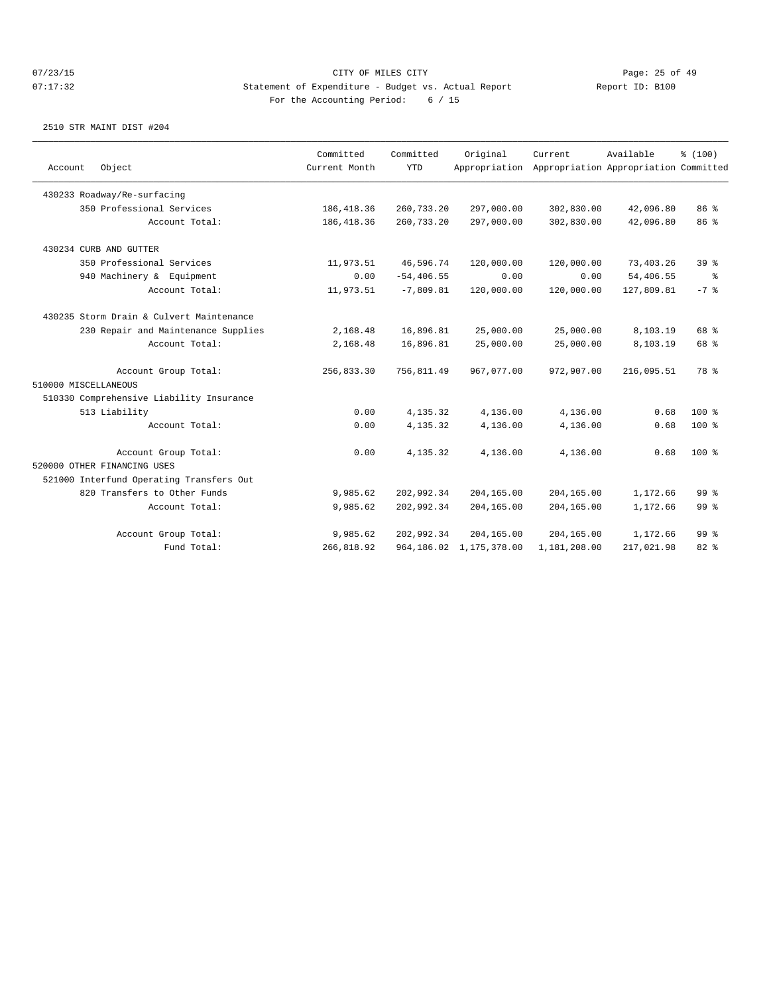| Account<br>Object                        | Committed<br>Current Month | Committed<br><b>YTD</b> | Original<br>Appropriation  | Current      | Available<br>Appropriation Appropriation Committed | % (100)         |
|------------------------------------------|----------------------------|-------------------------|----------------------------|--------------|----------------------------------------------------|-----------------|
| 430233 Roadway/Re-surfacing              |                            |                         |                            |              |                                                    |                 |
| 350 Professional Services                | 186, 418.36                | 260,733.20              | 297,000.00                 | 302,830.00   | 42,096.80                                          | 86 %            |
| Account Total:                           | 186, 418.36                | 260,733.20              | 297,000.00                 | 302,830.00   | 42,096.80                                          | 86 %            |
| 430234 CURB AND GUTTER                   |                            |                         |                            |              |                                                    |                 |
| 350 Professional Services                | 11,973.51                  | 46,596.74               | 120,000.00                 | 120,000.00   | 73,403.26                                          | 39%             |
| 940 Machinery & Equipment                | 0.00                       | $-54, 406.55$           | 0.00                       | 0.00         | 54,406.55                                          | ွေ              |
| Account Total:                           | 11,973.51                  | $-7,809.81$             | 120,000.00                 | 120,000.00   | 127,809.81                                         | $-7$ %          |
| 430235 Storm Drain & Culvert Maintenance |                            |                         |                            |              |                                                    |                 |
| 230 Repair and Maintenance Supplies      | 2,168.48                   | 16,896.81               | 25,000.00                  | 25,000.00    | 8,103.19                                           | 68 %            |
| Account Total:                           | 2,168.48                   | 16,896.81               | 25,000.00                  | 25,000.00    | 8,103.19                                           | 68 %            |
| Account Group Total:                     | 256,833.30                 | 756,811.49              | 967,077.00                 | 972,907.00   | 216,095.51                                         | 78 %            |
| 510000 MISCELLANEOUS                     |                            |                         |                            |              |                                                    |                 |
| 510330 Comprehensive Liability Insurance |                            |                         |                            |              |                                                    |                 |
| 513 Liability                            | 0.00                       | 4,135.32                | 4,136.00                   | 4,136.00     | 0.68                                               | $100$ %         |
| Account Total:                           | 0.00                       | 4,135.32                | 4,136.00                   | 4,136.00     | 0.68                                               | 100 %           |
| Account Group Total:                     | 0.00                       | 4,135.32                | 4,136.00                   | 4,136.00     | 0.68                                               | $100$ %         |
| 520000 OTHER FINANCING USES              |                            |                         |                            |              |                                                    |                 |
| 521000 Interfund Operating Transfers Out |                            |                         |                            |              |                                                    |                 |
| 820 Transfers to Other Funds             | 9,985.62                   | 202,992.34              | 204,165.00                 | 204,165.00   | 1,172.66                                           | 99 <sup>8</sup> |
| Account Total:                           | 9,985.62                   | 202,992.34              | 204,165.00                 | 204,165.00   | 1,172.66                                           | 99 <sup>°</sup> |
| Account Group Total:                     | 9,985.62                   | 202,992.34              | 204,165.00                 | 204,165.00   | 1,172.66                                           | 99 <sup>8</sup> |
| Fund Total:                              | 266,818.92                 |                         | 964, 186.02 1, 175, 378.00 | 1,181,208.00 | 217,021.98                                         | 82%             |
|                                          |                            |                         |                            |              |                                                    |                 |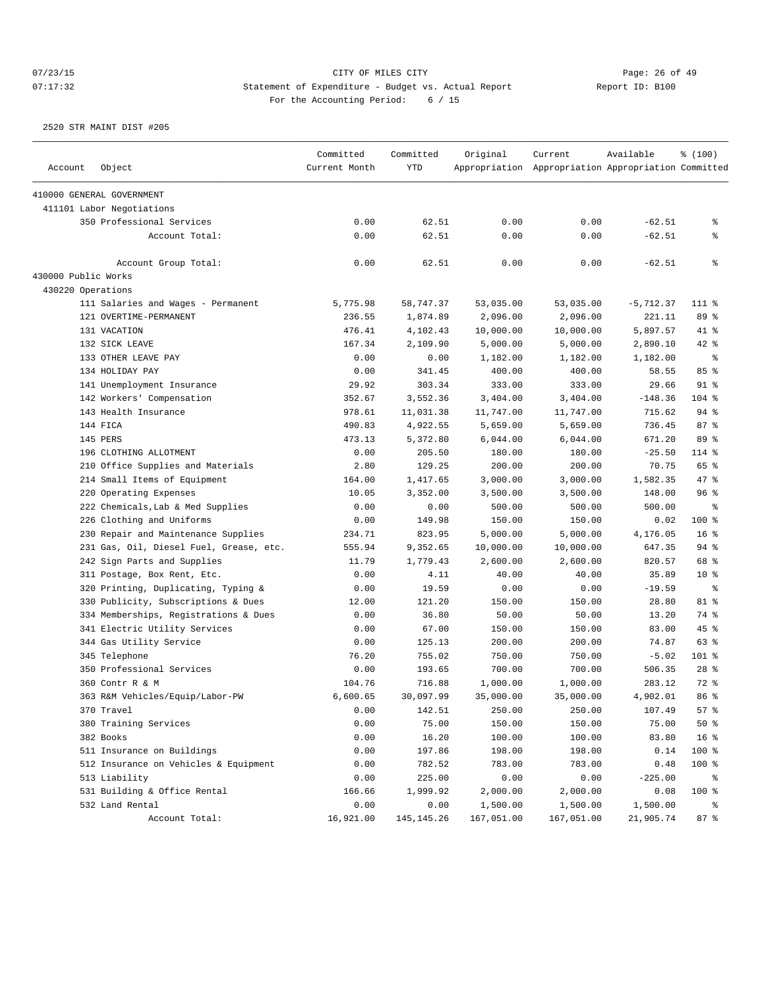# 07/23/15 Page: 26 of 49 07:17:32 Statement of Expenditure - Budget vs. Actual Report Report ID: B100 For the Accounting Period: 6 / 15

| Account             | Object                                  | Committed<br>Current Month | Committed<br><b>YTD</b> | Original   | Current<br>Appropriation Appropriation Appropriation Committed | Available   | % (100)         |
|---------------------|-----------------------------------------|----------------------------|-------------------------|------------|----------------------------------------------------------------|-------------|-----------------|
|                     | 410000 GENERAL GOVERNMENT               |                            |                         |            |                                                                |             |                 |
|                     | 411101 Labor Negotiations               |                            |                         |            |                                                                |             |                 |
|                     | 350 Professional Services               | 0.00                       | 62.51                   | 0.00       | 0.00                                                           | $-62.51$    | နွ              |
|                     | Account Total:                          | 0.00                       | 62.51                   | 0.00       | 0.00                                                           | $-62.51$    | နွ              |
|                     | Account Group Total:                    | 0.00                       | 62.51                   | 0.00       | 0.00                                                           | $-62.51$    | ៖               |
| 430000 Public Works |                                         |                            |                         |            |                                                                |             |                 |
| 430220 Operations   |                                         |                            |                         |            |                                                                |             |                 |
|                     | 111 Salaries and Wages - Permanent      | 5,775.98                   | 58,747.37               | 53,035.00  | 53,035.00                                                      | $-5,712.37$ | 111 %           |
|                     | 121 OVERTIME-PERMANENT                  | 236.55                     | 1,874.89                | 2,096.00   | 2,096.00                                                       | 221.11      | 89 %            |
|                     | 131 VACATION                            | 476.41                     | 4,102.43                | 10,000.00  | 10,000.00                                                      | 5,897.57    | $41*$           |
|                     | 132 SICK LEAVE                          | 167.34                     | 2,109.90                | 5,000.00   | 5,000.00                                                       | 2,890.10    | $42$ %          |
|                     | 133 OTHER LEAVE PAY                     | 0.00                       | 0.00                    | 1,182.00   | 1,182.00                                                       | 1,182.00    | နွ              |
|                     | 134 HOLIDAY PAY                         | 0.00                       | 341.45                  | 400.00     | 400.00                                                         | 58.55       | 85%             |
|                     | 141 Unemployment Insurance              | 29.92                      | 303.34                  | 333.00     | 333.00                                                         | 29.66       | $91$ %          |
|                     | 142 Workers' Compensation               | 352.67                     | 3,552.36                | 3,404.00   | 3,404.00                                                       | $-148.36$   | $104$ %         |
|                     | 143 Health Insurance                    | 978.61                     | 11,031.38               | 11,747.00  | 11,747.00                                                      | 715.62      | 94%             |
|                     | 144 FICA                                | 490.83                     | 4,922.55                | 5,659.00   | 5,659.00                                                       | 736.45      | 87%             |
|                     | 145 PERS                                | 473.13                     | 5,372.80                | 6,044.00   | 6,044.00                                                       | 671.20      | 89 %            |
|                     | 196 CLOTHING ALLOTMENT                  | 0.00                       | 205.50                  | 180.00     | 180.00                                                         | $-25.50$    | 114 %           |
|                     | 210 Office Supplies and Materials       | 2.80                       | 129.25                  | 200.00     | 200.00                                                         | 70.75       | 65 %            |
|                     | 214 Small Items of Equipment            | 164.00                     | 1,417.65                | 3,000.00   | 3,000.00                                                       | 1,582.35    | 47 %            |
|                     | 220 Operating Expenses                  | 10.05                      | 3,352.00                | 3,500.00   | 3,500.00                                                       | 148.00      | 96%             |
|                     | 222 Chemicals, Lab & Med Supplies       | 0.00                       | 0.00                    | 500.00     | 500.00                                                         | 500.00      | နွ              |
|                     | 226 Clothing and Uniforms               | 0.00                       | 149.98                  | 150.00     | 150.00                                                         | 0.02        | 100 %           |
|                     | 230 Repair and Maintenance Supplies     | 234.71                     | 823.95                  | 5,000.00   | 5,000.00                                                       | 4,176.05    | 16 <sup>8</sup> |
|                     |                                         | 555.94                     |                         |            |                                                                |             | 94%             |
|                     | 231 Gas, Oil, Diesel Fuel, Grease, etc. |                            | 9,352.65<br>1,779.43    | 10,000.00  | 10,000.00                                                      | 647.35      | 68 %            |
|                     | 242 Sign Parts and Supplies             | 11.79                      |                         | 2,600.00   | 2,600.00                                                       | 820.57      |                 |
|                     | 311 Postage, Box Rent, Etc.             | 0.00                       | 4.11                    | 40.00      | 40.00                                                          | 35.89       | $10*$           |
|                     | 320 Printing, Duplicating, Typing &     | 0.00                       | 19.59                   | 0.00       | 0.00                                                           | $-19.59$    | နွ              |
|                     | 330 Publicity, Subscriptions & Dues     | 12.00                      | 121.20                  | 150.00     | 150.00                                                         | 28.80       | 81 %            |
|                     | 334 Memberships, Registrations & Dues   | 0.00                       | 36.80                   | 50.00      | 50.00                                                          | 13.20       | 74 %            |
|                     | 341 Electric Utility Services           | 0.00                       | 67.00                   | 150.00     | 150.00                                                         | 83.00       | 45%             |
|                     | 344 Gas Utility Service                 | 0.00                       | 125.13                  | 200.00     | 200.00                                                         | 74.87       | 63 %            |
|                     | 345 Telephone                           | 76.20                      | 755.02                  | 750.00     | 750.00                                                         | $-5.02$     | 101 %           |
|                     | 350 Professional Services               | 0.00                       | 193.65                  | 700.00     | 700.00                                                         | 506.35      | $28$ %          |
|                     | 360 Contr R & M                         | 104.76                     | 716.88                  | 1,000.00   | 1,000.00                                                       | 283.12      | 72 %            |
|                     | 363 R&M Vehicles/Equip/Labor-PW         | 6,600.65                   | 30,097.99               | 35,000.00  | 35,000.00                                                      | 4,902.01    | 86 %            |
|                     | 370 Travel                              | 0.00                       | 142.51                  | 250.00     | 250.00                                                         | 107.49      | 57%             |
|                     | 380 Training Services                   | 0.00                       | 75.00                   | 150.00     | 150.00                                                         | 75.00       | $50*$           |
|                     | 382 Books                               | 0.00                       | 16.20                   | 100.00     | 100.00                                                         | 83.80       | 16 <sup>8</sup> |
|                     | 511 Insurance on Buildings              | 0.00                       | 197.86                  | 198.00     | 198.00                                                         | 0.14        | 100 %           |
|                     | 512 Insurance on Vehicles & Equipment   | 0.00                       | 782.52                  | 783.00     | 783.00                                                         | 0.48        | 100 %           |
|                     | 513 Liability                           | 0.00                       | 225.00                  | 0.00       | 0.00                                                           | $-225.00$   | ိ               |
|                     | 531 Building & Office Rental            | 166.66                     | 1,999.92                | 2,000.00   | 2,000.00                                                       | 0.08        | 100 %           |
|                     | 532 Land Rental                         | 0.00                       | 0.00                    | 1,500.00   | 1,500.00                                                       | 1,500.00    | ိ               |
|                     | Account Total:                          | 16,921.00                  | 145, 145. 26            | 167,051.00 | 167,051.00                                                     | 21,905.74   | 87 %            |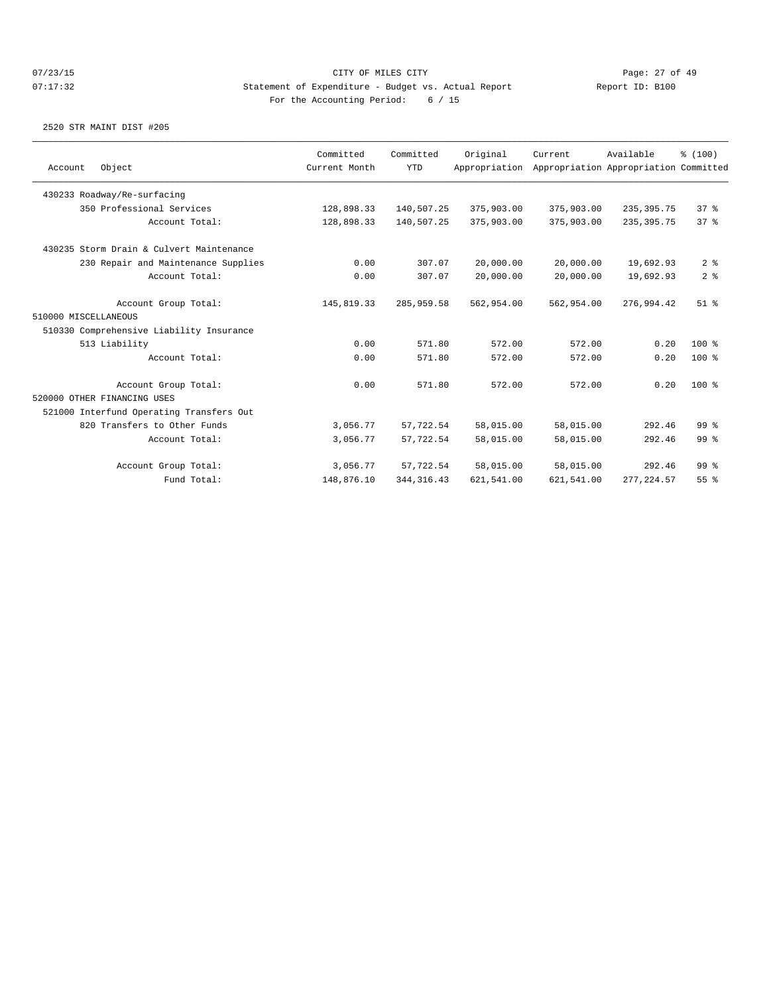|                      |                                          | Committed     | Committed   | Original      | Current    | Available                             | % (100)         |
|----------------------|------------------------------------------|---------------|-------------|---------------|------------|---------------------------------------|-----------------|
| Account              | Object                                   | Current Month | <b>YTD</b>  | Appropriation |            | Appropriation Appropriation Committed |                 |
|                      | 430233 Roadway/Re-surfacing              |               |             |               |            |                                       |                 |
|                      | 350 Professional Services                | 128,898.33    | 140,507.25  | 375,903.00    | 375,903.00 | 235, 395.75                           | 37 <sup>8</sup> |
|                      | Account Total:                           | 128,898.33    | 140,507.25  | 375,903.00    | 375,903.00 | 235, 395.75                           | 378             |
|                      | 430235 Storm Drain & Culvert Maintenance |               |             |               |            |                                       |                 |
|                      | 230 Repair and Maintenance Supplies      | 0.00          | 307.07      | 20,000.00     | 20,000.00  | 19,692.93                             | 2 <sup>8</sup>  |
|                      | Account Total:                           | 0.00          | 307.07      | 20,000.00     | 20,000.00  | 19,692.93                             | 2 <sup>8</sup>  |
|                      | Account Group Total:                     | 145,819.33    | 285,959.58  | 562,954.00    | 562,954.00 | 276,994.42                            | $51$ %          |
| 510000 MISCELLANEOUS |                                          |               |             |               |            |                                       |                 |
|                      | 510330 Comprehensive Liability Insurance |               |             |               |            |                                       |                 |
|                      | 513 Liability                            | 0.00          | 571.80      | 572.00        | 572.00     | 0.20                                  | $100*$          |
|                      | Account Total:                           | 0.00          | 571.80      | 572.00        | 572.00     | 0.20                                  | $100*$          |
|                      | Account Group Total:                     | 0.00          | 571.80      | 572.00        | 572.00     | 0.20                                  | $100$ %         |
|                      | 520000 OTHER FINANCING USES              |               |             |               |            |                                       |                 |
|                      | 521000 Interfund Operating Transfers Out |               |             |               |            |                                       |                 |
|                      | 820 Transfers to Other Funds             | 3,056.77      | 57,722.54   | 58,015.00     | 58,015.00  | 292.46                                | 99 <sup>8</sup> |
|                      | Account Total:                           | 3,056.77      | 57,722.54   | 58,015.00     | 58,015.00  | 292.46                                | 99 <sup>8</sup> |
|                      | Account Group Total:                     | 3,056.77      | 57,722.54   | 58,015.00     | 58,015.00  | 292.46                                | 99 <sup>8</sup> |
|                      | Fund Total:                              | 148,876.10    | 344, 316.43 | 621,541.00    | 621,541.00 | 277, 224.57                           | 55 <sup>8</sup> |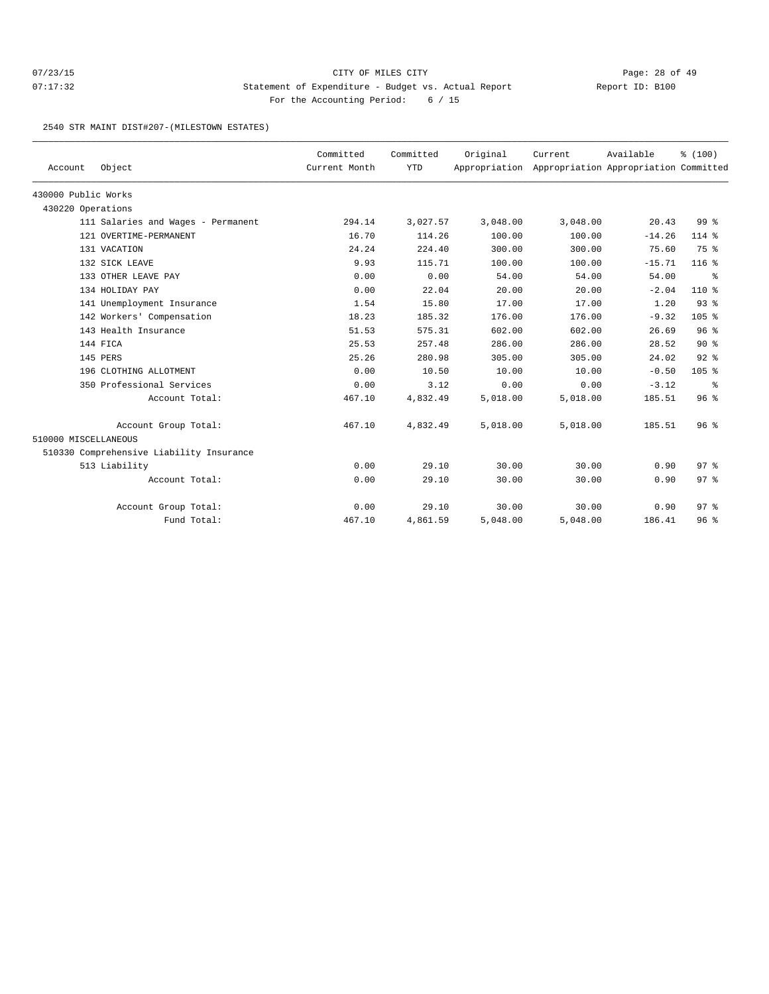# 07/23/15 Page: 28 of 49 07:17:32 Statement of Expenditure - Budget vs. Actual Report Report ID: B100 For the Accounting Period: 6 / 15

### 2540 STR MAINT DIST#207-(MILESTOWN ESTATES)

| Account              | Object                                   | Committed<br>Current Month | Committed<br><b>YTD</b> | Original | Current<br>Appropriation Appropriation Appropriation Committed | Available | % (100)         |
|----------------------|------------------------------------------|----------------------------|-------------------------|----------|----------------------------------------------------------------|-----------|-----------------|
| 430000 Public Works  |                                          |                            |                         |          |                                                                |           |                 |
| 430220 Operations    |                                          |                            |                         |          |                                                                |           |                 |
|                      | 111 Salaries and Wages - Permanent       | 294.14                     | 3,027.57                | 3,048.00 | 3,048.00                                                       | 20.43     | 99 <sup>°</sup> |
|                      | 121 OVERTIME-PERMANENT                   | 16.70                      | 114.26                  | 100.00   | 100.00                                                         | $-14.26$  | $114$ %         |
|                      | 131 VACATION                             | 24.24                      | 224.40                  | 300.00   | 300.00                                                         | 75.60     | 75 %            |
|                      | 132 SICK LEAVE                           | 9.93                       | 115.71                  | 100.00   | 100.00                                                         | $-15.71$  | $116$ %         |
|                      | 133 OTHER LEAVE PAY                      | 0.00                       | 0.00                    | 54.00    | 54.00                                                          | 54.00     | ွေ              |
|                      | 134 HOLIDAY PAY                          | 0.00                       | 22.04                   | 20.00    | 20.00                                                          | $-2.04$   | $110*$          |
|                      | 141 Unemployment Insurance               | 1.54                       | 15.80                   | 17.00    | 17.00                                                          | 1.20      | $93$ $%$        |
|                      | 142 Workers' Compensation                | 18.23                      | 185.32                  | 176.00   | 176.00                                                         | $-9.32$   | $105$ %         |
|                      | 143 Health Insurance                     | 51.53                      | 575.31                  | 602.00   | 602.00                                                         | 26.69     | 96 <sup>°</sup> |
|                      | 144 FICA                                 | 25.53                      | 257.48                  | 286.00   | 286.00                                                         | 28.52     | $90*$           |
|                      | 145 PERS                                 | 25.26                      | 280.98                  | 305.00   | 305.00                                                         | 24.02     | 92%             |
|                      | 196 CLOTHING ALLOTMENT                   | 0.00                       | 10.50                   | 10.00    | 10.00                                                          | $-0.50$   | 105 %           |
|                      | 350 Professional Services                | 0.00                       | 3.12                    | 0.00     | 0.00                                                           | $-3.12$   | နွ              |
|                      | Account Total:                           | 467.10                     | 4,832.49                | 5,018.00 | 5,018.00                                                       | 185.51    | 96%             |
|                      | Account Group Total:                     | 467.10                     | 4,832.49                | 5,018.00 | 5,018.00                                                       | 185.51    | 96 <sup>°</sup> |
| 510000 MISCELLANEOUS |                                          |                            |                         |          |                                                                |           |                 |
|                      | 510330 Comprehensive Liability Insurance |                            |                         |          |                                                                |           |                 |
|                      | 513 Liability                            | 0.00                       | 29.10                   | 30.00    | 30.00                                                          | 0.90      | 97 <sub>8</sub> |
|                      | Account Total:                           | 0.00                       | 29.10                   | 30.00    | 30.00                                                          | 0.90      | 97 <sub>8</sub> |
|                      | Account Group Total:                     | 0.00                       | 29.10                   | 30.00    | 30.00                                                          | 0.90      | 97 <sub>8</sub> |
|                      | Fund Total:                              | 467.10                     | 4,861.59                | 5,048.00 | 5,048.00                                                       | 186.41    | 96 <sup>°</sup> |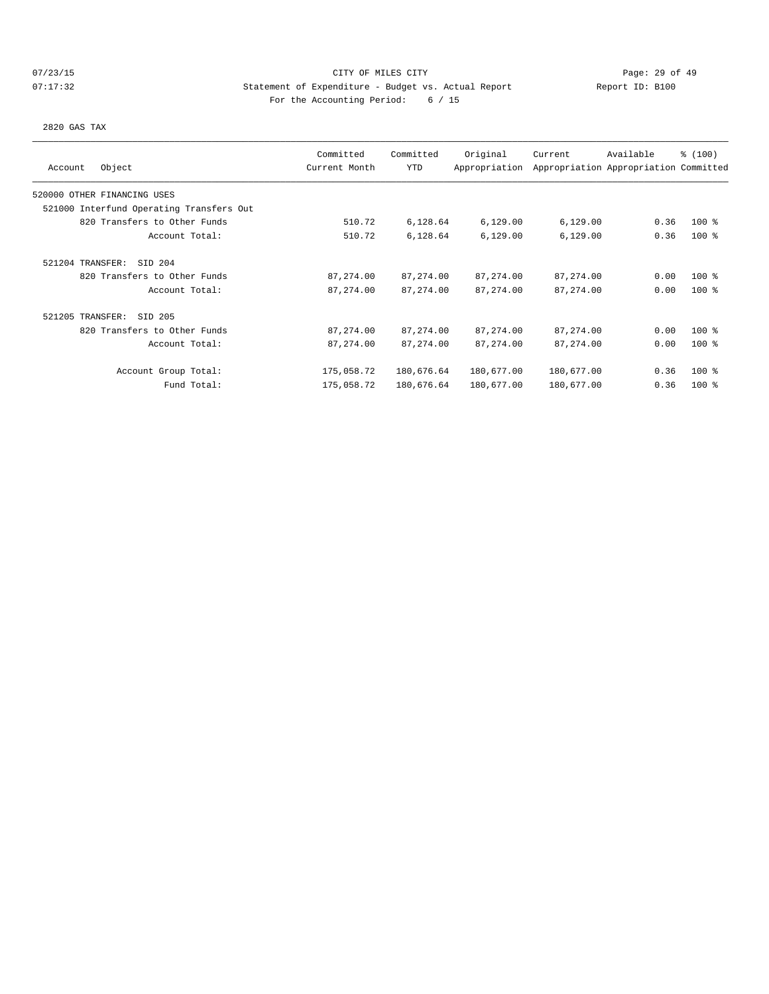# 07/23/15 Page: 29 of 49 07:17:32 Statement of Expenditure - Budget vs. Actual Report Report ID: B100 For the Accounting Period: 6 / 15

2820 GAS TAX

|                                          | Committed     | Committed  | Original      | Current    | Available                             | \$(100) |
|------------------------------------------|---------------|------------|---------------|------------|---------------------------------------|---------|
| Object<br>Account                        | Current Month | <b>YTD</b> | Appropriation |            | Appropriation Appropriation Committed |         |
| 520000 OTHER FINANCING USES              |               |            |               |            |                                       |         |
| 521000 Interfund Operating Transfers Out |               |            |               |            |                                       |         |
| 820 Transfers to Other Funds             | 510.72        | 6,128.64   | 6,129.00      | 6,129.00   | 0.36                                  | $100$ % |
| Account Total:                           | 510.72        | 6,128.64   | 6,129.00      | 6,129.00   | 0.36                                  | $100$ % |
| 521204 TRANSFER:<br>SID 204              |               |            |               |            |                                       |         |
| 820 Transfers to Other Funds             | 87,274.00     | 87, 274.00 | 87, 274.00    | 87, 274.00 | 0.00                                  | $100$ % |
| Account Total:                           | 87, 274.00    | 87, 274.00 | 87, 274.00    | 87, 274.00 | 0.00                                  | $100$ % |
| 521205 TRANSFER:<br>SID 205              |               |            |               |            |                                       |         |
| 820 Transfers to Other Funds             | 87,274.00     | 87, 274.00 | 87, 274.00    | 87, 274.00 | 0.00                                  | $100$ % |
| Account Total:                           | 87, 274.00    | 87, 274.00 | 87, 274.00    | 87, 274.00 | 0.00                                  | $100$ % |
| Account Group Total:                     | 175,058.72    | 180,676.64 | 180,677.00    | 180,677.00 | 0.36                                  | $100$ % |
| Fund Total:                              | 175,058.72    | 180,676.64 | 180,677.00    | 180,677.00 | 0.36                                  | $100$ % |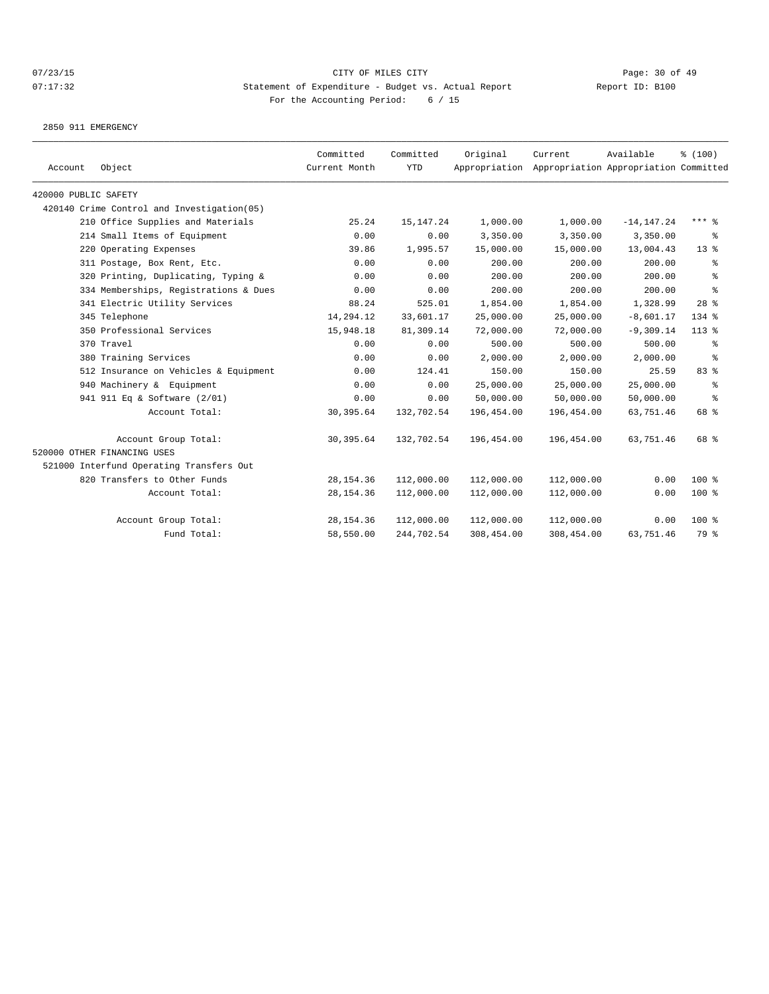2850 911 EMERGENCY

| Account              | Object                                     | Committed<br>Current Month | Committed<br><b>YTD</b> | Original   | Current<br>Appropriation Appropriation Appropriation Committed | Available     | % (100)    |
|----------------------|--------------------------------------------|----------------------------|-------------------------|------------|----------------------------------------------------------------|---------------|------------|
| 420000 PUBLIC SAFETY |                                            |                            |                         |            |                                                                |               |            |
|                      | 420140 Crime Control and Investigation(05) |                            |                         |            |                                                                |               |            |
|                      | 210 Office Supplies and Materials          | 25.24                      | 15, 147. 24             | 1,000.00   | 1,000.00                                                       | $-14, 147.24$ | $***$ $%$  |
|                      | 214 Small Items of Equipment               | 0.00                       | 0.00                    | 3,350.00   | 3,350.00                                                       | 3,350.00      | ႜ          |
|                      | 220 Operating Expenses                     | 39.86                      | 1,995.57                | 15,000.00  | 15,000.00                                                      | 13,004.43     | $13*$      |
|                      | 311 Postage, Box Rent, Etc.                | 0.00                       | 0.00                    | 200.00     | 200.00                                                         | 200.00        | ႜ          |
|                      | 320 Printing, Duplicating, Typing &        | 0.00                       | 0.00                    | 200.00     | 200.00                                                         | 200.00        | ి          |
|                      | 334 Memberships, Registrations & Dues      | 0.00                       | 0.00                    | 200.00     | 200.00                                                         | 200.00        | နွ         |
|                      | 341 Electric Utility Services              | 88.24                      | 525.01                  | 1,854.00   | 1,854.00                                                       | 1,328.99      | $28$ %     |
|                      | 345 Telephone                              | 14,294.12                  | 33,601.17               | 25,000.00  | 25,000.00                                                      | $-8,601.17$   | $134$ $%$  |
|                      | 350 Professional Services                  | 15,948.18                  | 81,309.14               | 72,000.00  | 72,000.00                                                      | $-9, 309.14$  | $113*$     |
|                      | 370 Travel                                 | 0.00                       | 0.00                    | 500.00     | 500.00                                                         | 500.00        | နွ         |
|                      | 380 Training Services                      | 0.00                       | 0.00                    | 2,000.00   | 2,000.00                                                       | 2,000.00      | $\epsilon$ |
|                      | 512 Insurance on Vehicles & Equipment      | 0.00                       | 124.41                  | 150.00     | 150.00                                                         | 25.59         | 83 %       |
|                      | 940 Machinery & Equipment                  | 0.00                       | 0.00                    | 25,000.00  | 25,000.00                                                      | 25,000.00     | ి          |
|                      | 941 911 Eq & Software (2/01)               | 0.00                       | 0.00                    | 50,000.00  | 50,000.00                                                      | 50,000.00     | ႜ          |
|                      | Account Total:                             | 30, 395.64                 | 132,702.54              | 196,454.00 | 196,454.00                                                     | 63,751.46     | 68 %       |
|                      | Account Group Total:                       | 30,395.64                  | 132,702.54              | 196,454.00 | 196,454.00                                                     | 63,751.46     | 68 %       |
|                      | 520000 OTHER FINANCING USES                |                            |                         |            |                                                                |               |            |
|                      | 521000 Interfund Operating Transfers Out   |                            |                         |            |                                                                |               |            |
|                      | 820 Transfers to Other Funds               | 28, 154.36                 | 112,000.00              | 112,000.00 | 112,000.00                                                     | 0.00          | $100*$     |
|                      | Account Total:                             | 28, 154.36                 | 112,000.00              | 112,000.00 | 112,000.00                                                     | 0.00          | $100$ %    |
|                      | Account Group Total:                       | 28, 154.36                 | 112,000.00              | 112,000.00 | 112,000.00                                                     | 0.00          | $100$ %    |
|                      | Fund Total:                                | 58,550.00                  | 244,702.54              | 308,454.00 | 308,454.00                                                     | 63,751.46     | 79 %       |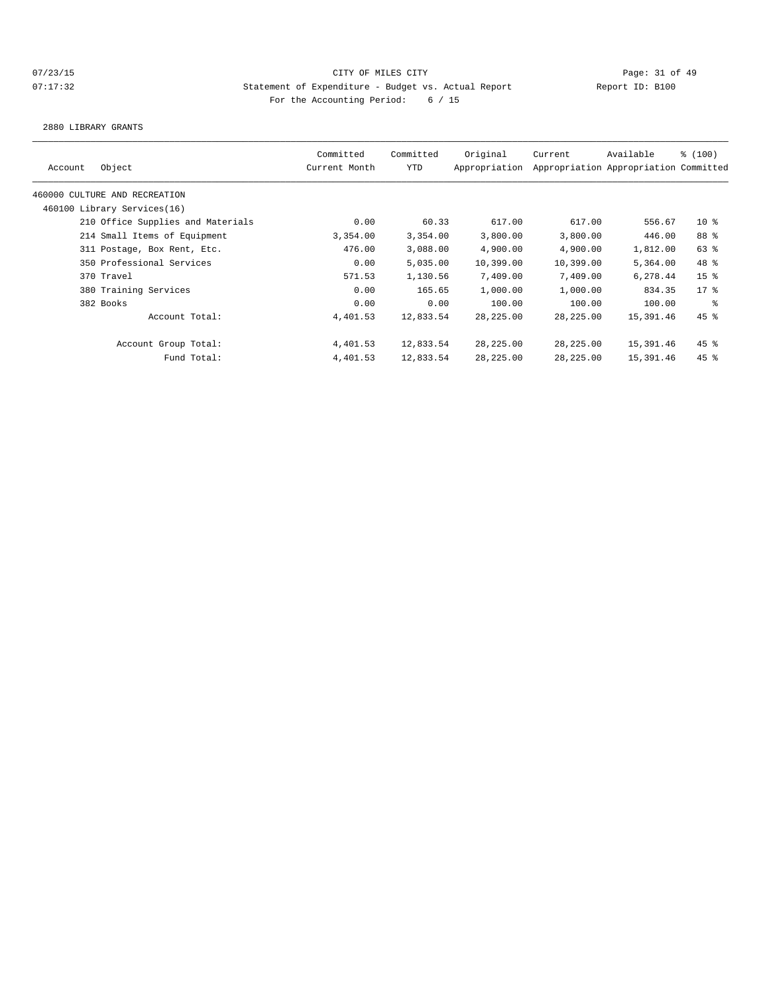2880 LIBRARY GRANTS

| Account | Object                            | Committed<br>Current Month | Committed<br>YTD | Original<br>Appropriation | Current    | Available<br>Appropriation Appropriation Committed | % (100)         |
|---------|-----------------------------------|----------------------------|------------------|---------------------------|------------|----------------------------------------------------|-----------------|
|         | 460000 CULTURE AND RECREATION     |                            |                  |                           |            |                                                    |                 |
|         | 460100 Library Services(16)       |                            |                  |                           |            |                                                    |                 |
|         | 210 Office Supplies and Materials | 0.00                       | 60.33            | 617.00                    | 617.00     | 556.67                                             | $10*$           |
|         | 214 Small Items of Equipment      | 3,354.00                   | 3,354.00         | 3,800.00                  | 3,800.00   | 446.00                                             | 88 %            |
|         | 311 Postage, Box Rent, Etc.       | 476.00                     | 3,088.00         | 4,900.00                  | 4,900.00   | 1,812.00                                           | 63 %            |
|         | 350 Professional Services         | 0.00                       | 5,035.00         | 10,399.00                 | 10,399.00  | 5,364.00                                           | 48 %            |
|         | 370 Travel                        | 571.53                     | 1,130.56         | 7,409.00                  | 7,409.00   | 6,278.44                                           | 15 <sup>8</sup> |
|         | 380 Training Services             | 0.00                       | 165.65           | 1,000.00                  | 1,000.00   | 834.35                                             | $17*$           |
|         | 382 Books                         | 0.00                       | 0.00             | 100.00                    | 100.00     | 100.00                                             | နွ              |
|         | Account Total:                    | 4,401.53                   | 12,833.54        | 28, 225.00                | 28, 225.00 | 15,391.46                                          | $45$ %          |
|         | Account Group Total:              | 4,401.53                   | 12,833.54        | 28,225.00                 | 28,225.00  | 15,391.46                                          | $45$ %          |
|         | Fund Total:                       | 4,401.53                   | 12,833.54        | 28, 225.00                | 28,225.00  | 15,391.46                                          | $45$ %          |
|         |                                   |                            |                  |                           |            |                                                    |                 |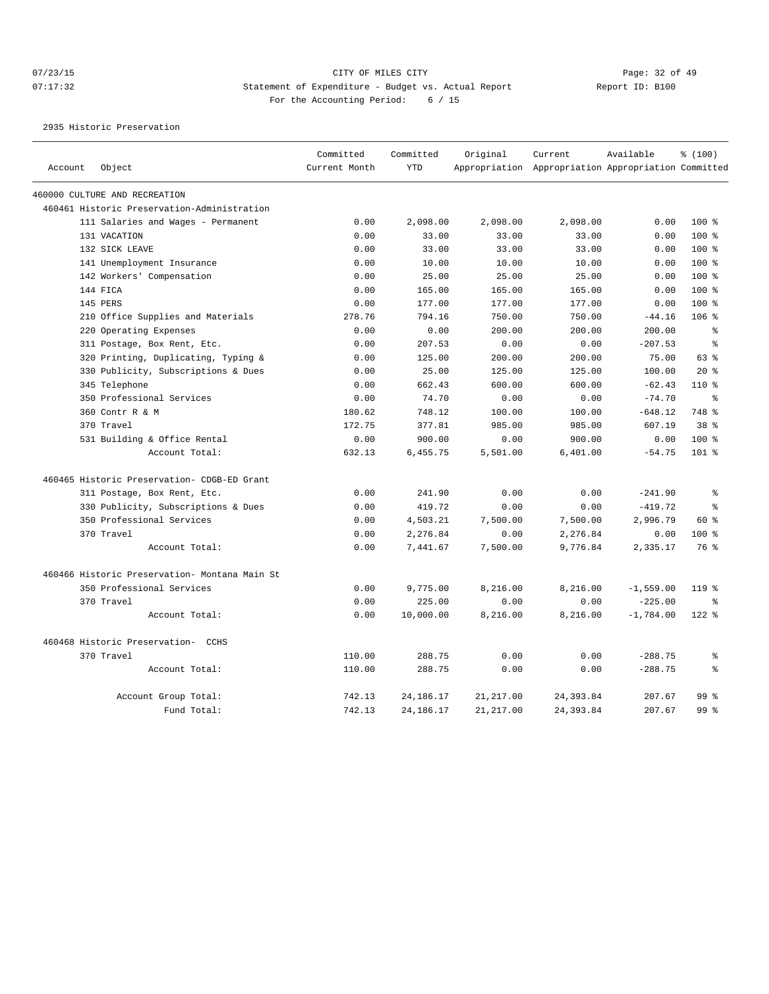# 07/23/15 Page: 32 of 49 07:17:32 Statement of Expenditure - Budget vs. Actual Report Changer Report ID: B100 For the Accounting Period: 6 / 15

2935 Historic Preservation

|         |                                               | Committed     | Committed   | Original   | Current                                             | Available   | % (100)         |
|---------|-----------------------------------------------|---------------|-------------|------------|-----------------------------------------------------|-------------|-----------------|
| Account | Object                                        | Current Month | <b>YTD</b>  |            | Appropriation Appropriation Appropriation Committed |             |                 |
|         | 460000 CULTURE AND RECREATION                 |               |             |            |                                                     |             |                 |
|         | 460461 Historic Preservation-Administration   |               |             |            |                                                     |             |                 |
|         | 111 Salaries and Wages - Permanent            | 0.00          | 2,098.00    | 2,098.00   | 2,098.00                                            | 0.00        | $100*$          |
|         | 131 VACATION                                  | 0.00          | 33.00       | 33.00      | 33.00                                               | 0.00        | $100$ %         |
|         | 132 SICK LEAVE                                | 0.00          | 33.00       | 33.00      | 33.00                                               | 0.00        | 100 %           |
|         | 141 Unemployment Insurance                    | 0.00          | 10.00       | 10.00      | 10.00                                               | 0.00        | $100*$          |
|         | 142 Workers' Compensation                     | 0.00          | 25.00       | 25.00      | 25.00                                               | 0.00        | $100*$          |
|         | 144 FICA                                      | 0.00          | 165.00      | 165.00     | 165.00                                              | 0.00        | $100$ %         |
|         | 145 PERS                                      | 0.00          | 177.00      | 177.00     | 177.00                                              | 0.00        | 100 %           |
|         | 210 Office Supplies and Materials             | 278.76        | 794.16      | 750.00     | 750.00                                              | $-44.16$    | $106$ %         |
|         | 220 Operating Expenses                        | 0.00          | 0.00        | 200.00     | 200.00                                              | 200.00      | $\approx$       |
|         | 311 Postage, Box Rent, Etc.                   | 0.00          | 207.53      | 0.00       | 0.00                                                | $-207.53$   | $\epsilon$      |
|         | 320 Printing, Duplicating, Typing &           | 0.00          | 125.00      | 200.00     | 200.00                                              | 75.00       | 63%             |
|         | 330 Publicity, Subscriptions & Dues           | 0.00          | 25.00       | 125.00     | 125.00                                              | 100.00      | $20*$           |
|         | 345 Telephone                                 | 0.00          | 662.43      | 600.00     | 600.00                                              | $-62.43$    | $110*$          |
|         | 350 Professional Services                     | 0.00          | 74.70       | 0.00       | 0.00                                                | $-74.70$    | ి               |
|         | 360 Contr R & M                               | 180.62        | 748.12      | 100.00     | 100.00                                              | $-648.12$   | 748 %           |
|         | 370 Travel                                    | 172.75        | 377.81      | 985.00     | 985.00                                              | 607.19      | 38 <sup>8</sup> |
|         | 531 Building & Office Rental                  | 0.00          | 900.00      | 0.00       | 900.00                                              | 0.00        | 100 %           |
|         | Account Total:                                | 632.13        | 6,455.75    | 5,501.00   | 6,401.00                                            | $-54.75$    | 101 %           |
|         | 460465 Historic Preservation- CDGB-ED Grant   |               |             |            |                                                     |             |                 |
|         | 311 Postage, Box Rent, Etc.                   | 0.00          | 241.90      | 0.00       | 0.00                                                | $-241.90$   | $\,$ $\,$ $\,$  |
|         | 330 Publicity, Subscriptions & Dues           | 0.00          | 419.72      | 0.00       | 0.00                                                | $-419.72$   | $\approx$       |
|         | 350 Professional Services                     | 0.00          | 4,503.21    | 7,500.00   | 7,500.00                                            | 2,996.79    | 60 %            |
|         | 370 Travel                                    | 0.00          | 2,276.84    | 0.00       | 2,276.84                                            | 0.00        | 100 %           |
|         | Account Total:                                | 0.00          | 7,441.67    | 7,500.00   | 9,776.84                                            | 2,335.17    | 76 %            |
|         | 460466 Historic Preservation- Montana Main St |               |             |            |                                                     |             |                 |
|         | 350 Professional Services                     | 0.00          | 9,775.00    | 8,216.00   | 8,216.00                                            | $-1,559.00$ | 119 %           |
|         | 370 Travel                                    | 0.00          | 225.00      | 0.00       | 0.00                                                | $-225.00$   | ႜ               |
|         | Account Total:                                | 0.00          | 10,000.00   | 8,216.00   | 8,216.00                                            | $-1,784.00$ | $122$ %         |
|         | 460468 Historic Preservation- CCHS            |               |             |            |                                                     |             |                 |
|         | 370 Travel                                    | 110.00        | 288.75      | 0.00       | 0.00                                                | $-288.75$   | 昙               |
|         | Account Total:                                | 110.00        | 288.75      | 0.00       | 0.00                                                | $-288.75$   | $\approx$       |
|         | Account Group Total:                          | 742.13        | 24, 186. 17 | 21, 217.00 | 24, 393.84                                          | 207.67      | 99 <sup>°</sup> |
|         | Fund Total:                                   | 742.13        | 24, 186. 17 | 21, 217.00 | 24, 393.84                                          | 207.67      | 99 %            |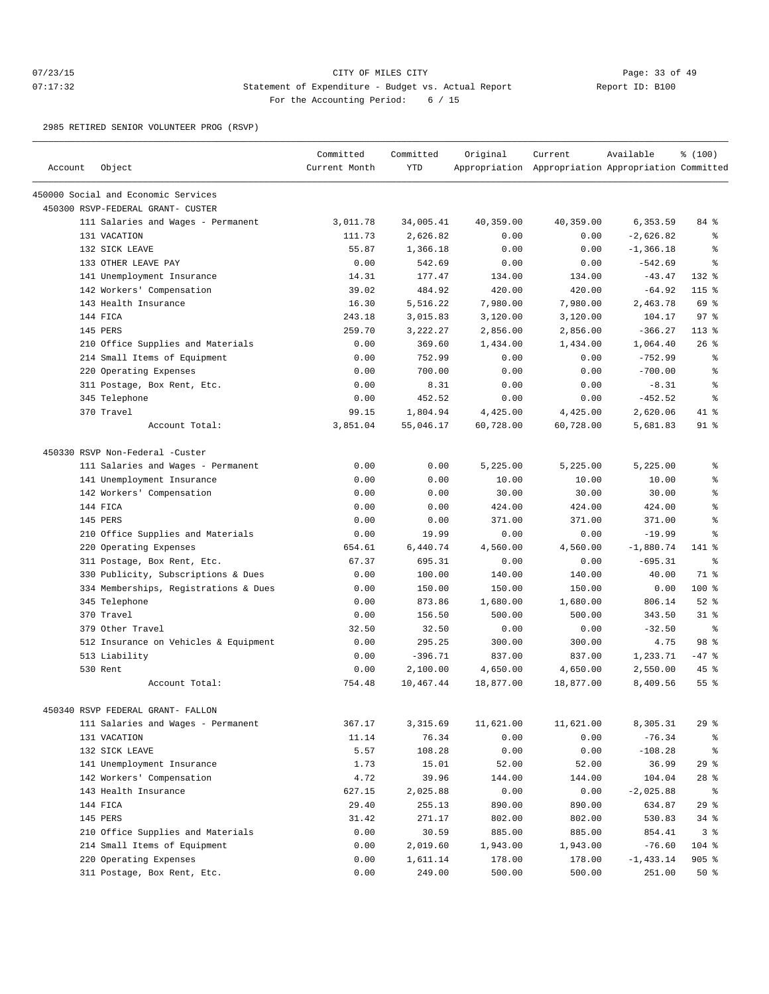# 07/23/15 Page: 33 of 49 07:17:32 Statement of Expenditure - Budget vs. Actual Report Report ID: B100 For the Accounting Period: 6 / 15

2985 RETIRED SENIOR VOLUNTEER PROG (RSVP)

| Account | Object                                                                   | Committed<br>Current Month | Committed<br><b>YTD</b> | Original  | Current<br>Appropriation Appropriation Appropriation Committed | Available    | % (100)        |
|---------|--------------------------------------------------------------------------|----------------------------|-------------------------|-----------|----------------------------------------------------------------|--------------|----------------|
|         |                                                                          |                            |                         |           |                                                                |              |                |
|         | 450000 Social and Economic Services<br>450300 RSVP-FEDERAL GRANT- CUSTER |                            |                         |           |                                                                |              |                |
|         | 111 Salaries and Wages - Permanent                                       | 3,011.78                   | 34,005.41               | 40,359.00 | 40,359.00                                                      | 6,353.59     | 84 %           |
|         | 131 VACATION                                                             | 111.73                     | 2,626.82                | 0.00      | 0.00                                                           | $-2,626.82$  | နွ             |
|         | 132 SICK LEAVE                                                           | 55.87                      | 1,366.18                | 0.00      | 0.00                                                           | $-1, 366.18$ | $\epsilon$     |
|         | 133 OTHER LEAVE PAY                                                      | 0.00                       | 542.69                  | 0.00      | 0.00                                                           | $-542.69$    | နွ             |
|         | 141 Unemployment Insurance                                               | 14.31                      | 177.47                  | 134.00    | 134.00                                                         | $-43.47$     | $132*$         |
|         | 142 Workers' Compensation                                                | 39.02                      | 484.92                  | 420.00    | 420.00                                                         | $-64.92$     | 115 %          |
|         | 143 Health Insurance                                                     | 16.30                      | 5,516.22                | 7,980.00  | 7,980.00                                                       | 2,463.78     | 69 %           |
|         | 144 FICA                                                                 | 243.18                     | 3,015.83                | 3,120.00  | 3,120.00                                                       | 104.17       | 97%            |
|         | 145 PERS                                                                 | 259.70                     | 3,222.27                | 2,856.00  | 2,856.00                                                       | $-366.27$    | $113*$         |
|         | 210 Office Supplies and Materials                                        | 0.00                       | 369.60                  | 1,434.00  | 1,434.00                                                       | 1,064.40     | 26%            |
|         | 214 Small Items of Equipment                                             | 0.00                       | 752.99                  | 0.00      | 0.00                                                           | $-752.99$    | နွ             |
|         | 220 Operating Expenses                                                   | 0.00                       | 700.00                  | 0.00      | 0.00                                                           | $-700.00$    | ిక             |
|         | 311 Postage, Box Rent, Etc.                                              | 0.00                       | 8.31                    | 0.00      | 0.00                                                           | $-8.31$      | န္             |
|         | 345 Telephone                                                            | 0.00                       | 452.52                  | 0.00      | 0.00                                                           | $-452.52$    | နွ             |
|         | 370 Travel                                                               | 99.15                      | 1,804.94                | 4,425.00  | 4,425.00                                                       | 2,620.06     | $41*$          |
|         | Account Total:                                                           | 3,851.04                   | 55,046.17               | 60,728.00 | 60,728.00                                                      | 5,681.83     | $91$ %         |
|         |                                                                          |                            |                         |           |                                                                |              |                |
|         | 450330 RSVP Non-Federal -Custer                                          |                            |                         |           |                                                                |              |                |
|         | 111 Salaries and Wages - Permanent                                       | 0.00                       | 0.00                    | 5,225.00  | 5,225.00                                                       | 5,225.00     | နွ             |
|         | 141 Unemployment Insurance                                               | 0.00                       | 0.00                    | 10.00     | 10.00                                                          | 10.00        | ిక             |
|         | 142 Workers' Compensation                                                | 0.00                       | 0.00                    | 30.00     | 30.00                                                          | 30.00        | ి              |
|         | 144 FICA                                                                 | 0.00                       | 0.00                    | 424.00    | 424.00                                                         | 424.00       | န္             |
|         | 145 PERS                                                                 | 0.00                       | 0.00                    | 371.00    | 371.00                                                         | 371.00       | န္             |
|         | 210 Office Supplies and Materials                                        | 0.00                       | 19.99                   | 0.00      | 0.00                                                           | $-19.99$     | $\approx$      |
|         | 220 Operating Expenses                                                   | 654.61                     | 6,440.74                | 4,560.00  | 4,560.00                                                       | $-1,880.74$  | 141 %          |
|         | 311 Postage, Box Rent, Etc.                                              | 67.37                      | 695.31                  | 0.00      | 0.00                                                           | $-695.31$    | ႜ              |
|         | 330 Publicity, Subscriptions & Dues                                      | 0.00                       | 100.00                  | 140.00    | 140.00                                                         | 40.00        | 71 %           |
|         | 334 Memberships, Registrations & Dues                                    | 0.00                       | 150.00                  | 150.00    | 150.00                                                         | 0.00         | 100 %          |
|         | 345 Telephone                                                            | 0.00                       | 873.86                  | 1,680.00  | 1,680.00                                                       | 806.14       | $52$ $%$       |
|         | 370 Travel                                                               | 0.00                       | 156.50                  | 500.00    | 500.00                                                         | 343.50       | 318            |
|         | 379 Other Travel                                                         | 32.50                      | 32.50                   | 0.00      | 0.00                                                           | $-32.50$     | ႜ              |
|         | 512 Insurance on Vehicles & Equipment                                    | 0.00                       | 295.25                  | 300.00    | 300.00                                                         | 4.75         | 98 %           |
|         | 513 Liability                                                            | 0.00                       | $-396.71$               | 837.00    | 837.00                                                         | 1,233.71     | $-47$ %        |
|         | 530 Rent                                                                 | 0.00                       | 2,100.00                | 4,650.00  | 4,650.00                                                       | 2,550.00     | 45 %           |
|         | Account Total:                                                           | 754.48                     | 10,467.44               | 18,877.00 | 18,877.00                                                      | 8,409.56     | 55%            |
|         | 450340 RSVP FEDERAL GRANT- FALLON                                        |                            |                         |           |                                                                |              |                |
|         | 111 Salaries and Wages - Permanent                                       | 367.17                     | 3,315.69                | 11,621.00 | 11,621.00                                                      | 8,305.31     | 29%            |
|         | 131 VACATION                                                             | 11.14                      | 76.34                   | 0.00      | 0.00                                                           | $-76.34$     | နွ             |
|         | 132 SICK LEAVE                                                           | 5.57                       | 108.28                  | 0.00      | 0.00                                                           | $-108.28$    | နွ             |
|         | 141 Unemployment Insurance                                               | 1.73                       | 15.01                   | 52.00     | 52.00                                                          | 36.99        | 29%            |
|         | 142 Workers' Compensation                                                | 4.72                       | 39.96                   | 144.00    | 144.00                                                         | 104.04       | $28$ %         |
|         | 143 Health Insurance                                                     | 627.15                     | 2,025.88                | 0.00      | 0.00                                                           | $-2,025.88$  | နွ             |
|         | 144 FICA                                                                 | 29.40                      | 255.13                  | 890.00    | 890.00                                                         | 634.87       | 29%            |
|         | 145 PERS                                                                 | 31.42                      | 271.17                  | 802.00    | 802.00                                                         | 530.83       | $34$ $%$       |
|         | 210 Office Supplies and Materials                                        | 0.00                       | 30.59                   | 885.00    | 885.00                                                         | 854.41       | 3 <sup>8</sup> |
|         | 214 Small Items of Equipment                                             | 0.00                       | 2,019.60                | 1,943.00  | 1,943.00                                                       | $-76.60$     | 104 %          |
|         | 220 Operating Expenses                                                   | 0.00                       | 1,611.14                | 178.00    | 178.00                                                         | $-1, 433.14$ | $905$ %        |
|         | 311 Postage, Box Rent, Etc.                                              | 0.00                       | 249.00                  | 500.00    | 500.00                                                         | 251.00       | $50*$          |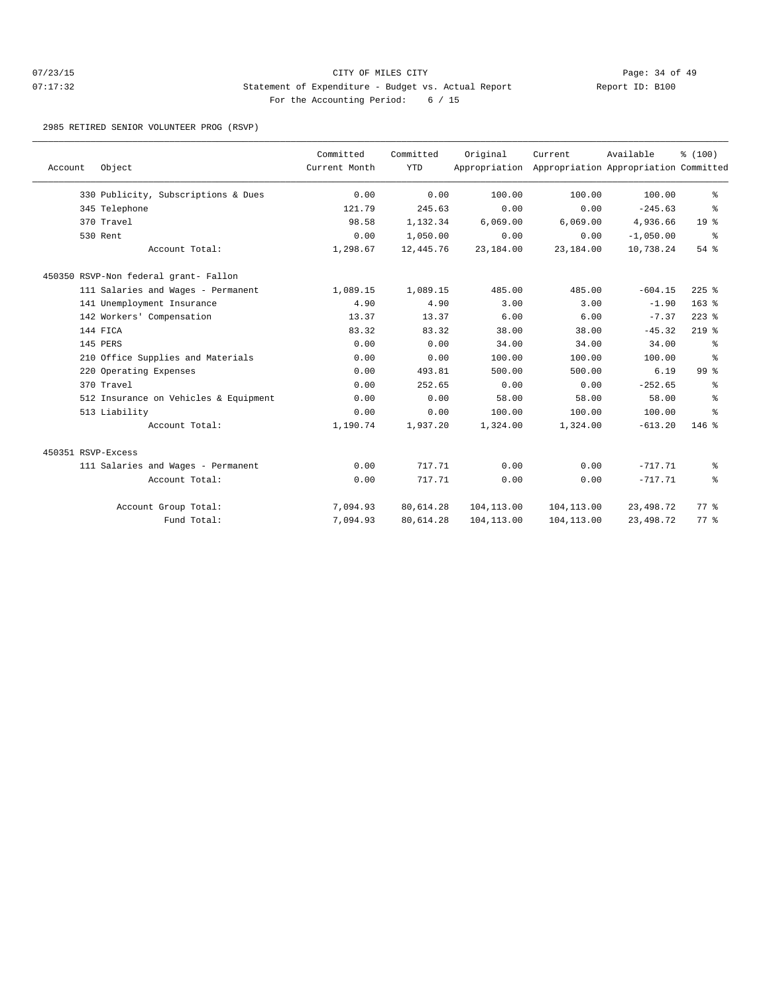# 07/23/15 Page: 34 of 49 07:17:32 Statement of Expenditure - Budget vs. Actual Report Report ID: B100 For the Accounting Period: 6 / 15

2985 RETIRED SENIOR VOLUNTEER PROG (RSVP)

|                    |                                       | Committed     | Committed  | Original    | Current                                             | Available   | % (100)         |
|--------------------|---------------------------------------|---------------|------------|-------------|-----------------------------------------------------|-------------|-----------------|
| Account            | Object                                | Current Month | <b>YTD</b> |             | Appropriation Appropriation Appropriation Committed |             |                 |
|                    | 330 Publicity, Subscriptions & Dues   | 0.00          | 0.00       | 100.00      | 100.00                                              | 100.00      | ి               |
|                    | 345 Telephone                         | 121.79        | 245.63     | 0.00        | 0.00                                                | $-245.63$   | ి               |
|                    | 370 Travel                            | 98.58         | 1,132.34   | 6,069.00    | 6,069.00                                            | 4,936.66    | 19 <sup>°</sup> |
|                    | 530 Rent                              | 0.00          | 1,050.00   | 0.00        | 0.00                                                | $-1,050.00$ | ွေ              |
|                    | Account Total:                        | 1,298.67      | 12,445.76  | 23,184.00   | 23,184.00                                           | 10,738.24   | 54 %            |
|                    | 450350 RSVP-Non federal grant- Fallon |               |            |             |                                                     |             |                 |
|                    | 111 Salaries and Wages - Permanent    | 1,089.15      | 1,089.15   | 485.00      | 485.00                                              | $-604.15$   | $225$ $%$       |
|                    | 141 Unemployment Insurance            | 4.90          | 4.90       | 3.00        | 3.00                                                | $-1.90$     | $163$ $%$       |
|                    | 142 Workers' Compensation             | 13.37         | 13.37      | 6.00        | 6.00                                                | $-7.37$     | $223$ $%$       |
|                    | 144 FICA                              | 83.32         | 83.32      | 38.00       | 38.00                                               | $-45.32$    | $219$ %         |
|                    | 145 PERS                              | 0.00          | 0.00       | 34.00       | 34.00                                               | 34.00       | နွ              |
|                    | 210 Office Supplies and Materials     | 0.00          | 0.00       | 100.00      | 100.00                                              | 100.00      | နွ              |
|                    | 220 Operating Expenses                | 0.00          | 493.81     | 500.00      | 500.00                                              | 6.19        | 99 <sup>°</sup> |
|                    | 370 Travel                            | 0.00          | 252.65     | 0.00        | 0.00                                                | $-252.65$   | ి               |
|                    | 512 Insurance on Vehicles & Equipment | 0.00          | 0.00       | 58.00       | 58.00                                               | 58.00       | ి               |
|                    | 513 Liability                         | 0.00          | 0.00       | 100.00      | 100.00                                              | 100.00      | ÷               |
|                    | Account Total:                        | 1,190.74      | 1,937.20   | 1,324.00    | 1,324.00                                            | $-613.20$   | $146$ %         |
| 450351 RSVP-Excess |                                       |               |            |             |                                                     |             |                 |
|                    | 111 Salaries and Wages - Permanent    | 0.00          | 717.71     | 0.00        | 0.00                                                | $-717.71$   | နွ              |
|                    | Account Total:                        | 0.00          | 717.71     | 0.00        | 0.00                                                | $-717.71$   | နွ              |
|                    | Account Group Total:                  | 7,094.93      | 80,614.28  | 104, 113.00 | 104,113.00                                          | 23,498.72   | 77.8            |
|                    | Fund Total:                           | 7,094.93      | 80,614.28  | 104, 113.00 | 104,113.00                                          | 23, 498.72  | 77.8            |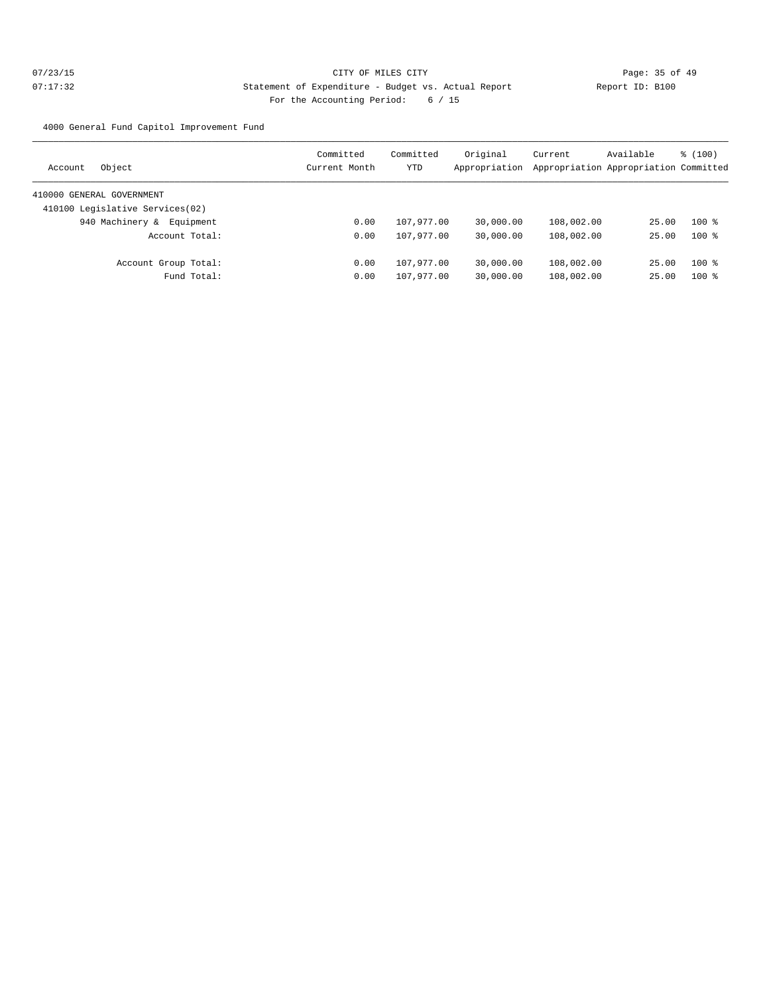4000 General Fund Capitol Improvement Fund

| Object<br>Account               | Committed<br>Current Month | Committed<br>YTD | Original<br>Appropriation | Current    | Available<br>Appropriation Appropriation Committed | % (100) |
|---------------------------------|----------------------------|------------------|---------------------------|------------|----------------------------------------------------|---------|
| 410000 GENERAL GOVERNMENT       |                            |                  |                           |            |                                                    |         |
| 410100 Legislative Services(02) |                            |                  |                           |            |                                                    |         |
| 940 Machinery &<br>Equipment    | 0.00                       | 107,977.00       | 30,000.00                 | 108,002.00 | 25.00                                              | $100*$  |
| Account Total:                  | 0.00                       | 107,977.00       | 30,000.00                 | 108,002.00 | 25.00                                              | $100*$  |
| Account Group Total:            | 0.00                       | 107,977.00       | 30,000.00                 | 108,002.00 | 25.00                                              | $100*$  |
| Fund Total:                     | 0.00                       | 107,977.00       | 30,000.00                 | 108,002.00 | 25.00                                              | $100*$  |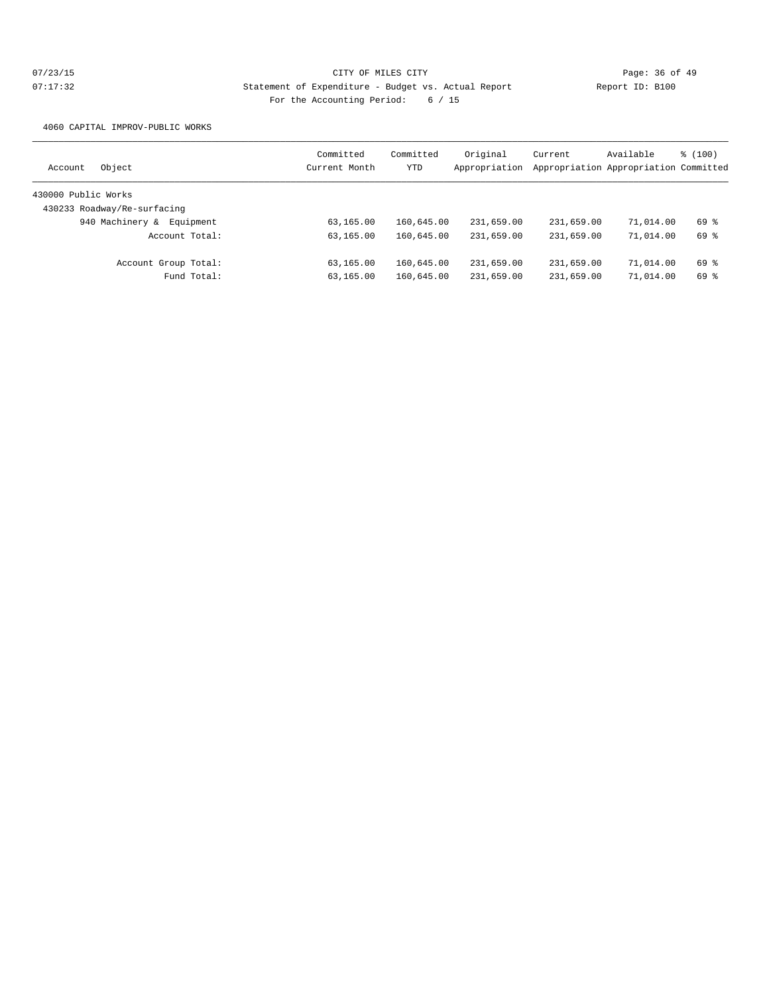4060 CAPITAL IMPROV-PUBLIC WORKS

| Object<br>Account            | Committed<br>Current Month | Committed<br>YTD | Original<br>Appropriation | Current    | Available<br>Appropriation Appropriation Committed | % (100) |
|------------------------------|----------------------------|------------------|---------------------------|------------|----------------------------------------------------|---------|
| 430000 Public Works          |                            |                  |                           |            |                                                    |         |
| 430233 Roadway/Re-surfacing  |                            |                  |                           |            |                                                    |         |
| 940 Machinery &<br>Equipment | 63,165.00                  | 160,645.00       | 231,659.00                | 231,659.00 | 71,014.00                                          | 69 %    |
| Account Total:               | 63,165.00                  | 160,645.00       | 231,659.00                | 231,659.00 | 71,014.00                                          | 69 %    |
| Account Group Total:         | 63,165.00                  | 160,645.00       | 231,659.00                | 231,659.00 | 71,014.00                                          | 69 %    |
| Fund Total:                  | 63,165.00                  | 160,645.00       | 231,659.00                | 231,659.00 | 71,014.00                                          | 69 %    |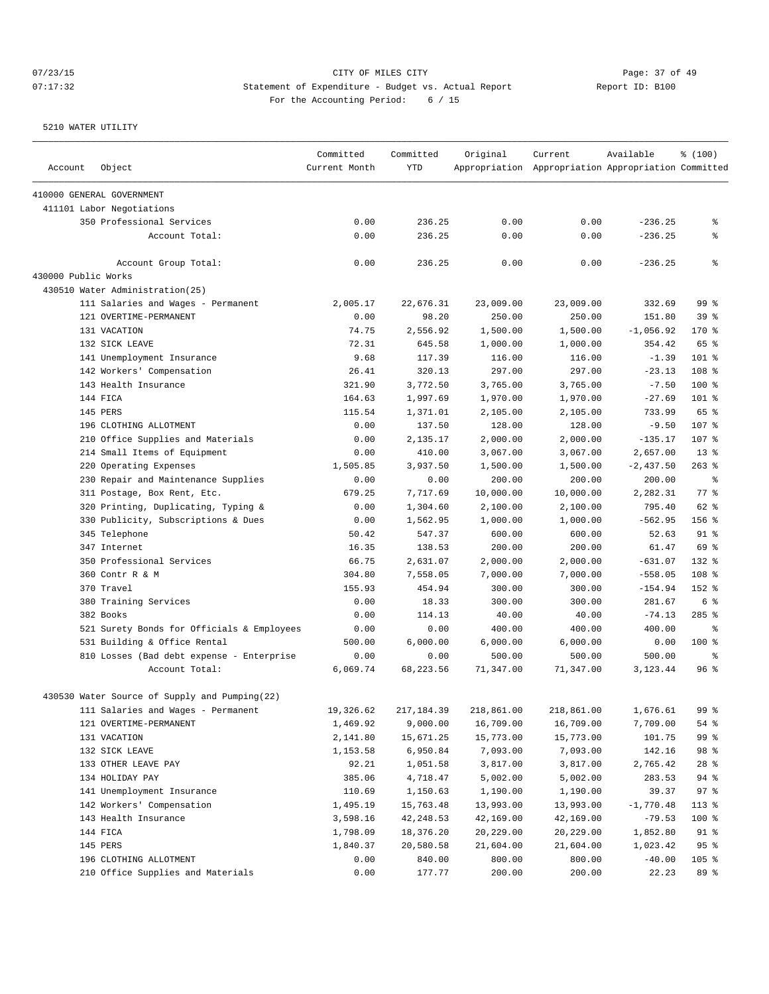# 07/23/15 Page: 37 of 49 07:17:32 Statement of Expenditure - Budget vs. Actual Report Report ID: B100 For the Accounting Period: 6 / 15

| Account             | Object                                                      | Committed<br>Current Month | Committed<br><b>YTD</b> | Original            | Current<br>Appropriation Appropriation Appropriation Committed | Available          | % (100)               |
|---------------------|-------------------------------------------------------------|----------------------------|-------------------------|---------------------|----------------------------------------------------------------|--------------------|-----------------------|
|                     | 410000 GENERAL GOVERNMENT                                   |                            |                         |                     |                                                                |                    |                       |
|                     | 411101 Labor Negotiations                                   |                            |                         |                     |                                                                |                    |                       |
|                     | 350 Professional Services                                   | 0.00                       | 236.25                  | 0.00                | 0.00                                                           | $-236.25$          | နွ                    |
|                     | Account Total:                                              | 0.00                       | 236.25                  | 0.00                | 0.00                                                           | $-236.25$          | နွ                    |
|                     | Account Group Total:                                        | 0.00                       | 236.25                  | 0.00                | 0.00                                                           | $-236.25$          | နွ                    |
| 430000 Public Works |                                                             |                            |                         |                     |                                                                |                    |                       |
|                     | 430510 Water Administration(25)                             |                            |                         |                     |                                                                |                    |                       |
|                     | 111 Salaries and Wages - Permanent                          | 2,005.17                   | 22,676.31               | 23,009.00           | 23,009.00                                                      | 332.69             | 99 %                  |
|                     | 121 OVERTIME-PERMANENT                                      | 0.00                       | 98.20                   | 250.00              | 250.00                                                         | 151.80             | 39 <sup>8</sup>       |
|                     | 131 VACATION                                                | 74.75                      | 2,556.92                | 1,500.00            | 1,500.00                                                       | $-1,056.92$        | 170 %                 |
|                     | 132 SICK LEAVE                                              | 72.31                      | 645.58                  | 1,000.00            | 1,000.00                                                       | 354.42             | 65 %                  |
|                     | 141 Unemployment Insurance                                  | 9.68                       | 117.39                  | 116.00              | 116.00                                                         | $-1.39$            | 101 %                 |
|                     | 142 Workers' Compensation                                   | 26.41                      | 320.13                  | 297.00              | 297.00                                                         | $-23.13$           | 108 %                 |
|                     | 143 Health Insurance                                        | 321.90                     | 3,772.50                | 3,765.00            | 3,765.00                                                       | $-7.50$            | 100 %                 |
|                     | 144 FICA                                                    | 164.63                     | 1,997.69                | 1,970.00            | 1,970.00                                                       | $-27.69$           | $101$ %               |
|                     | 145 PERS                                                    | 115.54                     | 1,371.01                | 2,105.00            | 2,105.00                                                       | 733.99             | 65 %                  |
|                     | 196 CLOTHING ALLOTMENT                                      | 0.00                       | 137.50                  | 128.00              | 128.00                                                         | $-9.50$            | 107 %                 |
|                     | 210 Office Supplies and Materials                           | 0.00                       | 2,135.17                | 2,000.00            | 2,000.00                                                       | $-135.17$          | 107 %                 |
|                     | 214 Small Items of Equipment                                | 0.00                       | 410.00                  | 3,067.00            | 3,067.00                                                       | 2,657.00           | $13*$                 |
|                     | 220 Operating Expenses                                      | 1,505.85                   | 3,937.50                | 1,500.00            | 1,500.00                                                       | $-2,437.50$        | $263$ $%$             |
|                     | 230 Repair and Maintenance Supplies                         | 0.00                       | 0.00                    | 200.00              | 200.00                                                         | 200.00             | နွ                    |
|                     | 311 Postage, Box Rent, Etc.                                 | 679.25                     | 7,717.69                | 10,000.00           | 10,000.00                                                      | 2,282.31           | 77.8                  |
|                     | 320 Printing, Duplicating, Typing &                         | 0.00                       | 1,304.60                | 2,100.00            | 2,100.00                                                       | 795.40             | 62 %                  |
|                     | 330 Publicity, Subscriptions & Dues                         | 0.00                       | 1,562.95                | 1,000.00            | 1,000.00                                                       | $-562.95$          | 156 %                 |
|                     | 345 Telephone                                               | 50.42                      | 547.37                  | 600.00              | 600.00                                                         | 52.63              | 91 <sup>°</sup>       |
|                     | 347 Internet                                                | 16.35                      | 138.53                  | 200.00              | 200.00                                                         | 61.47              | 69 %                  |
|                     | 350 Professional Services                                   | 66.75                      | 2,631.07                | 2,000.00            | 2,000.00                                                       | $-631.07$          | 132 %                 |
|                     | 360 Contr R & M                                             | 304.80                     | 7,558.05                | 7,000.00            | 7,000.00                                                       | $-558.05$          | 108 <sup>8</sup>      |
|                     | 370 Travel                                                  | 155.93                     | 454.94                  | 300.00              | 300.00                                                         | $-154.94$          | $152$ %               |
|                     | 380 Training Services                                       | 0.00                       | 18.33                   | 300.00              | 300.00                                                         | 281.67             | 6 %                   |
|                     | 382 Books                                                   | 0.00                       | 114.13                  | 40.00               | 40.00                                                          | $-74.13$           | $285$ %               |
|                     | 521 Surety Bonds for Officials & Employees                  | 0.00                       | 0.00                    | 400.00              | 400.00                                                         | 400.00             | ႜ                     |
|                     | 531 Building & Office Rental                                | 500.00                     | 6,000.00                | 6,000.00            | 6,000.00                                                       | 0.00               | 100 %                 |
|                     | 810 Losses (Bad debt expense - Enterprise<br>Account Total: | 0.00<br>6,069.74           | 0.00<br>68,223.56       | 500.00<br>71,347.00 | 500.00<br>71,347.00                                            | 500.00<br>3,123.44 | နွ<br>96 <sup>°</sup> |
|                     |                                                             |                            |                         |                     |                                                                |                    |                       |
|                     | 430530 Water Source of Supply and Pumping(22)               |                            |                         |                     |                                                                |                    |                       |
|                     | 111 Salaries and Wages - Permanent                          | 19,326.62                  | 217,184.39              | 218,861.00          | 218,861.00                                                     | 1,676.61           | 99 %                  |
|                     | 121 OVERTIME-PERMANENT                                      | 1,469.92                   | 9,000.00                | 16,709.00           | 16,709.00                                                      | 7,709.00           | 54 %                  |
|                     | 131 VACATION                                                | 2,141.80                   | 15,671.25               | 15,773.00           | 15,773.00                                                      | 101.75             | 99 %                  |
|                     | 132 SICK LEAVE                                              | 1,153.58                   | 6,950.84                | 7,093.00            | 7,093.00                                                       | 142.16             | 98 %                  |
|                     | 133 OTHER LEAVE PAY                                         | 92.21                      | 1,051.58                | 3,817.00            | 3,817.00                                                       | 2,765.42           | $28$ %                |
|                     | 134 HOLIDAY PAY                                             | 385.06                     | 4,718.47                | 5,002.00            | 5,002.00                                                       | 283.53             | 94 %                  |
|                     | 141 Unemployment Insurance                                  | 110.69                     | 1,150.63                | 1,190.00            | 1,190.00                                                       | 39.37              | 97%                   |
|                     | 142 Workers' Compensation                                   | 1,495.19                   | 15,763.48               | 13,993.00           | 13,993.00                                                      | $-1,770.48$        | $113*$                |
|                     | 143 Health Insurance                                        | 3,598.16                   | 42, 248.53              | 42,169.00           | 42,169.00                                                      | $-79.53$           | 100 %                 |
|                     | 144 FICA                                                    | 1,798.09                   | 18,376.20               | 20,229.00           | 20,229.00                                                      | 1,852.80           | 91 %                  |
|                     | 145 PERS                                                    | 1,840.37                   | 20,580.58               | 21,604.00           | 21,604.00                                                      | 1,023.42           | 95%                   |
|                     | 196 CLOTHING ALLOTMENT                                      | 0.00                       | 840.00                  | 800.00              | 800.00                                                         | $-40.00$           | $105$ %               |
|                     | 210 Office Supplies and Materials                           | 0.00                       | 177.77                  | 200.00              | 200.00                                                         | 22.23              | 89 %                  |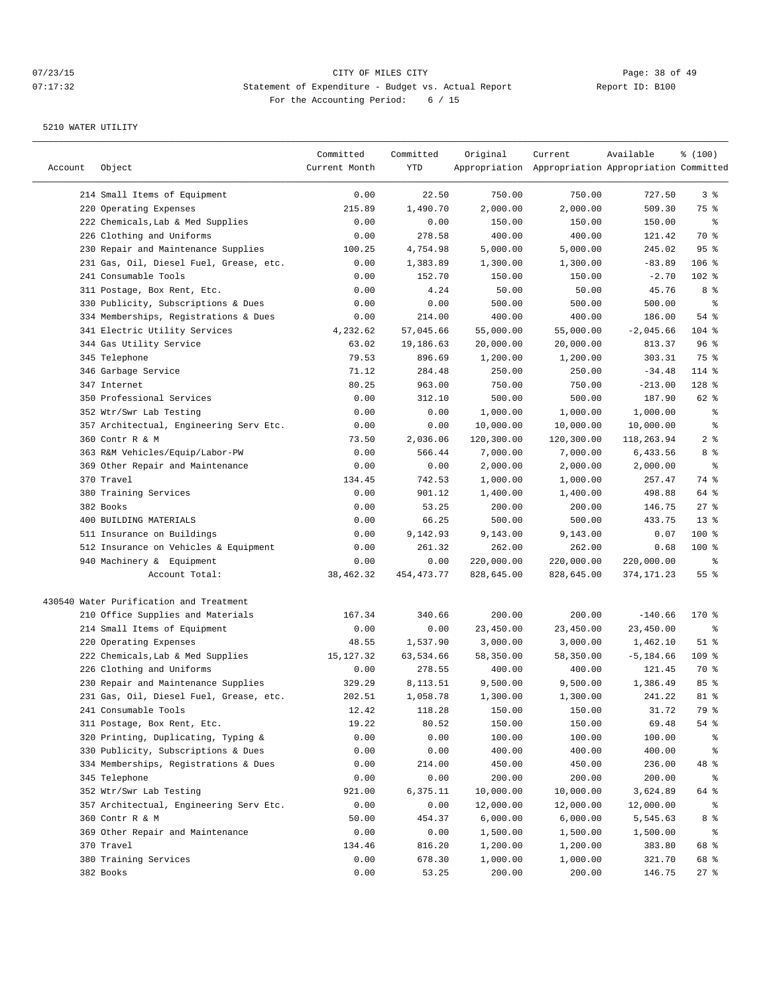| Account | Object                                  | Committed<br>Current Month | Committed<br>YTD | Original   | Current<br>Appropriation Appropriation Appropriation Committed | Available    | % (100)        |
|---------|-----------------------------------------|----------------------------|------------------|------------|----------------------------------------------------------------|--------------|----------------|
|         | 214 Small Items of Equipment            | 0.00                       | 22.50            | 750.00     | 750.00                                                         | 727.50       | 3%             |
|         | 220 Operating Expenses                  | 215.89                     | 1,490.70         | 2,000.00   | 2,000.00                                                       | 509.30       | 75 %           |
|         | 222 Chemicals, Lab & Med Supplies       | 0.00                       | 0.00             | 150.00     | 150.00                                                         | 150.00       | နွ             |
|         | 226 Clothing and Uniforms               | 0.00                       | 278.58           | 400.00     | 400.00                                                         | 121.42       | 70 %           |
|         | 230 Repair and Maintenance Supplies     | 100.25                     | 4,754.98         | 5,000.00   | 5,000.00                                                       | 245.02       | 95%            |
|         | 231 Gas, Oil, Diesel Fuel, Grease, etc. | 0.00                       | 1,383.89         | 1,300.00   | 1,300.00                                                       | $-83.89$     | $106$ %        |
|         | 241 Consumable Tools                    | 0.00                       | 152.70           | 150.00     | 150.00                                                         | $-2.70$      | $102$ %        |
|         | 311 Postage, Box Rent, Etc.             | 0.00                       | 4.24             | 50.00      | 50.00                                                          | 45.76        | 8 %            |
|         | 330 Publicity, Subscriptions & Dues     | 0.00                       | 0.00             | 500.00     | 500.00                                                         | 500.00       | နွ             |
|         | 334 Memberships, Registrations & Dues   | 0.00                       | 214.00           | 400.00     | 400.00                                                         | 186.00       | 54 %           |
|         | 341 Electric Utility Services           | 4,232.62                   | 57,045.66        | 55,000.00  | 55,000.00                                                      | $-2,045.66$  | 104 %          |
|         | 344 Gas Utility Service                 | 63.02                      | 19,186.63        | 20,000.00  | 20,000.00                                                      | 813.37       | 96%            |
|         | 345 Telephone                           | 79.53                      | 896.69           | 1,200.00   | 1,200.00                                                       | 303.31       | 75 %           |
|         | 346 Garbage Service                     | 71.12                      | 284.48           | 250.00     | 250.00                                                         | $-34.48$     | 114 %          |
|         | 347 Internet                            | 80.25                      | 963.00           | 750.00     | 750.00                                                         | $-213.00$    | 128 %          |
|         | 350 Professional Services               | 0.00                       | 312.10           | 500.00     | 500.00                                                         | 187.90       | 62 %           |
|         | 352 Wtr/Swr Lab Testing                 | 0.00                       | 0.00             | 1,000.00   | 1,000.00                                                       | 1,000.00     | နွ             |
|         | 357 Architectual, Engineering Serv Etc. | 0.00                       | 0.00             | 10,000.00  | 10,000.00                                                      | 10,000.00    | နွ             |
|         | 360 Contr R & M                         | 73.50                      | 2,036.06         | 120,300.00 | 120,300.00                                                     | 118,263.94   | 2 <sup>8</sup> |
|         | 363 R&M Vehicles/Equip/Labor-PW         | 0.00                       | 566.44           | 7,000.00   | 7,000.00                                                       | 6,433.56     | 8 %            |
|         | 369 Other Repair and Maintenance        | 0.00                       | 0.00             | 2,000.00   | 2,000.00                                                       | 2,000.00     | ್ಠಿ            |
|         | 370 Travel                              | 134.45                     | 742.53           | 1,000.00   | 1,000.00                                                       | 257.47       | 74 %           |
|         | 380 Training Services                   | 0.00                       | 901.12           | 1,400.00   | 1,400.00                                                       | 498.88       | 64 %           |
|         | 382 Books                               | 0.00                       | 53.25            | 200.00     | 200.00                                                         | 146.75       | $27$ %         |
|         | 400 BUILDING MATERIALS                  | 0.00                       | 66.25            | 500.00     | 500.00                                                         | 433.75       | $13*$          |
|         | 511 Insurance on Buildings              | 0.00                       | 9,142.93         | 9,143.00   | 9,143.00                                                       | 0.07         | $100$ %        |
|         | 512 Insurance on Vehicles & Equipment   | 0.00                       | 261.32           | 262.00     | 262.00                                                         | 0.68         | $100$ %        |
|         | 940 Machinery & Equipment               | 0.00                       | 0.00             | 220,000.00 | 220,000.00                                                     | 220,000.00   | ႜ              |
|         | Account Total:                          | 38,462.32                  | 454, 473. 77     | 828,645.00 | 828,645.00                                                     | 374,171.23   | 55%            |
|         | 430540 Water Purification and Treatment |                            |                  |            |                                                                |              |                |
|         | 210 Office Supplies and Materials       | 167.34                     | 340.66           | 200.00     | 200.00                                                         | $-140.66$    | 170 %          |
|         | 214 Small Items of Equipment            | 0.00                       | 0.00             | 23,450.00  | 23,450.00                                                      | 23,450.00    | ႜ              |
|         | 220 Operating Expenses                  | 48.55                      | 1,537.90         | 3,000.00   | 3,000.00                                                       | 1,462.10     | $51$ %         |
|         | 222 Chemicals, Lab & Med Supplies       | 15, 127.32                 | 63,534.66        | 58,350.00  | 58,350.00                                                      | $-5, 184.66$ | $109$ %        |
|         | 226 Clothing and Uniforms               | 0.00                       | 278.55           | 400.00     | 400.00                                                         | 121.45       | 70 %           |
|         | 230 Repair and Maintenance Supplies     | 329.29                     | 8,113.51         | 9,500.00   | 9,500.00                                                       | 1,386.49     | 85 %           |
|         | 231 Gas, Oil, Diesel Fuel, Grease, etc. | 202.51                     | 1,058.78         | 1,300.00   | 1,300.00                                                       | 241.22       | $81$ %         |
|         | 241 Consumable Tools                    | 12.42                      | 118.28           | 150.00     | 150.00                                                         | 31.72        | 79 %           |
|         | 311 Postage, Box Rent, Etc.             | 19.22                      | 80.52            | 150.00     | 150.00                                                         | 69.48        | 54 %           |
|         | 320 Printing, Duplicating, Typing &     | 0.00                       | 0.00             | 100.00     | 100.00                                                         | 100.00       | ွေ             |
|         | 330 Publicity, Subscriptions & Dues     | 0.00                       | 0.00             | 400.00     | 400.00                                                         | 400.00       | ွေ             |
|         | 334 Memberships, Registrations & Dues   | 0.00                       | 214.00           | 450.00     | 450.00                                                         | 236.00       | 48 %           |
|         | 345 Telephone                           | 0.00                       | 0.00             | 200.00     | 200.00                                                         | 200.00       | ွေ             |
|         | 352 Wtr/Swr Lab Testing                 | 921.00                     | 6,375.11         | 10,000.00  | 10,000.00                                                      | 3,624.89     | 64 %           |
|         | 357 Architectual, Engineering Serv Etc. | 0.00                       | 0.00             | 12,000.00  | 12,000.00                                                      | 12,000.00    | ွေ             |
|         | 360 Contr R & M                         | 50.00                      | 454.37           | 6,000.00   | 6,000.00                                                       | 5,545.63     | 8 %            |
|         | 369 Other Repair and Maintenance        | 0.00                       | 0.00             | 1,500.00   | 1,500.00                                                       | 1,500.00     | ွေ             |
|         | 370 Travel                              | 134.46                     | 816.20           | 1,200.00   | 1,200.00                                                       | 383.80       | 68 %           |
|         | 380 Training Services                   | 0.00                       | 678.30           | 1,000.00   | 1,000.00                                                       | 321.70       | 68 %           |
|         | 382 Books                               | 0.00                       | 53.25            | 200.00     | 200.00                                                         | 146.75       | $27$ %         |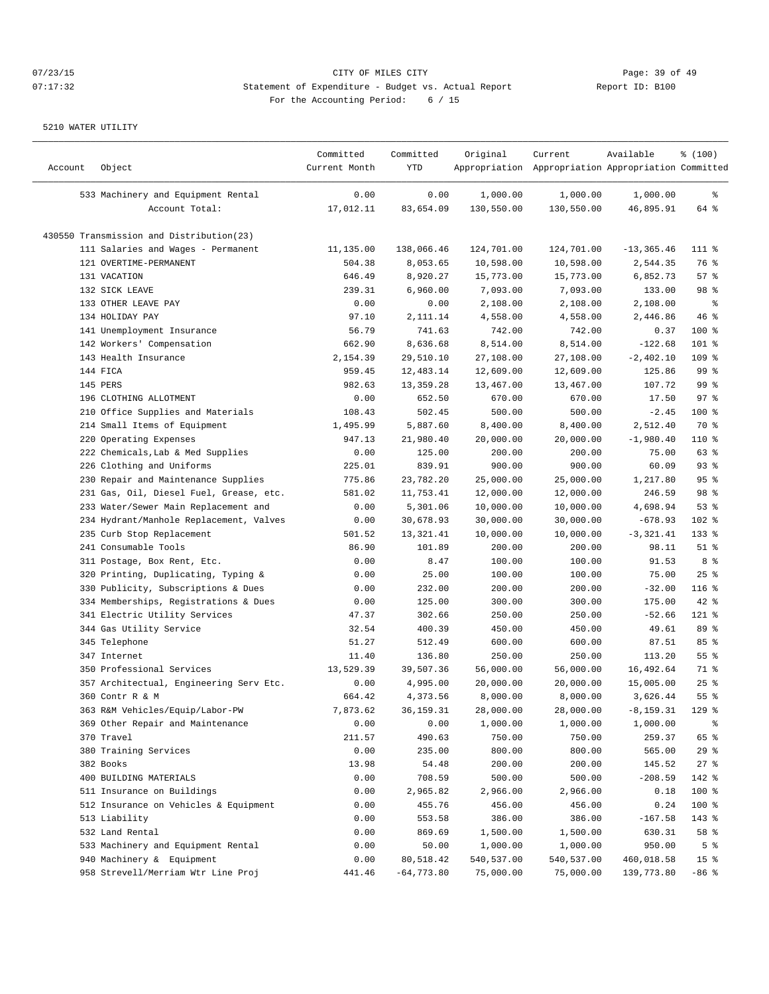| Account | Object                                   | Committed<br>Current Month | Committed<br>YTD | Original   | Current<br>Appropriation Appropriation Appropriation Committed | Available     | % (100)            |
|---------|------------------------------------------|----------------------------|------------------|------------|----------------------------------------------------------------|---------------|--------------------|
|         | 533 Machinery and Equipment Rental       | 0.00                       | 0.00             | 1,000.00   | 1,000.00                                                       | 1,000.00      | နွ                 |
|         | Account Total:                           | 17,012.11                  | 83,654.09        | 130,550.00 | 130,550.00                                                     | 46,895.91     | 64 %               |
|         | 430550 Transmission and Distribution(23) |                            |                  |            |                                                                |               |                    |
|         | 111 Salaries and Wages - Permanent       | 11,135.00                  | 138,066.46       | 124,701.00 | 124,701.00                                                     | $-13, 365.46$ | $111*$             |
|         | 121 OVERTIME-PERMANENT                   | 504.38                     | 8,053.65         | 10,598.00  | 10,598.00                                                      | 2,544.35      | 76 %               |
|         | 131 VACATION                             | 646.49                     | 8,920.27         | 15,773.00  | 15,773.00                                                      | 6,852.73      | 57%                |
|         | 132 SICK LEAVE                           | 239.31                     | 6,960.00         | 7,093.00   | 7,093.00                                                       | 133.00        | 98 %               |
|         | 133 OTHER LEAVE PAY                      | 0.00                       | 0.00             | 2,108.00   | 2,108.00                                                       | 2,108.00      | ႜ                  |
|         | 134 HOLIDAY PAY                          | 97.10                      | 2,111.14         | 4,558.00   | 4,558.00                                                       | 2,446.86      | 46 %               |
|         | 141 Unemployment Insurance               | 56.79                      | 741.63           | 742.00     | 742.00                                                         | 0.37          | $100$ %            |
|         | 142 Workers' Compensation                | 662.90                     | 8,636.68         | 8,514.00   | 8,514.00                                                       | $-122.68$     | $101$ %            |
|         | 143 Health Insurance                     | 2,154.39                   | 29,510.10        | 27,108.00  | 27,108.00                                                      | $-2,402.10$   | 109 %              |
|         | 144 FICA                                 | 959.45                     | 12,483.14        | 12,609.00  | 12,609.00                                                      | 125.86        | 99%                |
|         | 145 PERS                                 | 982.63                     | 13, 359. 28      | 13,467.00  | 13,467.00                                                      | 107.72        | 99 <sup>°</sup>    |
|         | 196 CLOTHING ALLOTMENT                   | 0.00                       | 652.50           | 670.00     | 670.00                                                         | 17.50         | 97%                |
|         | 210 Office Supplies and Materials        | 108.43                     | 502.45           | 500.00     | 500.00                                                         | $-2.45$       | $100$ %            |
|         | 214 Small Items of Equipment             | 1,495.99                   | 5,887.60         | 8,400.00   | 8,400.00                                                       | 2,512.40      | 70 %               |
|         | 220 Operating Expenses                   | 947.13                     | 21,980.40        | 20,000.00  | 20,000.00                                                      | $-1,980.40$   | 110 %              |
|         | 222 Chemicals, Lab & Med Supplies        | 0.00                       | 125.00           | 200.00     | 200.00                                                         | 75.00         | 63 %               |
|         | 226 Clothing and Uniforms                | 225.01                     | 839.91           | 900.00     | 900.00                                                         | 60.09         | 93%                |
|         | 230 Repair and Maintenance Supplies      | 775.86                     | 23,782.20        | 25,000.00  | 25,000.00                                                      | 1,217.80      | 95%                |
|         | 231 Gas, Oil, Diesel Fuel, Grease, etc.  | 581.02                     | 11,753.41        | 12,000.00  | 12,000.00                                                      | 246.59        | 98 %               |
|         | 233 Water/Sewer Main Replacement and     | 0.00                       | 5,301.06         | 10,000.00  | 10,000.00                                                      | 4,698.94      | 53%                |
|         | 234 Hydrant/Manhole Replacement, Valves  | 0.00                       | 30,678.93        | 30,000.00  | 30,000.00                                                      | $-678.93$     | 102 %              |
|         | 235 Curb Stop Replacement                | 501.52                     | 13,321.41        | 10,000.00  | 10,000.00                                                      | $-3,321.41$   | 133 %              |
|         | 241 Consumable Tools                     | 86.90                      | 101.89           | 200.00     | 200.00                                                         | 98.11         | $51$ %             |
|         | 311 Postage, Box Rent, Etc.              | 0.00                       | 8.47             | 100.00     | 100.00                                                         | 91.53         | 8 <sup>°</sup>     |
|         | 320 Printing, Duplicating, Typing &      | 0.00                       | 25.00            | 100.00     | 100.00                                                         | 75.00         | 25%                |
| 330     | Publicity, Subscriptions & Dues          | 0.00                       | 232.00           | 200.00     | 200.00                                                         | $-32.00$      | $116$ %            |
|         | 334 Memberships, Registrations & Dues    | 0.00                       | 125.00           | 300.00     | 300.00                                                         | 175.00        | $42$ %             |
|         | 341 Electric Utility Services            | 47.37                      | 302.66           | 250.00     | 250.00                                                         | $-52.66$      | 121 %              |
|         | 344 Gas Utility Service                  | 32.54                      | 400.39           | 450.00     | 450.00                                                         | 49.61         | 89 %               |
|         | 345 Telephone                            | 51.27                      | 512.49           | 600.00     | 600.00                                                         | 87.51         | 85%                |
|         | 347 Internet                             | 11.40                      | 136.80           | 250.00     | 250.00                                                         | 113.20        | 55%                |
|         | 350 Professional Services                | 13,529.39                  | 39,507.36        | 56,000.00  | 56,000.00                                                      | 16,492.64     | 71 %               |
|         | 357 Architectual, Engineering Serv Etc.  | 0.00                       | 4,995.00         | 20,000.00  | 20,000.00                                                      | 15,005.00     | 25%                |
|         | 360 Contr R & M                          | 664.42                     | 4,373.56         | 8,000.00   | 8,000.00                                                       | 3,626.44      | $55$ $\frac{6}{3}$ |
|         | 363 R&M Vehicles/Equip/Labor-PW          | 7,873.62                   | 36, 159. 31      | 28,000.00  | 28,000.00                                                      | $-8, 159.31$  | 129 %              |
|         | 369 Other Repair and Maintenance         | 0.00                       | 0.00             | 1,000.00   | 1,000.00                                                       | 1,000.00      | ႜૢ                 |
|         | 370 Travel                               | 211.57                     | 490.63           | 750.00     | 750.00                                                         | 259.37        | 65 %               |
|         | 380 Training Services                    | 0.00                       | 235.00           | 800.00     | 800.00                                                         | 565.00        | 29%                |
|         | 382 Books                                | 13.98                      | 54.48            | 200.00     | 200.00                                                         | 145.52        | 27%                |
|         | 400 BUILDING MATERIALS                   | 0.00                       | 708.59           | 500.00     | 500.00                                                         | $-208.59$     | 142 %              |
|         | 511 Insurance on Buildings               | 0.00                       | 2,965.82         | 2,966.00   | 2,966.00                                                       | 0.18          | 100 %              |
|         | 512 Insurance on Vehicles & Equipment    | 0.00                       | 455.76           | 456.00     | 456.00                                                         | 0.24          | 100 %              |
|         | 513 Liability                            | 0.00                       | 553.58           | 386.00     | 386.00                                                         | $-167.58$     | 143 %              |
|         | 532 Land Rental                          | 0.00                       | 869.69           | 1,500.00   | 1,500.00                                                       | 630.31        | 58 %               |
|         | 533 Machinery and Equipment Rental       | 0.00                       | 50.00            | 1,000.00   | 1,000.00                                                       | 950.00        | 5 <sup>°</sup>     |
|         | 940 Machinery & Equipment                | 0.00                       | 80,518.42        | 540,537.00 | 540,537.00                                                     | 460,018.58    | 15 <sup>°</sup>    |
|         | 958 Strevell/Merriam Wtr Line Proj       | 441.46                     | $-64, 773.80$    | 75,000.00  | 75,000.00                                                      | 139,773.80    | $-86$ %            |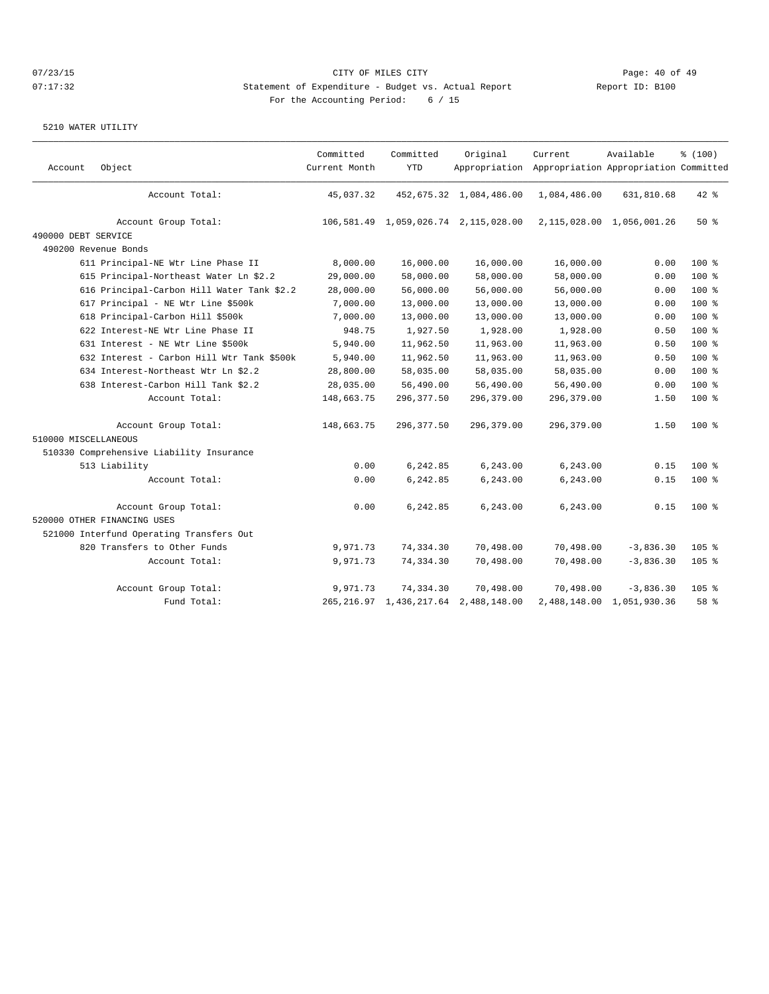| Account              | Object                                     | Committed<br>Current Month | Committed<br><b>YTD</b> | Original                                  | Current<br>Appropriation Appropriation Appropriation Committed | Available                 | % (100) |
|----------------------|--------------------------------------------|----------------------------|-------------------------|-------------------------------------------|----------------------------------------------------------------|---------------------------|---------|
|                      |                                            |                            |                         |                                           |                                                                |                           |         |
|                      | Account Total:                             | 45,037.32                  |                         | 452,675.32 1,084,486.00                   | 1,084,486.00                                                   | 631,810.68                | $42$ %  |
|                      | Account Group Total:                       |                            |                         | 106,581.49 1,059,026.74 2,115,028.00      |                                                                | 2,115,028.00 1,056,001.26 | $50*$   |
| 490000 DEBT SERVICE  |                                            |                            |                         |                                           |                                                                |                           |         |
|                      | 490200 Revenue Bonds                       |                            |                         |                                           |                                                                |                           |         |
|                      | 611 Principal-NE Wtr Line Phase II         | 8,000.00                   | 16,000.00               | 16,000.00                                 | 16,000.00                                                      | 0.00                      | $100$ % |
|                      | 615 Principal-Northeast Water Ln \$2.2     | 29,000.00                  | 58,000.00               | 58,000.00                                 | 58,000.00                                                      | 0.00                      | $100$ % |
|                      | 616 Principal-Carbon Hill Water Tank \$2.2 | 28,000.00                  | 56,000.00               | 56,000.00                                 | 56,000.00                                                      | 0.00                      | $100$ % |
|                      | 617 Principal - NE Wtr Line \$500k         | 7,000.00                   | 13,000.00               | 13,000.00                                 | 13,000.00                                                      | 0.00                      | $100$ % |
|                      | 618 Principal-Carbon Hill \$500k           | 7,000.00                   | 13,000.00               | 13,000.00                                 | 13,000.00                                                      | 0.00                      | 100 %   |
|                      | 622 Interest-NE Wtr Line Phase II          | 948.75                     | 1,927.50                | 1,928.00                                  | 1,928.00                                                       | 0.50                      | $100$ % |
|                      | 631 Interest - NE Wtr Line \$500k          | 5,940.00                   | 11,962.50               | 11,963.00                                 | 11,963.00                                                      | 0.50                      | $100$ % |
|                      | 632 Interest - Carbon Hill Wtr Tank \$500k | 5,940.00                   | 11,962.50               | 11,963.00                                 | 11,963.00                                                      | 0.50                      | 100 %   |
|                      | 634 Interest-Northeast Wtr Ln \$2.2        | 28,800.00                  | 58,035.00               | 58,035.00                                 | 58,035.00                                                      | 0.00                      | $100$ % |
|                      | 638 Interest-Carbon Hill Tank \$2.2        | 28,035.00                  | 56,490.00               | 56,490.00                                 | 56,490.00                                                      | 0.00                      | $100$ % |
|                      | Account Total:                             | 148,663.75                 | 296, 377.50             | 296,379.00                                | 296,379.00                                                     | 1.50                      | $100$ % |
|                      | Account Group Total:                       | 148,663.75                 | 296, 377.50             | 296,379.00                                | 296,379.00                                                     | 1.50                      | $100$ % |
| 510000 MISCELLANEOUS |                                            |                            |                         |                                           |                                                                |                           |         |
|                      | 510330 Comprehensive Liability Insurance   |                            |                         |                                           |                                                                |                           |         |
|                      | 513 Liability                              | 0.00                       | 6,242.85                | 6,243.00                                  | 6,243.00                                                       | 0.15                      | $100*$  |
|                      | Account Total:                             | 0.00                       | 6,242.85                | 6,243.00                                  | 6,243.00                                                       | 0.15                      | $100$ % |
|                      | Account Group Total:                       | 0.00                       | 6,242.85                | 6,243.00                                  | 6,243.00                                                       | 0.15                      | $100$ % |
|                      | 520000 OTHER FINANCING USES                |                            |                         |                                           |                                                                |                           |         |
|                      | 521000 Interfund Operating Transfers Out   |                            |                         |                                           |                                                                |                           |         |
|                      | 820 Transfers to Other Funds               | 9,971.73                   | 74,334.30               | 70,498.00                                 | 70,498.00                                                      | $-3.836.30$               | $105$ % |
|                      | Account Total:                             | 9,971.73                   | 74,334.30               | 70,498.00                                 | 70,498.00                                                      | $-3,836.30$               | $105$ % |
|                      | Account Group Total:                       | 9,971.73                   | 74,334.30               | 70,498.00                                 | 70,498.00                                                      | $-3,836.30$               | $105$ % |
|                      | Fund Total:                                |                            |                         | 265, 216.97 1, 436, 217.64 2, 488, 148.00 |                                                                | 2,488,148.00 1,051,930.36 | 58 %    |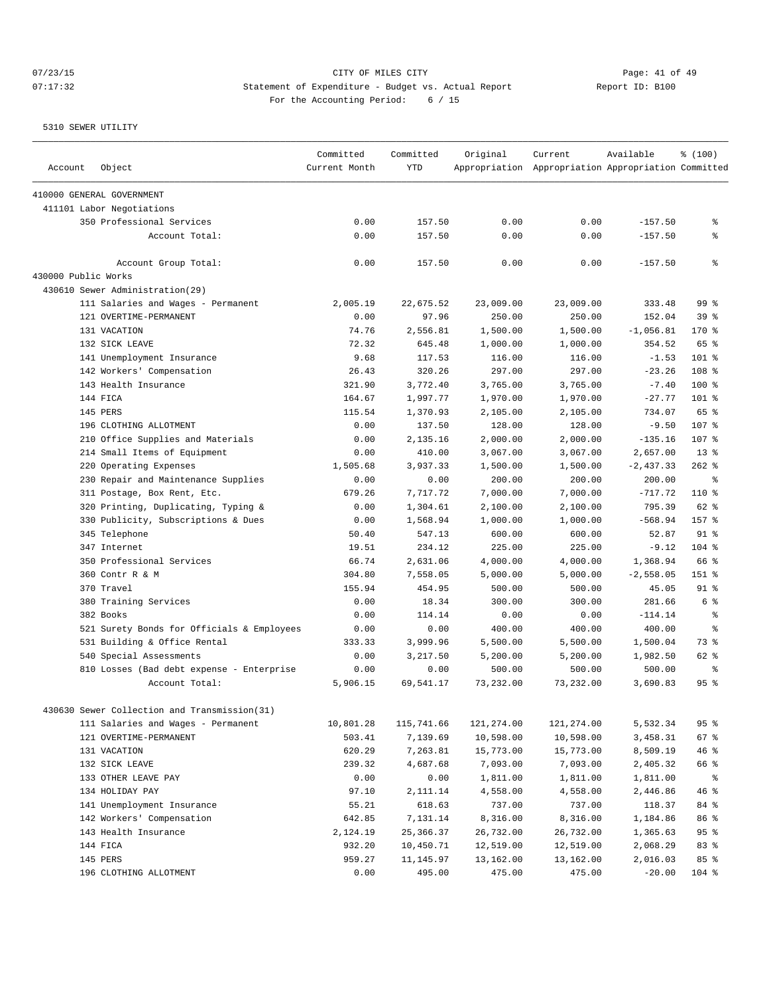# 07/23/15 Page: 41 of 49 07:17:32 Statement of Expenditure - Budget vs. Actual Report Changer Report ID: B100 For the Accounting Period: 6 / 15

| Account             | Object                                                      | Committed<br>Current Month | Committed<br><b>YTD</b> | Original            | Current<br>Appropriation Appropriation Appropriation Committed | Available          | % (100)         |
|---------------------|-------------------------------------------------------------|----------------------------|-------------------------|---------------------|----------------------------------------------------------------|--------------------|-----------------|
|                     | 410000 GENERAL GOVERNMENT                                   |                            |                         |                     |                                                                |                    |                 |
|                     | 411101 Labor Negotiations                                   |                            |                         |                     |                                                                |                    |                 |
|                     | 350 Professional Services                                   | 0.00                       | 157.50                  | 0.00                | 0.00                                                           | $-157.50$          | နွ              |
|                     | Account Total:                                              | 0.00                       | 157.50                  | 0.00                | 0.00                                                           | $-157.50$          | န့              |
|                     | Account Group Total:                                        | 0.00                       | 157.50                  | 0.00                | 0.00                                                           | $-157.50$          | နွ              |
| 430000 Public Works |                                                             |                            |                         |                     |                                                                |                    |                 |
|                     | 430610 Sewer Administration(29)                             |                            |                         |                     |                                                                |                    |                 |
|                     | 111 Salaries and Wages - Permanent                          | 2,005.19                   | 22,675.52               | 23,009.00           | 23,009.00                                                      | 333.48             | 99 %            |
|                     | 121 OVERTIME-PERMANENT                                      | 0.00                       | 97.96                   | 250.00              | 250.00                                                         | 152.04             | 39%             |
|                     | 131 VACATION                                                | 74.76                      | 2,556.81                | 1,500.00            | 1,500.00                                                       | $-1,056.81$        | 170%            |
|                     | 132 SICK LEAVE                                              | 72.32                      | 645.48                  | 1,000.00            | 1,000.00                                                       | 354.52             | 65 %            |
|                     | 141 Unemployment Insurance                                  | 9.68                       | 117.53                  | 116.00              | 116.00                                                         | $-1.53$            | 101 %           |
|                     | 142 Workers' Compensation                                   | 26.43                      | 320.26                  | 297.00              | 297.00                                                         | $-23.26$           | 108 %           |
|                     | 143 Health Insurance                                        | 321.90                     | 3,772.40                | 3,765.00            | 3,765.00                                                       | $-7.40$            | $100*$          |
|                     | 144 FICA                                                    | 164.67                     | 1,997.77                | 1,970.00            | 1,970.00                                                       | $-27.77$           | $101$ %         |
|                     | <b>145 PERS</b>                                             | 115.54                     | 1,370.93                | 2,105.00            | 2,105.00                                                       | 734.07             | 65 %            |
|                     | 196 CLOTHING ALLOTMENT                                      | 0.00                       | 137.50                  | 128.00              | 128.00                                                         | $-9.50$            | 107 %           |
|                     | 210 Office Supplies and Materials                           | 0.00                       | 2,135.16                | 2,000.00            | 2,000.00                                                       | $-135.16$          | 107 %           |
|                     | 214 Small Items of Equipment                                | 0.00                       | 410.00                  | 3,067.00            | 3,067.00                                                       | 2,657.00           | $13*$           |
|                     | 220 Operating Expenses                                      | 1,505.68                   | 3,937.33                | 1,500.00            | 1,500.00                                                       | $-2,437.33$        | $262$ %         |
|                     | 230 Repair and Maintenance Supplies                         | 0.00                       | 0.00                    | 200.00              | 200.00                                                         | 200.00             | နွ              |
|                     | 311 Postage, Box Rent, Etc.                                 | 679.26                     | 7.717.72                | 7,000.00            | 7,000.00                                                       | $-717.72$          | $110*$          |
|                     | 320 Printing, Duplicating, Typing &                         | 0.00                       | 1,304.61                | 2,100.00            | 2,100.00                                                       | 795.39             | 62 %            |
|                     | 330 Publicity, Subscriptions & Dues                         | 0.00                       | 1,568.94                | 1,000.00            | 1,000.00                                                       | $-568.94$          | 157 %           |
|                     | 345 Telephone                                               | 50.40                      | 547.13                  | 600.00              | 600.00                                                         | 52.87              | 91 <sup>°</sup> |
|                     | 347 Internet                                                | 19.51                      | 234.12                  | 225.00              | 225.00                                                         | $-9.12$            | $104$ %         |
|                     | 350 Professional Services                                   | 66.74                      | 2,631.06                | 4,000.00            | 4,000.00                                                       | 1,368.94           | 66 %            |
|                     | 360 Contr R & M                                             | 304.80                     | 7,558.05                | 5,000.00            | 5,000.00                                                       | $-2,558.05$        | 151 %           |
|                     | 370 Travel                                                  | 155.94                     | 454.95                  | 500.00              | 500.00                                                         | 45.05              | 91 <sup>°</sup> |
|                     | 380 Training Services                                       | 0.00                       | 18.34                   | 300.00              | 300.00                                                         | 281.66             | 6 %             |
|                     | 382 Books                                                   | 0.00                       | 114.14                  | 0.00                | 0.00                                                           | $-114.14$          | နွ              |
|                     | 521 Surety Bonds for Officials & Employees                  | 0.00                       | 0.00                    | 400.00              | 400.00                                                         | 400.00             | န္              |
|                     | 531 Building & Office Rental                                | 333.33                     | 3,999.96                | 5,500.00            | 5,500.00                                                       | 1,500.04           | 73 %            |
|                     | 540 Special Assessments                                     | 0.00                       | 3,217.50                | 5,200.00            | 5,200.00                                                       | 1,982.50           | 62 %            |
|                     | 810 Losses (Bad debt expense - Enterprise<br>Account Total: | 0.00<br>5,906.15           | 0.00<br>69,541.17       | 500.00<br>73,232.00 | 500.00<br>73,232.00                                            | 500.00<br>3,690.83 | ႜ<br>95%        |
|                     | 430630 Sewer Collection and Transmission(31)                |                            |                         |                     |                                                                |                    |                 |
|                     | 111 Salaries and Wages - Permanent                          | 10,801.28                  | 115,741.66              | 121,274.00          | 121,274.00                                                     | 5,532.34           | 95%             |
|                     | 121 OVERTIME-PERMANENT                                      | 503.41                     | 7,139.69                | 10,598.00           | 10,598.00                                                      | 3,458.31           | 67%             |
|                     | 131 VACATION                                                | 620.29                     | 7,263.81                | 15,773.00           | 15,773.00                                                      | 8,509.19           | 46%             |
|                     | 132 SICK LEAVE                                              | 239.32                     | 4,687.68                | 7,093.00            | 7,093.00                                                       | 2,405.32           | 66 %            |
|                     | 133 OTHER LEAVE PAY                                         | 0.00                       | 0.00                    | 1,811.00            | 1,811.00                                                       | 1,811.00           | ႜၟ              |
|                     | 134 HOLIDAY PAY                                             | 97.10                      | 2,111.14                | 4,558.00            | 4,558.00                                                       | 2,446.86           | 46 %            |
|                     | 141 Unemployment Insurance                                  | 55.21                      | 618.63                  | 737.00              | 737.00                                                         | 118.37             | 84 %            |
|                     | 142 Workers' Compensation                                   | 642.85                     | 7,131.14                | 8,316.00            | 8,316.00                                                       | 1,184.86           | 86 %            |
|                     | 143 Health Insurance                                        | 2,124.19                   | 25,366.37               | 26,732.00           | 26,732.00                                                      | 1,365.63           | 95%             |
|                     | 144 FICA                                                    | 932.20                     | 10,450.71               | 12,519.00           | 12,519.00                                                      | 2,068.29           | 83 %            |
|                     | 145 PERS                                                    | 959.27                     | 11,145.97               | 13,162.00           | 13,162.00                                                      | 2,016.03           | 85%             |
|                     | 196 CLOTHING ALLOTMENT                                      | 0.00                       | 495.00                  | 475.00              | 475.00                                                         | $-20.00$           | $104$ %         |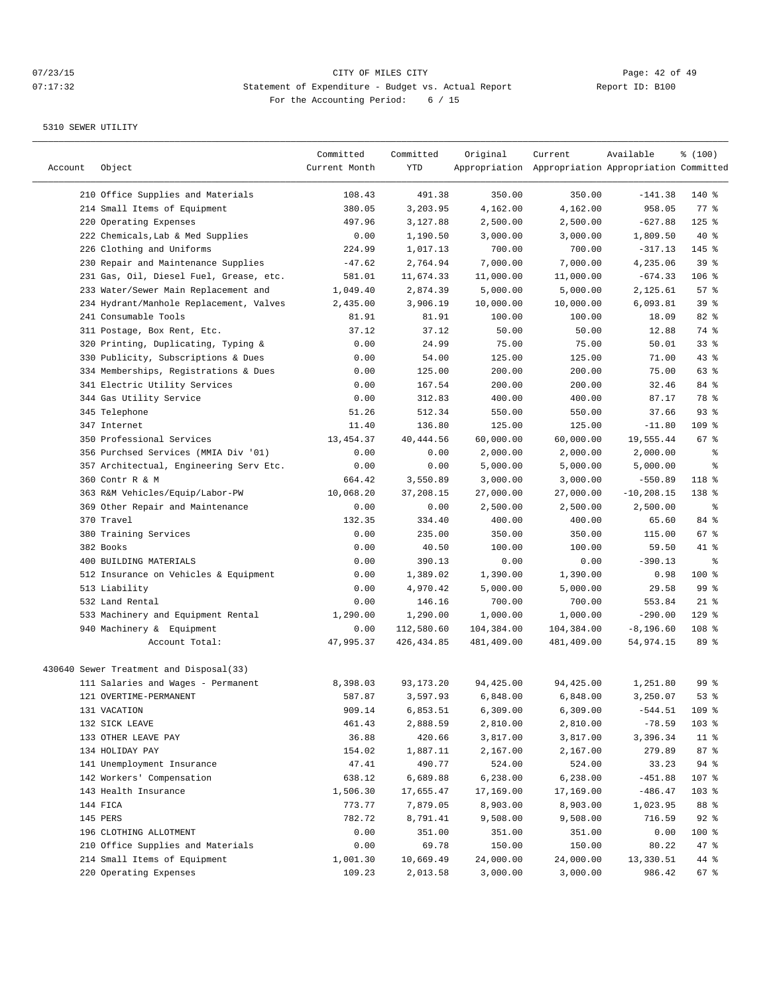| Account | Object                                  | Committed<br>Current Month | Committed<br>YTD | Original   | Current<br>Appropriation Appropriation Appropriation Committed | Available     | % (100)         |
|---------|-----------------------------------------|----------------------------|------------------|------------|----------------------------------------------------------------|---------------|-----------------|
|         | 210 Office Supplies and Materials       | 108.43                     | 491.38           | 350.00     | 350.00                                                         | $-141.38$     | $140$ %         |
|         | 214 Small Items of Equipment            | 380.05                     | 3,203.95         | 4,162.00   | 4,162.00                                                       | 958.05        | 77.8            |
|         | 220 Operating Expenses                  | 497.96                     | 3,127.88         | 2,500.00   | 2,500.00                                                       | $-627.88$     | $125$ %         |
|         | 222 Chemicals, Lab & Med Supplies       | 0.00                       | 1,190.50         | 3,000.00   | 3,000.00                                                       | 1,809.50      | $40*$           |
|         | 226 Clothing and Uniforms               | 224.99                     | 1,017.13         | 700.00     | 700.00                                                         | $-317.13$     | 145 %           |
|         | 230 Repair and Maintenance Supplies     | $-47.62$                   | 2,764.94         | 7,000.00   | 7,000.00                                                       | 4,235.06      | 39 %            |
|         | 231 Gas, Oil, Diesel Fuel, Grease, etc. | 581.01                     | 11,674.33        | 11,000.00  | 11,000.00                                                      | $-674.33$     | $106$ %         |
|         | 233 Water/Sewer Main Replacement and    | 1,049.40                   | 2,874.39         | 5,000.00   | 5,000.00                                                       | 2,125.61      | 57%             |
|         | 234 Hydrant/Manhole Replacement, Valves | 2,435.00                   | 3,906.19         | 10,000.00  | 10,000.00                                                      | 6,093.81      | 39 %            |
|         | 241 Consumable Tools                    | 81.91                      | 81.91            | 100.00     | 100.00                                                         | 18.09         | 82 %            |
|         | 311 Postage, Box Rent, Etc.             | 37.12                      | 37.12            | 50.00      | 50.00                                                          | 12.88         | 74 %            |
|         | 320 Printing, Duplicating, Typing &     | 0.00                       | 24.99            | 75.00      | 75.00                                                          | 50.01         | $33$ $%$        |
|         | 330 Publicity, Subscriptions & Dues     | 0.00                       | 54.00            | 125.00     | 125.00                                                         | 71.00         | 43%             |
|         | 334 Memberships, Registrations & Dues   | 0.00                       | 125.00           | 200.00     | 200.00                                                         | 75.00         | 63 %            |
|         | 341 Electric Utility Services           | 0.00                       | 167.54           | 200.00     | 200.00                                                         | 32.46         | 84 %            |
|         | 344 Gas Utility Service                 | 0.00                       | 312.83           | 400.00     | 400.00                                                         | 87.17         | 78 %            |
|         | 345 Telephone                           | 51.26                      | 512.34           | 550.00     | 550.00                                                         | 37.66         | 93%             |
|         | 347 Internet                            | 11.40                      | 136.80           | 125.00     | 125.00                                                         | $-11.80$      | 109 %           |
|         | 350 Professional Services               | 13, 454.37                 | 40, 444.56       | 60,000.00  | 60,000.00                                                      | 19,555.44     | 67 %            |
|         | 356 Purchsed Services (MMIA Div '01)    | 0.00                       | 0.00             | 2,000.00   | 2,000.00                                                       | 2,000.00      | နွ              |
|         | 357 Architectual, Engineering Serv Etc. | 0.00                       | 0.00             | 5,000.00   | 5,000.00                                                       | 5,000.00      | ి               |
|         | 360 Contr R & M                         | 664.42                     | 3,550.89         | 3,000.00   | 3,000.00                                                       | $-550.89$     | 118 %           |
|         | 363 R&M Vehicles/Equip/Labor-PW         | 10,068.20                  | 37,208.15        | 27,000.00  | 27,000.00                                                      | $-10, 208.15$ | 138 %           |
|         | 369 Other Repair and Maintenance        | 0.00                       | 0.00             | 2,500.00   | 2,500.00                                                       | 2,500.00      | နွ              |
|         | 370 Travel                              | 132.35                     | 334.40           | 400.00     | 400.00                                                         | 65.60         | 84 %            |
|         | 380 Training Services                   | 0.00                       | 235.00           | 350.00     | 350.00                                                         | 115.00        | $67$ %          |
|         | 382 Books                               | 0.00                       | 40.50            | 100.00     | 100.00                                                         | 59.50         | 41 %            |
|         | 400 BUILDING MATERIALS                  | 0.00                       | 390.13           | 0.00       | 0.00                                                           | $-390.13$     | ႜ               |
|         | 512 Insurance on Vehicles & Equipment   | 0.00                       | 1,389.02         | 1,390.00   | 1,390.00                                                       | 0.98          | 100 %           |
|         | 513 Liability                           | 0.00                       | 4,970.42         | 5,000.00   | 5,000.00                                                       | 29.58         | 99 <sup>°</sup> |
|         | 532 Land Rental                         | 0.00                       | 146.16           | 700.00     | 700.00                                                         | 553.84        | $21$ %          |
|         | 533 Machinery and Equipment Rental      | 1,290.00                   | 1,290.00         | 1,000.00   | 1,000.00                                                       | $-290.00$     | $129$ %         |
|         | 940 Machinery & Equipment               | 0.00                       | 112,580.60       | 104,384.00 | 104,384.00                                                     | $-8, 196.60$  | $108$ %         |
|         | Account Total:                          | 47,995.37                  | 426, 434.85      | 481,409.00 | 481,409.00                                                     | 54,974.15     | 89 %            |
|         | 430640 Sewer Treatment and Disposal(33) |                            |                  |            |                                                                |               |                 |
|         | 111 Salaries and Wages - Permanent      | 8,398.03                   | 93, 173. 20      | 94,425.00  | 94,425.00                                                      | 1,251.80      | 99 %            |
|         | 121 OVERTIME-PERMANENT                  | 587.87                     | 3,597.93         | 6,848.00   | 6,848.00                                                       | 3,250.07      | 53 %            |
|         | 131 VACATION                            | 909.14                     | 6,853.51         | 6,309.00   | 6,309.00                                                       | $-544.51$     | 109 %           |
|         | 132 SICK LEAVE                          | 461.43                     | 2,888.59         | 2,810.00   | 2,810.00                                                       | $-78.59$      | 103 %           |
|         | 133 OTHER LEAVE PAY                     | 36.88                      | 420.66           | 3,817.00   | 3,817.00                                                       | 3,396.34      | 11 <sub>8</sub> |
|         | 134 HOLIDAY PAY                         | 154.02                     | 1,887.11         | 2,167.00   | 2,167.00                                                       | 279.89        | 87%             |
|         | 141 Unemployment Insurance              | 47.41                      | 490.77           | 524.00     | 524.00                                                         | 33.23         | $94$ %          |
|         | 142 Workers' Compensation               | 638.12                     | 6,689.88         | 6,238.00   | 6,238.00                                                       | $-451.88$     | 107 %           |
|         | 143 Health Insurance                    | 1,506.30                   | 17,655.47        | 17,169.00  | 17,169.00                                                      | $-486.47$     | 103 %           |
|         | 144 FICA                                | 773.77                     | 7,879.05         | 8,903.00   | 8,903.00                                                       | 1,023.95      | 88 %            |
|         | 145 PERS                                | 782.72                     | 8,791.41         | 9,508.00   | 9,508.00                                                       | 716.59        | $92$ %          |
|         | 196 CLOTHING ALLOTMENT                  | 0.00                       | 351.00           | 351.00     | 351.00                                                         | 0.00          | 100 %           |
|         | 210 Office Supplies and Materials       | 0.00                       | 69.78            | 150.00     | 150.00                                                         | 80.22         | 47 %            |
|         | 214 Small Items of Equipment            | 1,001.30                   | 10,669.49        | 24,000.00  | 24,000.00                                                      | 13,330.51     | 44 %            |
|         | 220 Operating Expenses                  | 109.23                     | 2,013.58         | 3,000.00   | 3,000.00                                                       | 986.42        | $67$ %          |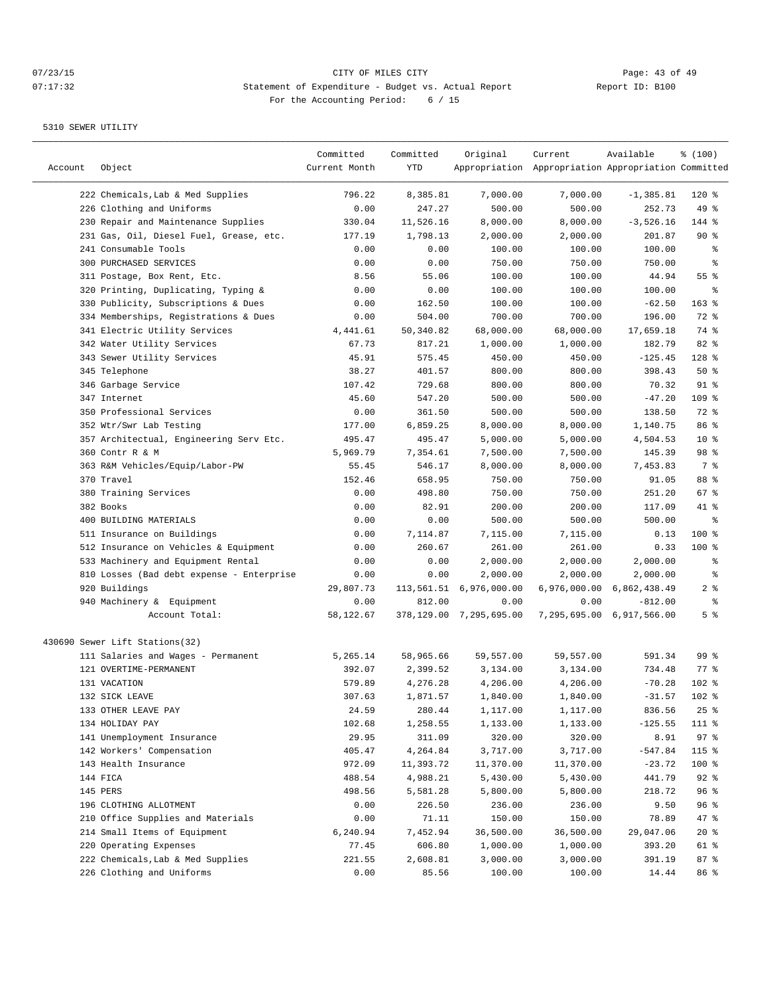| Account | Object                                    | Committed<br>Current Month | Committed<br>YTD | Original                   | Current<br>Appropriation Appropriation Appropriation Committed | Available                 | % (100)            |
|---------|-------------------------------------------|----------------------------|------------------|----------------------------|----------------------------------------------------------------|---------------------------|--------------------|
|         | 222 Chemicals, Lab & Med Supplies         | 796.22                     | 8,385.81         | 7,000.00                   | 7,000.00                                                       | $-1, 385.81$              | 120 %              |
|         | 226 Clothing and Uniforms                 | 0.00                       | 247.27           | 500.00                     | 500.00                                                         | 252.73                    | 49 %               |
|         | 230 Repair and Maintenance Supplies       | 330.04                     | 11,526.16        | 8,000.00                   | 8,000.00                                                       | $-3,526.16$               | 144 %              |
|         | 231 Gas, Oil, Diesel Fuel, Grease, etc.   | 177.19                     | 1,798.13         | 2,000.00                   | 2,000.00                                                       | 201.87                    | $90*$              |
|         | 241 Consumable Tools                      | 0.00                       | 0.00             | 100.00                     | 100.00                                                         | 100.00                    | ್ಠಿ                |
|         | <b>300 PURCHASED SERVICES</b>             | 0.00                       | 0.00             | 750.00                     | 750.00                                                         | 750.00                    | န္                 |
|         | 311 Postage, Box Rent, Etc.               | 8.56                       | 55.06            | 100.00                     | 100.00                                                         | 44.94                     | 55%                |
|         | 320 Printing, Duplicating, Typing &       | 0.00                       | 0.00             | 100.00                     | 100.00                                                         | 100.00                    | ႜ                  |
|         | 330 Publicity, Subscriptions & Dues       | 0.00                       | 162.50           | 100.00                     | 100.00                                                         | $-62.50$                  | 163 %              |
|         | 334 Memberships, Registrations & Dues     | 0.00                       | 504.00           | 700.00                     | 700.00                                                         | 196.00                    | 72 %               |
|         | 341 Electric Utility Services             | 4,441.61                   | 50,340.82        | 68,000.00                  | 68,000.00                                                      | 17,659.18                 | 74 %               |
|         | 342 Water Utility Services                | 67.73                      | 817.21           | 1,000.00                   | 1,000.00                                                       | 182.79                    | 82 %               |
|         | 343 Sewer Utility Services                | 45.91                      | 575.45           | 450.00                     | 450.00                                                         | $-125.45$                 | 128 %              |
|         | 345 Telephone                             | 38.27                      | 401.57           | 800.00                     | 800.00                                                         | 398.43                    | 50%                |
|         | 346 Garbage Service                       | 107.42                     | 729.68           | 800.00                     | 800.00                                                         | 70.32                     | $91$ %             |
|         | 347 Internet                              | 45.60                      | 547.20           | 500.00                     | 500.00                                                         | $-47.20$                  | $109$ %            |
|         | 350 Professional Services                 | 0.00                       | 361.50           | 500.00                     | 500.00                                                         | 138.50                    | 72 %               |
|         | 352 Wtr/Swr Lab Testing                   | 177.00                     | 6,859.25         | 8,000.00                   | 8,000.00                                                       | 1,140.75                  | 86 %               |
|         | 357 Architectual, Engineering Serv Etc.   | 495.47                     | 495.47           | 5,000.00                   | 5,000.00                                                       | 4,504.53                  | $10*$              |
|         | 360 Contr R & M                           | 5,969.79                   | 7,354.61         | 7,500.00                   | 7,500.00                                                       | 145.39                    | 98 %               |
|         | 363 R&M Vehicles/Equip/Labor-PW           | 55.45                      | 546.17           | 8,000.00                   | 8,000.00                                                       | 7,453.83                  | 7%                 |
|         | 370 Travel                                | 152.46                     | 658.95           | 750.00                     | 750.00                                                         | 91.05                     | 88 %               |
|         | 380 Training Services                     | 0.00                       | 498.80           | 750.00                     | 750.00                                                         | 251.20                    | 67%                |
|         | 382 Books                                 | 0.00                       | 82.91            | 200.00                     | 200.00                                                         | 117.09                    | 41 %               |
|         | 400 BUILDING MATERIALS                    | 0.00                       | 0.00             | 500.00                     | 500.00                                                         | 500.00                    | နွ                 |
|         | 511 Insurance on Buildings                | 0.00                       | 7,114.87         | 7,115.00                   | 7,115.00                                                       | 0.13                      | 100 %              |
|         | 512 Insurance on Vehicles & Equipment     | 0.00                       | 260.67           | 261.00                     | 261.00                                                         | 0.33                      | $100$ %            |
|         | 533 Machinery and Equipment Rental        | 0.00                       | 0.00             | 2,000.00                   | 2,000.00                                                       | 2,000.00                  | ႜ                  |
|         | 810 Losses (Bad debt expense - Enterprise | 0.00                       | 0.00             | 2,000.00                   | 2,000.00                                                       | 2,000.00                  | နွ                 |
|         | 920 Buildings                             | 29,807.73                  |                  | 113,561.51 6,976,000.00    |                                                                | 6,976,000.00 6,862,438.49 | 2 <sub>8</sub>     |
|         | 940 Machinery & Equipment                 | 0.00                       | 812.00           | 0.00                       | 0.00                                                           | $-812.00$                 | ್ಠಿ                |
|         | Account Total:                            | 58,122.67                  |                  | 378, 129.00 7, 295, 695.00 |                                                                | 7,295,695.00 6,917,566.00 | 5 <sup>°</sup>     |
|         | 430690 Sewer Lift Stations(32)            |                            |                  |                            |                                                                |                           |                    |
|         | 111 Salaries and Wages - Permanent        | 5,265.14                   | 58,965.66        | 59,557.00                  | 59,557.00                                                      | 591.34                    | 99 %               |
|         | 121 OVERTIME-PERMANENT                    | 392.07                     | 2,399.52         | 3,134.00                   | 3,134.00                                                       | 734.48                    | $77$ $\frac{6}{9}$ |
|         | 131 VACATION                              | 579.89                     | 4,276.28         | 4,206.00                   | 4,206.00                                                       | $-70.28$                  | $102$ %            |
|         | 132 SICK LEAVE                            | 307.63                     | 1,871.57         | 1,840.00                   | 1,840.00                                                       | $-31.57$                  | $102$ %            |
|         | 133 OTHER LEAVE PAY                       | 24.59                      | 280.44           | 1,117.00                   | 1,117.00                                                       | 836.56                    | $25$ %             |
|         | 134 HOLIDAY PAY                           | 102.68                     | 1,258.55         | 1,133.00                   | 1,133.00                                                       | $-125.55$                 | 111 %              |
|         | 141 Unemployment Insurance                | 29.95                      | 311.09           | 320.00                     | 320.00                                                         | 8.91                      | 97%                |
|         | 142 Workers' Compensation                 | 405.47                     | 4,264.84         | 3,717.00                   | 3,717.00                                                       | $-547.84$                 | 115 %              |
|         | 143 Health Insurance                      | 972.09                     | 11,393.72        | 11,370.00                  | 11,370.00                                                      | $-23.72$                  | 100 %              |
|         | 144 FICA                                  | 488.54                     | 4,988.21         | 5,430.00                   | 5,430.00                                                       | 441.79                    | $92$ $%$           |
|         | 145 PERS                                  | 498.56                     | 5,581.28         | 5,800.00                   | 5,800.00                                                       | 218.72                    | 96%                |
|         | 196 CLOTHING ALLOTMENT                    | 0.00                       | 226.50           | 236.00                     | 236.00                                                         | 9.50                      | 96%                |
|         | 210 Office Supplies and Materials         | 0.00                       | 71.11            | 150.00                     | 150.00                                                         | 78.89                     | 47 %               |
|         | 214 Small Items of Equipment              | 6,240.94                   | 7,452.94         | 36,500.00                  | 36,500.00                                                      | 29,047.06                 | $20*$              |
|         | 220 Operating Expenses                    | 77.45                      | 606.80           | 1,000.00                   | 1,000.00                                                       | 393.20                    | 61 %               |
|         | 222 Chemicals, Lab & Med Supplies         | 221.55                     | 2,608.81         | 3,000.00                   | 3,000.00                                                       | 391.19                    | 87%                |
|         | 226 Clothing and Uniforms                 | 0.00                       | 85.56            | 100.00                     | 100.00                                                         | 14.44                     | 86 %               |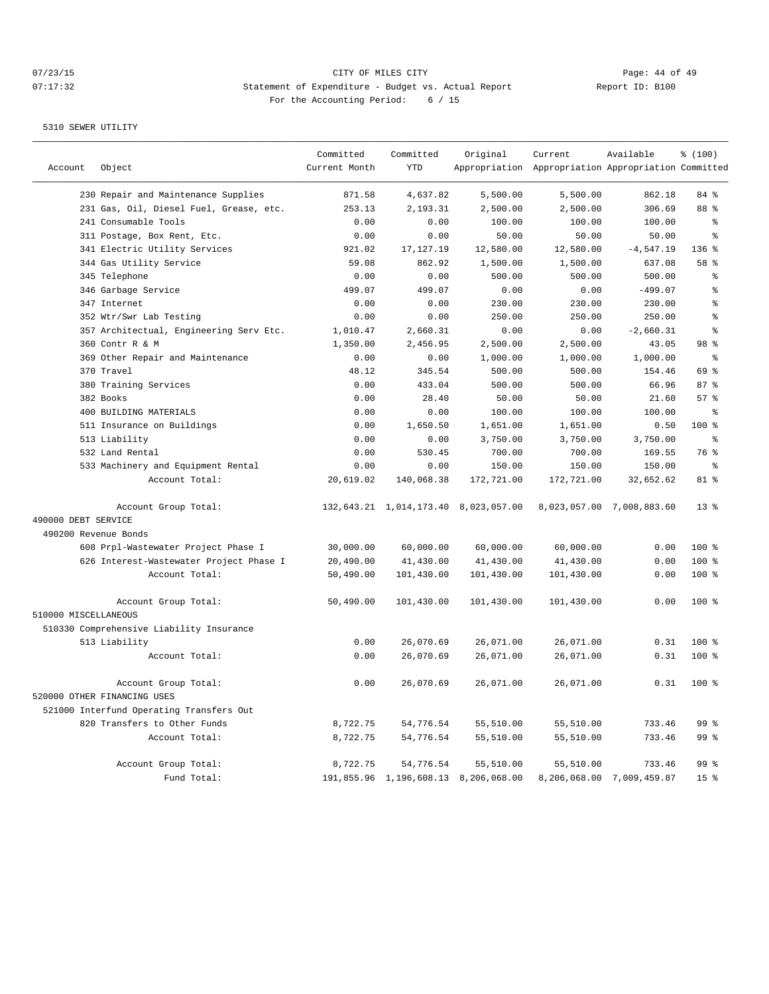|                      |                                          | Committed     | Committed   | Original                             | Current                                             | Available                 | % (100)         |
|----------------------|------------------------------------------|---------------|-------------|--------------------------------------|-----------------------------------------------------|---------------------------|-----------------|
| Account              | Object                                   | Current Month | <b>YTD</b>  |                                      | Appropriation Appropriation Appropriation Committed |                           |                 |
|                      | 230 Repair and Maintenance Supplies      | 871.58        | 4,637.82    | 5,500.00                             | 5,500.00                                            | 862.18                    | 84 %            |
|                      | 231 Gas, Oil, Diesel Fuel, Grease, etc.  | 253.13        | 2,193.31    | 2,500.00                             | 2,500.00                                            | 306.69                    | 88 %            |
|                      | 241 Consumable Tools                     | 0.00          | 0.00        | 100.00                               | 100.00                                              | 100.00                    | ి               |
|                      | 311 Postage, Box Rent, Etc.              | 0.00          | 0.00        | 50.00                                | 50.00                                               | 50.00                     | န္              |
|                      | 341 Electric Utility Services            | 921.02        | 17, 127. 19 | 12,580.00                            | 12,580.00                                           | $-4, 547.19$              | 136 %           |
|                      | 344 Gas Utility Service                  | 59.08         | 862.92      | 1,500.00                             | 1,500.00                                            | 637.08                    | 58 %            |
|                      | 345 Telephone                            | 0.00          | 0.00        | 500.00                               | 500.00                                              | 500.00                    | ႜ               |
|                      | 346 Garbage Service                      | 499.07        | 499.07      | 0.00                                 | 0.00                                                | $-499.07$                 | န္              |
|                      | 347 Internet                             | 0.00          | 0.00        | 230.00                               | 230.00                                              | 230.00                    | ⊱               |
|                      | 352 Wtr/Swr Lab Testing                  | 0.00          | 0.00        | 250.00                               | 250.00                                              | 250.00                    | နွ              |
|                      | 357 Architectual, Engineering Serv Etc.  | 1,010.47      | 2,660.31    | 0.00                                 | 0.00                                                | $-2,660.31$               | $\,$ $\,$ $\,$  |
|                      | 360 Contr R & M                          | 1,350.00      | 2,456.95    | 2,500.00                             | 2,500.00                                            | 43.05                     | 98 %            |
|                      | 369 Other Repair and Maintenance         | 0.00          | 0.00        | 1,000.00                             | 1,000.00                                            | 1,000.00                  | $\approx$       |
|                      | 370 Travel                               | 48.12         | 345.54      | 500.00                               | 500.00                                              | 154.46                    | 69 %            |
|                      | 380 Training Services                    | 0.00          | 433.04      | 500.00                               | 500.00                                              | 66.96                     | 87%             |
|                      | 382 Books                                | 0.00          | 28.40       | 50.00                                | 50.00                                               | 21.60                     | 57%             |
|                      | 400 BUILDING MATERIALS                   | 0.00          | 0.00        | 100.00                               | 100.00                                              | 100.00                    | ి               |
|                      | 511 Insurance on Buildings               | 0.00          | 1,650.50    | 1,651.00                             | 1,651.00                                            | 0.50                      | $100*$          |
|                      | 513 Liability                            | 0.00          | 0.00        | 3,750.00                             | 3,750.00                                            | 3,750.00                  | $\,$ $\,$ $\,$  |
|                      | 532 Land Rental                          | 0.00          | 530.45      | 700.00                               | 700.00                                              | 169.55                    | 76 %            |
|                      | 533 Machinery and Equipment Rental       | 0.00          | 0.00        | 150.00                               | 150.00                                              | 150.00                    | ి               |
|                      | Account Total:                           | 20,619.02     | 140,068.38  | 172,721.00                           | 172,721.00                                          | 32,652.62                 | 81 %            |
|                      | Account Group Total:                     |               |             | 132,643.21 1,014,173.40 8,023,057.00 |                                                     | 8,023,057.00 7,008,883.60 | 13 <sup>8</sup> |
| 490000 DEBT SERVICE  |                                          |               |             |                                      |                                                     |                           |                 |
| 490200 Revenue Bonds |                                          |               |             |                                      |                                                     |                           |                 |
|                      | 608 Prpl-Wastewater Project Phase I      | 30,000.00     | 60,000.00   | 60,000.00                            | 60,000.00                                           | 0.00                      | 100 %           |
|                      | 626 Interest-Wastewater Project Phase I  | 20,490.00     | 41,430.00   | 41,430.00                            | 41,430.00                                           | 0.00                      | 100 %           |
|                      | Account Total:                           | 50,490.00     | 101,430.00  | 101,430.00                           | 101,430.00                                          | 0.00                      | $100*$          |
|                      | Account Group Total:                     | 50,490.00     | 101,430.00  | 101,430.00                           | 101,430.00                                          | 0.00                      | $100*$          |
| 510000 MISCELLANEOUS |                                          |               |             |                                      |                                                     |                           |                 |
|                      | 510330 Comprehensive Liability Insurance |               |             |                                      |                                                     |                           |                 |
|                      | 513 Liability                            | 0.00          | 26,070.69   | 26,071.00                            | 26,071.00                                           | 0.31                      | $100*$          |
|                      | Account Total:                           | 0.00          | 26,070.69   | 26,071.00                            | 26,071.00                                           | 0.31                      | $100*$          |
|                      | Account Group Total:                     | 0.00          | 26,070.69   | 26,071.00                            | 26,071.00                                           | 0.31                      | $100*$          |
|                      | 520000 OTHER FINANCING USES              |               |             |                                      |                                                     |                           |                 |
|                      | 521000 Interfund Operating Transfers Out |               |             |                                      |                                                     |                           |                 |
|                      | 820 Transfers to Other Funds             | 8,722.75      | 54,776.54   | 55,510.00                            | 55,510.00                                           | 733.46                    | 99 <sup>°</sup> |
|                      | Account Total:                           | 8,722.75      | 54,776.54   | 55,510.00                            | 55,510.00                                           | 733.46                    | 99 <sup>°</sup> |
|                      | Account Group Total:                     | 8,722.75      | 54,776.54   | 55,510.00                            | 55,510.00                                           | 733.46                    | 99 <sup>°</sup> |
|                      | Fund Total:                              |               |             | 191,855.96 1,196,608.13 8,206,068.00 |                                                     | 8,206,068.00 7,009,459.87 | 15 <sup>8</sup> |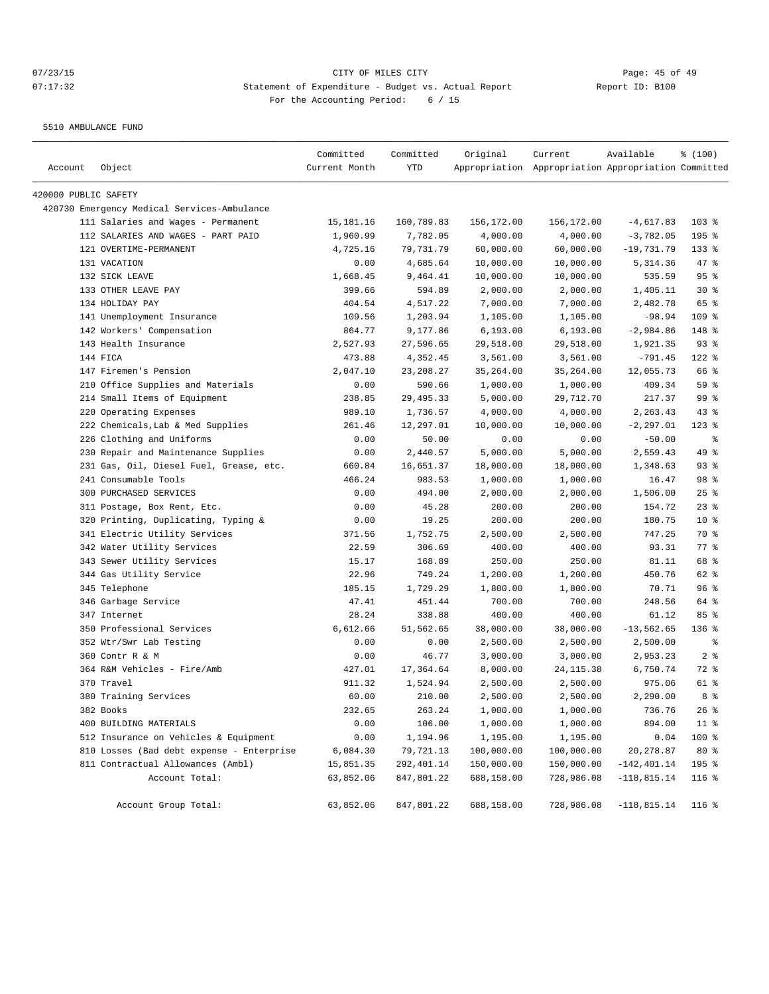5510 AMBULANCE FUND

| Account              | Object                                                          | Committed<br>Current Month | Committed<br>YTD     | Original             | Current<br>Appropriation Appropriation Appropriation Committed | Available                | \$(100)        |
|----------------------|-----------------------------------------------------------------|----------------------------|----------------------|----------------------|----------------------------------------------------------------|--------------------------|----------------|
|                      |                                                                 |                            |                      |                      |                                                                |                          |                |
| 420000 PUBLIC SAFETY |                                                                 |                            |                      |                      |                                                                |                          |                |
|                      | 420730 Emergency Medical Services-Ambulance                     |                            |                      |                      |                                                                |                          | $103$ %        |
|                      | 111 Salaries and Wages - Permanent                              | 15,181.16                  | 160,789.83           | 156,172.00           | 156,172.00                                                     | $-4,617.83$              |                |
|                      | 112 SALARIES AND WAGES - PART PAID                              | 1,960.99                   | 7,782.05             | 4,000.00             | 4,000.00                                                       | $-3,782.05$              | 195 %          |
|                      | 121 OVERTIME-PERMANENT                                          | 4,725.16                   | 79,731.79            | 60,000.00            | 60,000.00<br>10,000.00                                         | $-19,731.79$             | $133$ $%$      |
|                      | 131 VACATION                                                    | 0.00                       | 4,685.64             | 10,000.00            |                                                                | 5,314.36                 | 47 %<br>95%    |
|                      | 132 SICK LEAVE<br>133 OTHER LEAVE PAY                           | 1,668.45<br>399.66         | 9,464.41<br>594.89   | 10,000.00            | 10,000.00<br>2,000.00                                          | 535.59                   | $30*$          |
|                      | 134 HOLIDAY PAY                                                 | 404.54                     | 4,517.22             | 2,000.00<br>7,000.00 |                                                                | 1,405.11<br>2,482.78     | 65 %           |
|                      | 141 Unemployment Insurance                                      | 109.56                     |                      | 1,105.00             | 7,000.00                                                       |                          | 109 %          |
|                      |                                                                 | 864.77                     | 1,203.94<br>9,177.86 | 6, 193.00            | 1,105.00<br>6, 193.00                                          | $-98.94$<br>$-2,984.86$  | 148 %          |
|                      | 142 Workers' Compensation<br>143 Health Insurance               | 2,527.93                   | 27,596.65            | 29,518.00            | 29,518.00                                                      | 1,921.35                 | $93$ $%$       |
|                      | 144 FICA                                                        | 473.88                     | 4,352.45             | 3,561.00             | 3,561.00                                                       | $-791.45$                | 122 %          |
|                      | 147 Firemen's Pension                                           | 2,047.10                   | 23, 208. 27          | 35,264.00            |                                                                | 12,055.73                | 66 %           |
|                      | 210 Office Supplies and Materials                               |                            | 590.66               | 1,000.00             | 35,264.00<br>1,000.00                                          | 409.34                   | 59 %           |
|                      | 214 Small Items of Equipment                                    | 0.00<br>238.85             | 29, 495.33           | 5,000.00             |                                                                | 217.37                   | 99 %           |
|                      |                                                                 |                            |                      | 4,000.00             | 29,712.70                                                      |                          |                |
|                      | 220 Operating Expenses                                          | 989.10                     | 1,736.57             |                      | 4,000.00                                                       | 2,263.43<br>$-2, 297.01$ | 43%<br>$123$ % |
|                      | 222 Chemicals, Lab & Med Supplies                               | 261.46<br>0.00             | 12,297.01            | 10,000.00            | 10,000.00                                                      |                          | နွ             |
|                      | 226 Clothing and Uniforms                                       |                            | 50.00                | 0.00                 | 0.00<br>5,000.00                                               | $-50.00$                 | 49 %           |
|                      | 230 Repair and Maintenance Supplies                             | 0.00                       | 2,440.57             | 5,000.00             | 18,000.00                                                      | 2,559.43                 |                |
|                      | 231 Gas, Oil, Diesel Fuel, Grease, etc.<br>241 Consumable Tools | 660.84                     | 16,651.37            | 18,000.00            |                                                                | 1,348.63                 | $93$ $%$       |
|                      | 300 PURCHASED SERVICES                                          | 466.24                     | 983.53               | 1,000.00             | 1,000.00                                                       | 16.47                    | 98 %           |
|                      |                                                                 | 0.00                       | 494.00               | 2,000.00             | 2,000.00                                                       | 1,506.00                 | $25$ %         |
|                      | 311 Postage, Box Rent, Etc.                                     | 0.00                       | 45.28                | 200.00               | 200.00                                                         | 154.72                   | $23$ %         |
|                      | 320 Printing, Duplicating, Typing &                             | 0.00                       | 19.25                | 200.00               | 200.00                                                         | 180.75                   | $10*$          |
|                      | 341 Electric Utility Services                                   | 371.56                     | 1,752.75             | 2,500.00             | 2,500.00                                                       | 747.25                   | 70 %           |
|                      | 342 Water Utility Services                                      | 22.59                      | 306.69               | 400.00               | 400.00                                                         | 93.31                    | 77.8           |
|                      | 343 Sewer Utility Services                                      | 15.17                      | 168.89               | 250.00               | 250.00                                                         | 81.11                    | 68 %           |
|                      | 344 Gas Utility Service                                         | 22.96                      | 749.24               | 1,200.00             | 1,200.00                                                       | 450.76                   | 62 %           |
|                      | 345 Telephone                                                   | 185.15                     | 1,729.29             | 1,800.00             | 1,800.00                                                       | 70.71                    | 96%            |
|                      | 346 Garbage Service                                             | 47.41                      | 451.44               | 700.00               | 700.00                                                         | 248.56                   | 64 %           |
|                      | 347 Internet                                                    | 28.24                      | 338.88               | 400.00               | 400.00                                                         | 61.12                    | 85%            |
|                      | 350 Professional Services                                       | 6,612.66                   | 51,562.65            | 38,000.00            | 38,000.00                                                      | $-13,562.65$             | 136 %          |
|                      | 352 Wtr/Swr Lab Testing                                         | 0.00                       | 0.00                 | 2,500.00             | 2,500.00                                                       | 2,500.00                 | နွ             |
|                      | 360 Contr R & M                                                 | 0.00                       | 46.77                | 3,000.00             | 3,000.00                                                       | 2,953.23                 | 2 <sup>8</sup> |
|                      | 364 R&M Vehicles - Fire/Amb                                     | 427.01                     | 17,364.64            | 8,000.00             | 24, 115.38                                                     | 6,750.74                 | 72 %           |
|                      | 370 Travel                                                      | 911.32                     | 1,524.94             | 2,500.00             | 2,500.00                                                       | 975.06                   | 61 %           |
|                      | 380 Training Services                                           | 60.00                      | 210.00               | 2,500.00             | 2,500.00                                                       | 2,290.00                 | 8 %            |
|                      | 382 Books                                                       | 232.65                     | 263.24               | 1,000.00             | 1,000.00                                                       | 736.76                   | 26%            |
|                      | 400 BUILDING MATERIALS                                          | 0.00                       | 106.00               | 1,000.00             | 1,000.00                                                       | 894.00                   | $11$ %         |
|                      | 512 Insurance on Vehicles & Equipment                           | 0.00                       | 1,194.96             | 1,195.00             | 1,195.00                                                       | 0.04                     | 100 %          |
|                      | 810 Losses (Bad debt expense - Enterprise                       | 6,084.30                   | 79,721.13            | 100,000.00           | 100,000.00                                                     | 20, 278.87               | 80 %           |
|                      | 811 Contractual Allowances (Ambl)                               | 15,851.35                  | 292,401.14           | 150,000.00           | 150,000.00                                                     | $-142, 401.14$           | 195 %          |
|                      | Account Total:                                                  | 63,852.06                  | 847,801.22           | 688,158.00           | 728,986.08                                                     | $-118,815.14$            | $116$ %        |
|                      | Account Group Total:                                            | 63,852.06                  | 847,801.22           | 688,158.00           | 728,986.08                                                     | $-118,815.14$            | $116$ %        |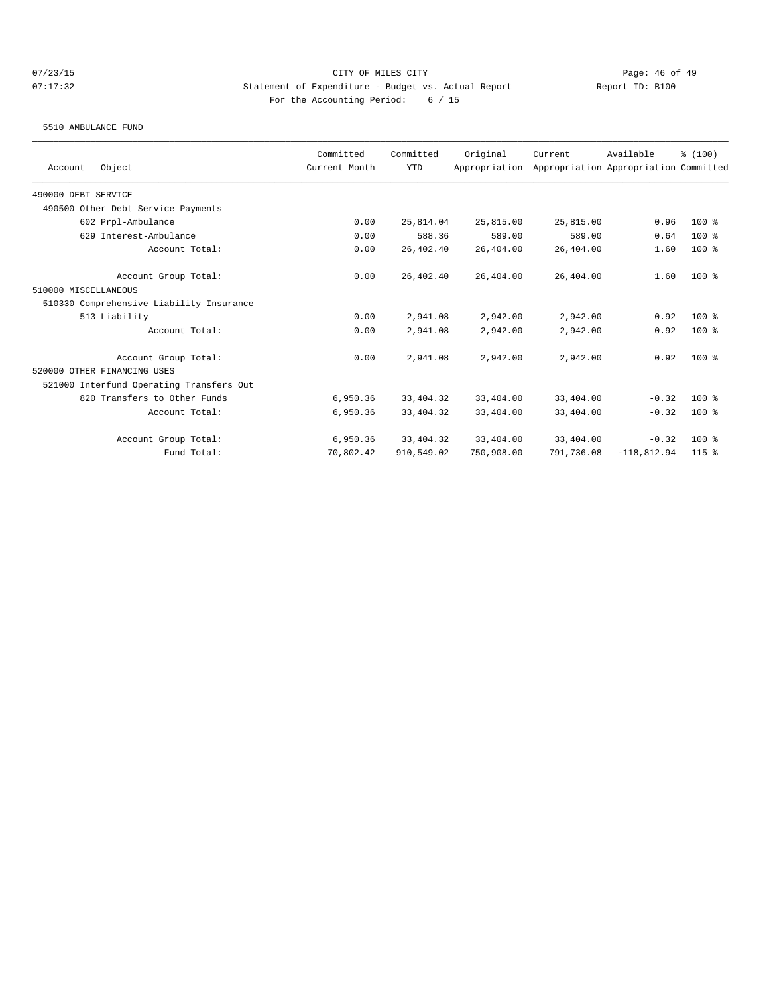5510 AMBULANCE FUND

| Object<br>Account                        | Committed<br>Current Month | Committed<br><b>YTD</b> | Original<br>Appropriation | Current    | Available<br>Appropriation Appropriation Committed | % (100) |
|------------------------------------------|----------------------------|-------------------------|---------------------------|------------|----------------------------------------------------|---------|
| 490000 DEBT SERVICE                      |                            |                         |                           |            |                                                    |         |
| 490500 Other Debt Service Payments       |                            |                         |                           |            |                                                    |         |
| 602 Prpl-Ambulance                       | 0.00                       | 25,814.04               | 25,815.00                 | 25,815.00  | 0.96                                               | $100$ % |
| 629 Interest-Ambulance                   | 0.00                       | 588.36                  | 589.00                    | 589.00     | 0.64                                               | $100$ % |
| Account Total:                           | 0.00                       | 26,402.40               | 26,404.00                 | 26,404.00  | 1.60                                               | $100$ % |
| Account Group Total:                     | 0.00                       | 26,402.40               | 26,404.00                 | 26,404.00  | 1.60                                               | $100$ % |
| 510000 MISCELLANEOUS                     |                            |                         |                           |            |                                                    |         |
| 510330 Comprehensive Liability Insurance |                            |                         |                           |            |                                                    |         |
| 513 Liability                            | 0.00                       | 2,941.08                | 2,942.00                  | 2,942.00   | 0.92                                               | $100*$  |
| Account Total:                           | 0.00                       | 2,941.08                | 2,942.00                  | 2,942.00   | 0.92                                               | $100$ % |
| Account Group Total:                     | 0.00                       | 2,941.08                | 2,942.00                  | 2,942.00   | 0.92                                               | $100*$  |
| 520000 OTHER FINANCING USES              |                            |                         |                           |            |                                                    |         |
| 521000 Interfund Operating Transfers Out |                            |                         |                           |            |                                                    |         |
| 820 Transfers to Other Funds             | 6,950.36                   | 33, 404. 32             | 33,404.00                 | 33,404.00  | $-0.32$                                            | $100$ % |
| Account Total:                           | 6,950.36                   | 33, 404. 32             | 33,404.00                 | 33,404.00  | $-0.32$                                            | $100$ % |
| Account Group Total:                     | 6,950.36                   | 33, 404. 32             | 33,404.00                 | 33,404.00  | $-0.32$                                            | $100$ % |
| Fund Total:                              | 70,802.42                  | 910,549.02              | 750,908.00                | 791,736.08 | $-118,812.94$                                      | $115$ % |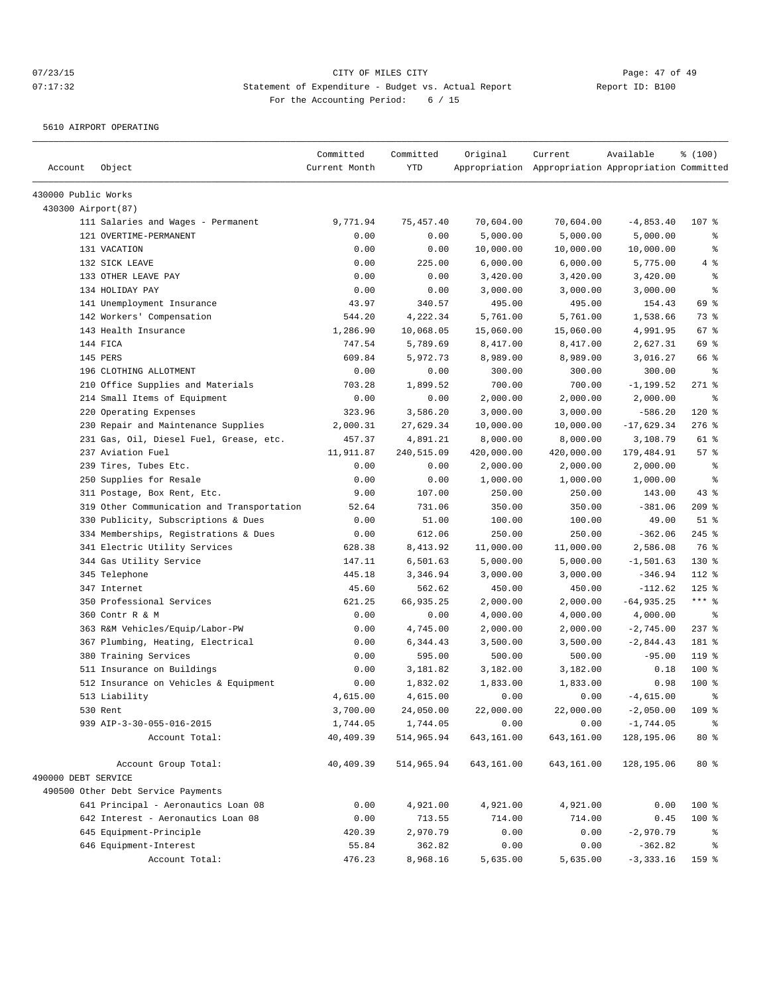5610 AIRPORT OPERATING

|                     |                                            | Committed     | Committed  | Original   | Current                                             | Available    | % (100)       |
|---------------------|--------------------------------------------|---------------|------------|------------|-----------------------------------------------------|--------------|---------------|
| Account             | Object                                     | Current Month | <b>YTD</b> |            | Appropriation Appropriation Appropriation Committed |              |               |
| 430000 Public Works |                                            |               |            |            |                                                     |              |               |
| 430300 Airport(87)  |                                            |               |            |            |                                                     |              |               |
|                     | 111 Salaries and Wages - Permanent         | 9,771.94      | 75, 457.40 | 70,604.00  | 70,604.00                                           | $-4,853.40$  | 107 %         |
|                     | 121 OVERTIME-PERMANENT                     | 0.00          | 0.00       | 5,000.00   | 5,000.00                                            | 5,000.00     | ႜ             |
|                     | 131 VACATION                               | 0.00          | 0.00       | 10,000.00  | 10,000.00                                           | 10,000.00    | $\epsilon$    |
|                     | 132 SICK LEAVE                             | 0.00          | 225.00     | 6,000.00   | 6,000.00                                            | 5,775.00     | 4%            |
|                     | 133 OTHER LEAVE PAY                        | 0.00          | 0.00       | 3,420.00   | 3,420.00                                            | 3,420.00     | $\epsilon$    |
|                     | 134 HOLIDAY PAY                            | 0.00          | 0.00       | 3,000.00   | 3,000.00                                            | 3,000.00     | ి             |
|                     | 141 Unemployment Insurance                 | 43.97         | 340.57     | 495.00     | 495.00                                              | 154.43       | 69 %          |
|                     | 142 Workers' Compensation                  | 544.20        | 4,222.34   | 5,761.00   | 5,761.00                                            | 1,538.66     | 73 %          |
|                     | 143 Health Insurance                       | 1,286.90      | 10,068.05  | 15,060.00  | 15,060.00                                           | 4,991.95     | 67%           |
|                     | 144 FICA                                   | 747.54        | 5,789.69   | 8,417.00   | 8,417.00                                            | 2,627.31     | 69 %          |
|                     | 145 PERS                                   | 609.84        | 5,972.73   | 8,989.00   | 8,989.00                                            | 3,016.27     | 66 %          |
|                     | 196 CLOTHING ALLOTMENT                     | 0.00          | 0.00       | 300.00     | 300.00                                              | 300.00       | နွ            |
|                     | 210 Office Supplies and Materials          | 703.28        | 1,899.52   | 700.00     | 700.00                                              | $-1, 199.52$ | $271$ %       |
|                     | 214 Small Items of Equipment               | 0.00          | 0.00       | 2,000.00   | 2,000.00                                            | 2,000.00     | နွ            |
|                     | 220 Operating Expenses                     | 323.96        | 3,586.20   | 3,000.00   | 3,000.00                                            | $-586.20$    | 120 %         |
|                     | 230 Repair and Maintenance Supplies        | 2,000.31      | 27,629.34  | 10,000.00  | 10,000.00                                           | $-17,629.34$ | $276$ %       |
|                     | 231 Gas, Oil, Diesel Fuel, Grease, etc.    | 457.37        | 4,891.21   | 8,000.00   | 8,000.00                                            | 3,108.79     | 61 %          |
|                     | 237 Aviation Fuel                          | 11,911.87     | 240,515.09 | 420,000.00 | 420,000.00                                          | 179,484.91   | 57%           |
|                     | 239 Tires, Tubes Etc.                      | 0.00          | 0.00       | 2,000.00   | 2,000.00                                            | 2,000.00     | $\epsilon$    |
|                     | 250 Supplies for Resale                    | 0.00          | 0.00       | 1,000.00   | 1,000.00                                            | 1,000.00     | $\epsilon$    |
|                     | 311 Postage, Box Rent, Etc.                | 9.00          | 107.00     | 250.00     | 250.00                                              | 143.00       | 43%           |
|                     | 319 Other Communication and Transportation | 52.64         | 731.06     | 350.00     | 350.00                                              | $-381.06$    | $209$ %       |
|                     | 330 Publicity, Subscriptions & Dues        | 0.00          | 51.00      | 100.00     | 100.00                                              | 49.00        | $51$ %        |
|                     | 334 Memberships, Registrations & Dues      | 0.00          | 612.06     | 250.00     | 250.00                                              | $-362.06$    | $245$ %       |
|                     | 341 Electric Utility Services              | 628.38        | 8,413.92   | 11,000.00  | 11,000.00                                           | 2,586.08     | 76 %          |
|                     | 344 Gas Utility Service                    | 147.11        | 6,501.63   | 5,000.00   | 5,000.00                                            | $-1,501.63$  | 130 %         |
|                     | 345 Telephone                              | 445.18        | 3,346.94   | 3,000.00   | 3,000.00                                            | $-346.94$    | 112 %         |
|                     | 347 Internet                               | 45.60         | 562.62     | 450.00     | 450.00                                              | $-112.62$    | $125$ %       |
|                     | 350 Professional Services                  | 621.25        | 66,935.25  | 2,000.00   | 2,000.00                                            | $-64,935.25$ | $***$ $_{8}$  |
|                     | 360 Contr R & M                            | 0.00          | 0.00       | 4,000.00   | 4,000.00                                            | 4,000.00     | ႜ             |
|                     | 363 R&M Vehicles/Equip/Labor-PW            | 0.00          | 4,745.00   | 2,000.00   | 2,000.00                                            | $-2,745.00$  | $237$ $%$     |
|                     | 367 Plumbing, Heating, Electrical          | 0.00          | 6,344.43   | 3,500.00   | 3,500.00                                            | $-2,844.43$  | 181 %         |
|                     | 380 Training Services                      | 0.00          | 595.00     | 500.00     | 500.00                                              | $-95.00$     | 119%          |
|                     | 511 Insurance on Buildings                 | 0.00          | 3,181.82   | 3,182.00   | 3,182.00                                            | 0.18         | 100 %         |
|                     | 512 Insurance on Vehicles & Equipment      | 0.00          | 1,832.02   | 1,833.00   | 1,833.00                                            | 0.98         | $100*$        |
|                     | 513 Liability                              | 4,615.00      | 4,615.00   | 0.00       | 0.00                                                | $-4,615.00$  | $\approx$     |
|                     | 530 Rent                                   | 3,700.00      | 24,050.00  | 22,000.00  | 22,000.00                                           | $-2,050.00$  | 109 %         |
|                     | 939 AIP-3-30-055-016-2015                  | 1,744.05      | 1,744.05   | 0.00       | 0.00                                                | $-1,744.05$  | $\frac{6}{9}$ |
|                     | Account Total:                             | 40,409.39     | 514,965.94 | 643,161.00 | 643,161.00                                          | 128,195.06   | $80*$         |
|                     |                                            |               |            |            |                                                     |              |               |
|                     | Account Group Total:                       | 40,409.39     | 514,965.94 | 643,161.00 | 643,161.00                                          | 128,195.06   | 80 %          |
| 490000 DEBT SERVICE |                                            |               |            |            |                                                     |              |               |
|                     | 490500 Other Debt Service Payments         |               |            |            |                                                     |              |               |
|                     | 641 Principal - Aeronautics Loan 08        | 0.00          | 4,921.00   | 4,921.00   | 4,921.00                                            | 0.00         | 100 %         |
|                     | 642 Interest - Aeronautics Loan 08         | 0.00          | 713.55     | 714.00     | 714.00                                              | 0.45         | 100 %         |
|                     | 645 Equipment-Principle                    | 420.39        | 2,970.79   | 0.00       | 0.00                                                | $-2,970.79$  | ႜ             |
|                     | 646 Equipment-Interest                     | 55.84         | 362.82     | 0.00       | 0.00                                                | $-362.82$    | $\frac{6}{6}$ |
|                     | Account Total:                             | 476.23        | 8,968.16   | 5,635.00   | 5,635.00                                            | $-3, 333.16$ | 159 %         |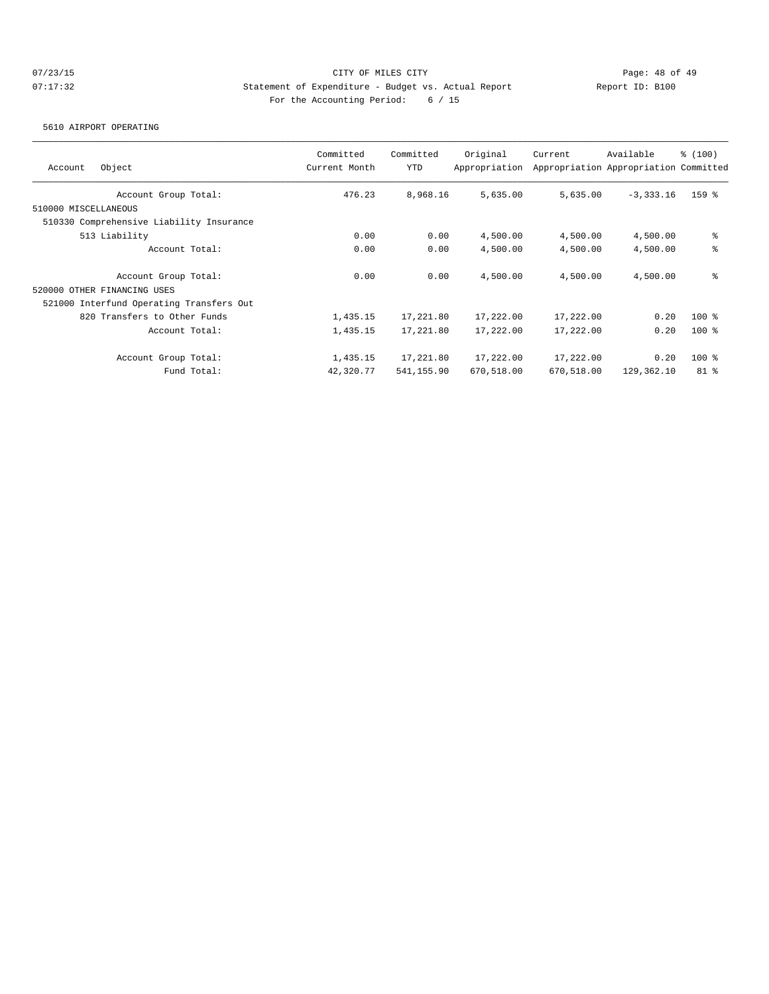5610 AIRPORT OPERATING

| Object<br>Account                        | Committed<br>Current Month | Committed<br><b>YTD</b> | Original<br>Appropriation | Current    | Available<br>Appropriation Appropriation Committed | \$(100) |
|------------------------------------------|----------------------------|-------------------------|---------------------------|------------|----------------------------------------------------|---------|
|                                          |                            |                         |                           |            |                                                    |         |
| Account Group Total:                     | 476.23                     | 8,968.16                | 5,635.00                  | 5,635.00   | $-3, 333.16$                                       | 159 %   |
| 510000 MISCELLANEOUS                     |                            |                         |                           |            |                                                    |         |
| 510330 Comprehensive Liability Insurance |                            |                         |                           |            |                                                    |         |
| 513 Liability                            | 0.00                       | 0.00                    | 4,500.00                  | 4,500.00   | 4,500.00                                           | နွ      |
| Account Total:                           | 0.00                       | 0.00                    | 4,500.00                  | 4,500.00   | 4,500.00                                           | နွ      |
| Account Group Total:                     | 0.00                       | 0.00                    | 4,500.00                  | 4,500.00   | 4,500.00                                           | နွ      |
| 520000 OTHER FINANCING USES              |                            |                         |                           |            |                                                    |         |
| 521000 Interfund Operating Transfers Out |                            |                         |                           |            |                                                    |         |
| 820 Transfers to Other Funds             | 1,435.15                   | 17,221.80               | 17,222.00                 | 17,222.00  | 0.20                                               | $100*$  |
| Account Total:                           | 1,435.15                   | 17,221.80               | 17,222.00                 | 17,222.00  | 0.20                                               | $100*$  |
| Account Group Total:                     | 1,435.15                   | 17,221.80               | 17,222.00                 | 17,222.00  | 0.20                                               | $100$ % |
| Fund Total:                              | 42,320.77                  | 541,155.90              | 670,518.00                | 670,518.00 | 129,362.10                                         | $81$ %  |